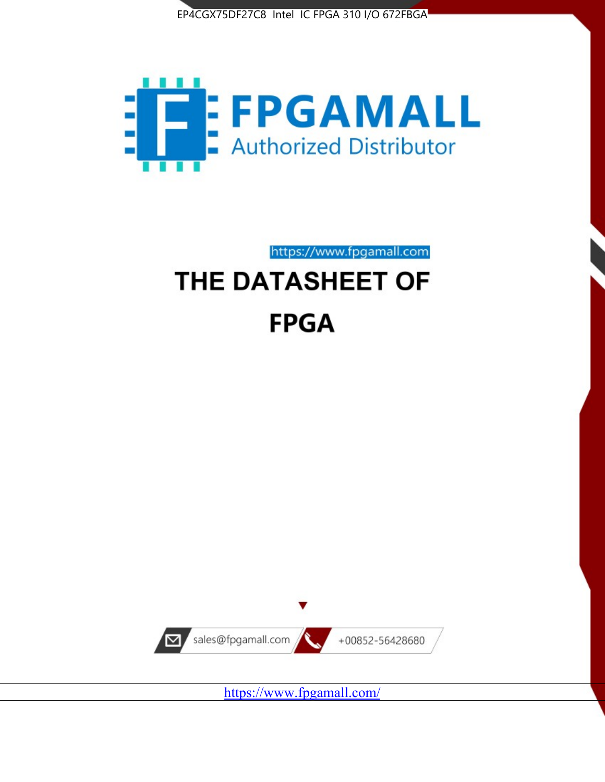



https://www.fpgamall.com

# THE DATASHEET OF **FPGA**



<https://www.fpgamall.com/>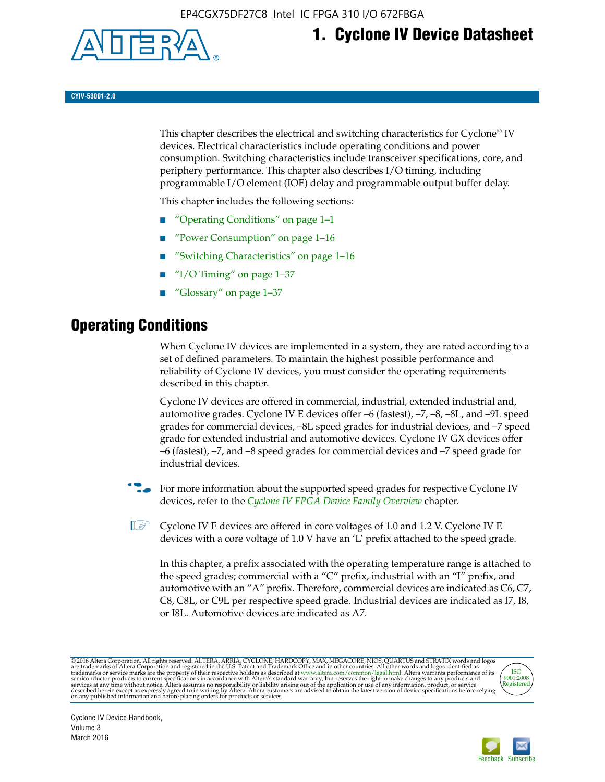

## **1. Cyclone IV Device Datasheet**

**CYIV-53001-2.0**

This chapter describes the electrical and switching characteristics for Cyclone<sup>®</sup> IV devices. Electrical characteristics include operating conditions and power consumption. Switching characteristics include transceiver specifications, core, and periphery performance. This chapter also describes I/O timing, including programmable I/O element (IOE) delay and programmable output buffer delay.

This chapter includes the following sections:

- "Operating Conditions" on page 1–1
- "Power Consumption" on page 1–16
- "Switching Characteristics" on page 1–16
- " $I/O$  Timing" on page  $1-37$
- "Glossary" on page 1–37

## **Operating Conditions**

When Cyclone IV devices are implemented in a system, they are rated according to a set of defined parameters. To maintain the highest possible performance and reliability of Cyclone IV devices, you must consider the operating requirements described in this chapter.

Cyclone IV devices are offered in commercial, industrial, extended industrial and, automotive grades. Cyclone IV E devices offer –6 (fastest), –7, –8, –8L, and –9L speed grades for commercial devices, –8L speed grades for industrial devices, and –7 speed grade for extended industrial and automotive devices. Cyclone IV GX devices offer –6 (fastest), –7, and –8 speed grades for commercial devices and –7 speed grade for industrial devices.

**For more information about the supported speed grades for respective Cyclone IV** devices, refer to the *[Cyclone IV FPGA Device Family Overview](http://www.altera.com/literature/hb/cyclone-iv/cyiv-51001.pdf)* chapter.

**1** Cyclone IV E devices are offered in core voltages of 1.0 and 1.2 V. Cyclone IV E devices with a core voltage of 1.0 V have an 'L' prefix attached to the speed grade.

In this chapter, a prefix associated with the operating temperature range is attached to the speed grades; commercial with a "C" prefix, industrial with an "I" prefix, and automotive with an "A" prefix. Therefore, commercial devices are indicated as C6, C7, C8, C8L, or C9L per respective speed grade. Industrial devices are indicated as I7, I8, or I8L. Automotive devices are indicated as A7.

@2016 Altera Corporation. All rights reserved. ALTERA, ARRIA, CYCLONE, HARDCOPY, MAX, MEGACORE, NIOS, QUARTUS and STRATIX words and logos are trademarks of Altera Corporation and registered in the U.S. Patent and Trademark



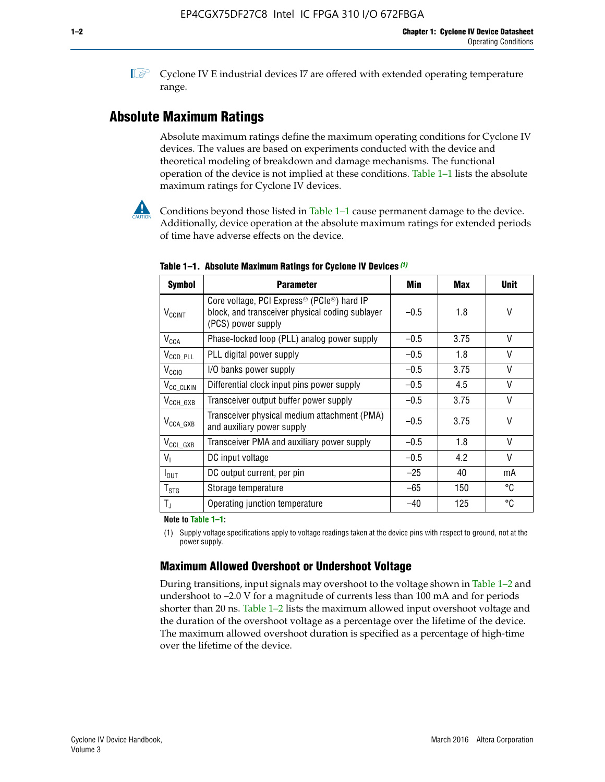**1 Cyclone IV E industrial devices I7 are offered with extended operating temperature** range.

## **Absolute Maximum Ratings**

Absolute maximum ratings define the maximum operating conditions for Cyclone IV devices. The values are based on experiments conducted with the device and theoretical modeling of breakdown and damage mechanisms. The functional operation of the device is not implied at these conditions. Table 1–1 lists the absolute maximum ratings for Cyclone IV devices.



Conditions beyond those listed in Table  $1-1$  cause permanent damage to the device. Additionally, device operation at the absolute maximum ratings for extended periods of time have adverse effects on the device.

| <b>Symbol</b>              | <b>Parameter</b>                                                                                                                | Min    | <b>Max</b> | <b>Unit</b>  |
|----------------------------|---------------------------------------------------------------------------------------------------------------------------------|--------|------------|--------------|
| <b>V<sub>CCINT</sub></b>   | Core voltage, PCI Express <sup>®</sup> (PCIe®) hard IP<br>block, and transceiver physical coding sublayer<br>(PCS) power supply | $-0.5$ | 1.8        | V            |
| $V_{CCA}$                  | Phase-locked loop (PLL) analog power supply                                                                                     | $-0.5$ | 3.75       | V            |
| $V_{\text{CCD\_PLL}}$      | PLL digital power supply                                                                                                        | $-0.5$ | 1.8        | $\vee$       |
| V <sub>CCIO</sub>          | I/O banks power supply                                                                                                          | $-0.5$ | 3.75       | V            |
| V <sub>CC_CLKIN</sub>      | Differential clock input pins power supply                                                                                      | $-0.5$ | 4.5        | $\vee$       |
| $V_{CCH_GXB}$              | Transceiver output buffer power supply                                                                                          | $-0.5$ | 3.75       | V            |
| $V_{\text{CCA\_GXB}}$      | Transceiver physical medium attachment (PMA)<br>and auxiliary power supply                                                      | $-0.5$ | 3.75       | V            |
| $V_{CCL_GXB}$              | Transceiver PMA and auxiliary power supply                                                                                      | $-0.5$ | 1.8        | $\mathsf{V}$ |
| $V_{1}$                    | DC input voltage                                                                                                                | $-0.5$ | 4.2        | V            |
| $I_{\text{OUT}}$           | DC output current, per pin                                                                                                      | $-25$  | 40         | mA           |
| ${\mathsf T}_{\text{STG}}$ | Storage temperature                                                                                                             | -65    | 150        | °C           |
| $T_{\rm J}$                | Operating junction temperature                                                                                                  | $-40$  | 125        | °C           |

**Table 1–1. Absolute Maximum Ratings for Cyclone IV Devices** *(1)*

**Note to Table 1–1:**

(1) Supply voltage specifications apply to voltage readings taken at the device pins with respect to ground, not at the power supply.

## **Maximum Allowed Overshoot or Undershoot Voltage**

During transitions, input signals may overshoot to the voltage shown in Table 1–2 and undershoot to –2.0 V for a magnitude of currents less than 100 mA and for periods shorter than 20 ns. Table 1–2 lists the maximum allowed input overshoot voltage and the duration of the overshoot voltage as a percentage over the lifetime of the device. The maximum allowed overshoot duration is specified as a percentage of high-time over the lifetime of the device.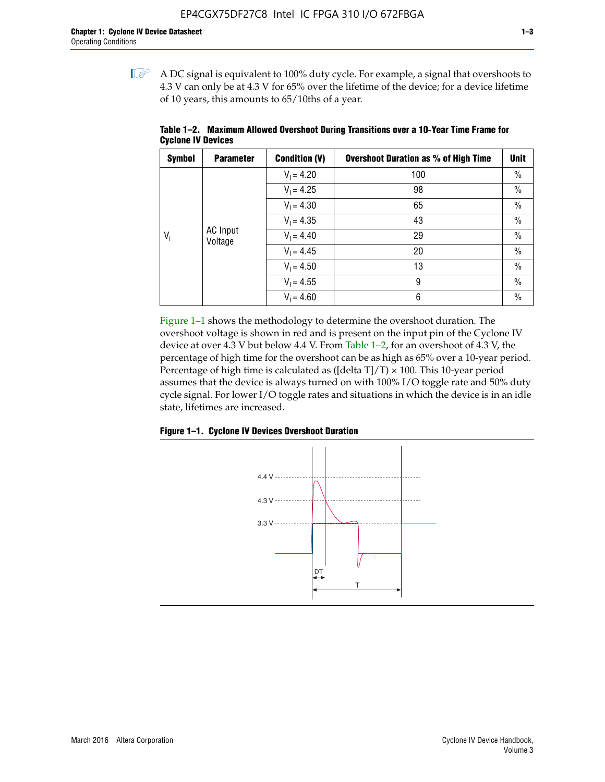$\mathbb{I}$  A DC signal is equivalent to 100% duty cycle. For example, a signal that overshoots to 4.3 V can only be at 4.3 V for 65% over the lifetime of the device; for a device lifetime of 10 years, this amounts to 65/10ths of a year.

| <b>Symbol</b> | <b>Parameter</b>           | <b>Condition (V)</b> | <b>Overshoot Duration as % of High Time</b> | <b>Unit</b>   |
|---------------|----------------------------|----------------------|---------------------------------------------|---------------|
|               |                            | $V_1 = 4.20$         | 100                                         | $\%$          |
|               |                            | $V_1 = 4.25$         | 98                                          | $\frac{0}{0}$ |
|               |                            | $V_1 = 4.30$         | 65                                          | $\%$          |
|               | <b>AC</b> Input<br>Voltage | $V_1 = 4.35$         | 43                                          | $\%$          |
| $V_i$         |                            | $V_1 = 4.40$         | 29                                          | $\frac{0}{0}$ |
|               |                            | $V_1 = 4.45$         | 20                                          | $\%$          |
|               |                            | $V_1 = 4.50$         | 13                                          | $\%$          |
|               |                            | $V_1 = 4.55$         | 9                                           | $\frac{0}{0}$ |
|               |                            | $V_1 = 4.60$         | 6                                           | $\frac{0}{0}$ |

**Table 1–2. Maximum Allowed Overshoot During Transitions over a 10**-**Year Time Frame for Cyclone IV Devices**

Figure 1–1 shows the methodology to determine the overshoot duration. The overshoot voltage is shown in red and is present on the input pin of the Cyclone IV device at over 4.3 V but below 4.4 V. From Table 1–2, for an overshoot of 4.3 V, the percentage of high time for the overshoot can be as high as 65% over a 10-year period. Percentage of high time is calculated as ([delta  $T$ ]/T)  $\times$  100. This 10-year period assumes that the device is always turned on with 100% I/O toggle rate and 50% duty cycle signal. For lower I/O toggle rates and situations in which the device is in an idle state, lifetimes are increased.



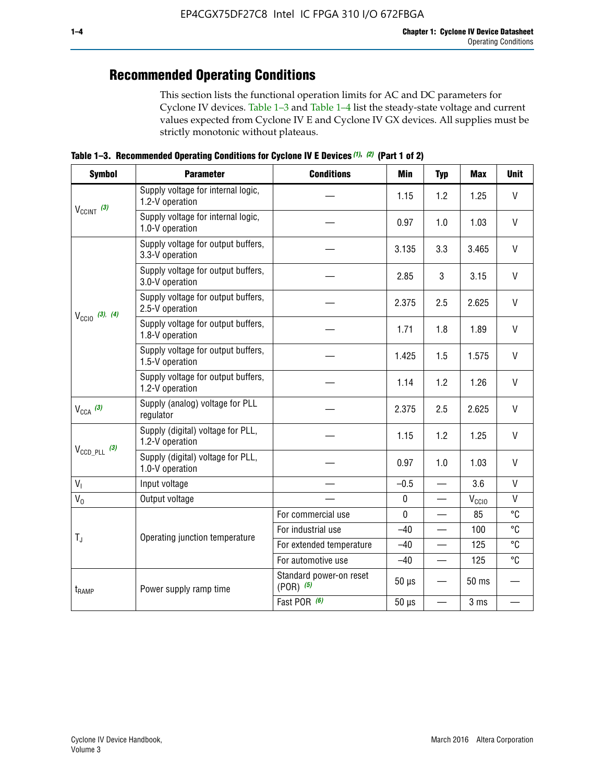## **Recommended Operating Conditions**

This section lists the functional operation limits for AC and DC parameters for Cyclone IV devices. Table 1–3 and Table 1–4 list the steady-state voltage and current values expected from Cyclone IV E and Cyclone IV GX devices. All supplies must be strictly monotonic without plateaus.

**Table 1–3. Recommended Operating Conditions for Cyclone IV E Devices** *(1)***,** *(2)* **(Part 1 of 2)**

| <b>Symbol</b>                                                                                                          | <b>Parameter</b>                                      | <b>Conditions</b>                      | <b>Min</b>  | <b>Typ</b>               | <b>Max</b> | <b>Unit</b>  |
|------------------------------------------------------------------------------------------------------------------------|-------------------------------------------------------|----------------------------------------|-------------|--------------------------|------------|--------------|
|                                                                                                                        | Supply voltage for internal logic,<br>1.2-V operation |                                        | 1.15        | 1.2                      | 1.25       | $\mathsf{V}$ |
| $V_{CClNT}$ (3)<br>$V_{\text{CC10}}$ (3), (4)<br>$V_{CCA}$ (3)<br>$V_{\text{CCD\_PLL}}$ (3)<br>V <sub>1</sub><br>$V_0$ | Supply voltage for internal logic,<br>1.0-V operation |                                        | 0.97        | 1.0                      | 1.03       | $\mathsf{V}$ |
|                                                                                                                        | Supply voltage for output buffers,<br>3.3-V operation |                                        | 3.135       | 3.3                      | 3.465      | $\vee$       |
|                                                                                                                        | Supply voltage for output buffers,<br>3.0-V operation |                                        | 2.85        | 3                        | 3.15       | V            |
|                                                                                                                        | Supply voltage for output buffers,<br>2.5-V operation |                                        | 2.375       | 2.5                      | 2.625      | $\vee$       |
|                                                                                                                        | Supply voltage for output buffers,<br>1.8-V operation |                                        | 1.71        | 1.8                      | 1.89       | V            |
|                                                                                                                        | Supply voltage for output buffers,<br>1.5-V operation |                                        | 1.425       | 1.5                      | 1.575      | $\vee$       |
|                                                                                                                        | Supply voltage for output buffers,<br>1.2-V operation |                                        | 1.14        | 1.2                      | 1.26       | $\mathsf{V}$ |
|                                                                                                                        | Supply (analog) voltage for PLL<br>regulator          |                                        | 2.375       | 2.5                      | 2.625      | $\vee$       |
|                                                                                                                        | Supply (digital) voltage for PLL,<br>1.2-V operation  |                                        | 1.15        | 1.2                      | 1.25       | V            |
|                                                                                                                        | Supply (digital) voltage for PLL,<br>1.0-V operation  |                                        | 0.97        | 1.0                      | 1.03       | $\vee$       |
|                                                                                                                        | Input voltage                                         |                                        | $-0.5$      | $\overline{\phantom{0}}$ | 3.6        | $\mathsf{V}$ |
|                                                                                                                        | Output voltage                                        |                                        | $\pmb{0}$   | —                        | $V_{CCIO}$ | $\mathsf{V}$ |
|                                                                                                                        |                                                       | For commercial use                     | $\mathbf 0$ |                          | 85         | °C           |
| $T_{\rm J}$                                                                                                            | Operating junction temperature                        | For industrial use                     | $-40$       |                          | 100        | °C           |
|                                                                                                                        |                                                       | For extended temperature               | $-40$       |                          | 125        | °C           |
|                                                                                                                        |                                                       | For automotive use                     | $-40$       | $\qquad \qquad$          | 125        | °C           |
| $t_{\rm{RAMP}}$                                                                                                        | Power supply ramp time                                | Standard power-on reset<br>$(POR)$ (5) | $50 \mu s$  |                          | 50 ms      |              |
|                                                                                                                        |                                                       | Fast POR (6)                           | $50 \mu s$  | $\overline{\phantom{0}}$ | 3 ms       |              |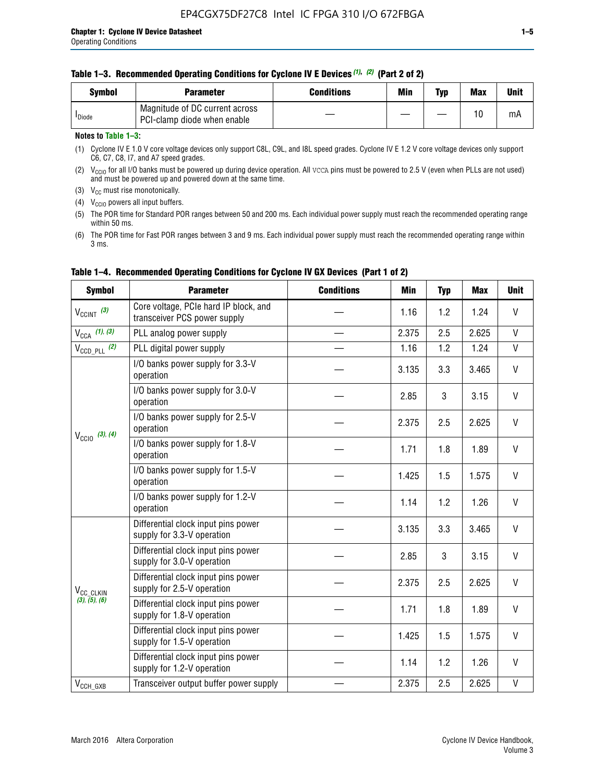|  | Table 1-3. Recommended Operating Conditions for Cyclone IV E Devices (1), (2) (Part 2 of 2) |  |  |  |
|--|---------------------------------------------------------------------------------------------|--|--|--|
|--|---------------------------------------------------------------------------------------------|--|--|--|

| <b>Symbol</b>      | Parameter                                                     | Conditions | Min | Typ | <b>Max</b> | Unit |
|--------------------|---------------------------------------------------------------|------------|-----|-----|------------|------|
| <sup>I</sup> Diode | Magnitude of DC current across<br>PCI-clamp diode when enable |            |     |     | 10         | mA   |

#### **Notes to Table 1–3:**

(1) Cyclone IV E 1.0 V core voltage devices only support C8L, C9L, and I8L speed grades. Cyclone IV E 1.2 V core voltage devices only support C6, C7, C8, I7, and A7 speed grades.

(2)  $V_{CCIO}$  for all I/O banks must be powered up during device operation. All vcca pins must be powered to 2.5 V (even when PLLs are not used) and must be powered up and powered down at the same time.

(3)  $V_{CC}$  must rise monotonically.

(4)  $V_{\text{CCIO}}$  powers all input buffers.

(5) The POR time for Standard POR ranges between 50 and 200 ms. Each individual power supply must reach the recommended operating range within 50 ms.

(6) The POR time for Fast POR ranges between 3 and 9 ms. Each individual power supply must reach the recommended operating range within 3 ms.

| <b>Symbol</b>                          | <b>Parameter</b>                                                      | <b>Conditions</b> | <b>Min</b> | <b>Typ</b> | <b>Max</b> | <b>Unit</b>  |
|----------------------------------------|-----------------------------------------------------------------------|-------------------|------------|------------|------------|--------------|
| $V_{\text{CCINT}}$ (3)                 | Core voltage, PCIe hard IP block, and<br>transceiver PCS power supply |                   | 1.16       | 1.2        | 1.24       | V            |
| $V_{CCA}$ (1), (3)                     | PLL analog power supply                                               |                   | 2.375      | 2.5        | 2.625      | V            |
| $V_{\text{CCD\_PLL}}$ (2)              | PLL digital power supply                                              |                   | 1.16       | 1.2        | 1.24       | $\mathsf{V}$ |
|                                        | I/O banks power supply for 3.3-V<br>operation                         |                   | 3.135      | 3.3        | 3.465      | V            |
|                                        | I/O banks power supply for 3.0-V<br>operation                         |                   | 2.85       | 3          | 3.15       | V            |
| $V_{\text{CC10}}$ (3), (4)             | I/O banks power supply for 2.5-V<br>operation                         |                   | 2.375      | 2.5        | 2.625      | V            |
|                                        | I/O banks power supply for 1.8-V<br>operation                         |                   | 1.71       | 1.8        | 1.89       | V            |
|                                        | I/O banks power supply for 1.5-V<br>operation                         |                   | 1.425      | 1.5        | 1.575      | V            |
|                                        | I/O banks power supply for 1.2-V<br>operation                         |                   | 1.14       | 1.2        | 1.26       | $\mathsf{V}$ |
|                                        | Differential clock input pins power<br>supply for 3.3-V operation     |                   | 3.135      | 3.3        | 3.465      | V            |
| V <sub>CC_CLKIN</sub><br>(3), (5), (6) | Differential clock input pins power<br>supply for 3.0-V operation     |                   | 2.85       | 3          | 3.15       | V            |
|                                        | Differential clock input pins power<br>supply for 2.5-V operation     |                   | 2.375      | 2.5        | 2.625      | V            |
|                                        | Differential clock input pins power<br>supply for 1.8-V operation     |                   | 1.71       | 1.8        | 1.89       | V            |
|                                        | Differential clock input pins power<br>supply for 1.5-V operation     |                   | 1.425      | 1.5        | 1.575      | V            |
|                                        | Differential clock input pins power<br>supply for 1.2-V operation     |                   | 1.14       | 1.2        | 1.26       | V            |
| $V_{CCH_GXB}$                          | Transceiver output buffer power supply                                |                   | 2.375      | 2.5        | 2.625      | $\mathsf{V}$ |

### **Table 1–4. Recommended Operating Conditions for Cyclone IV GX Devices (Part 1 of 2)**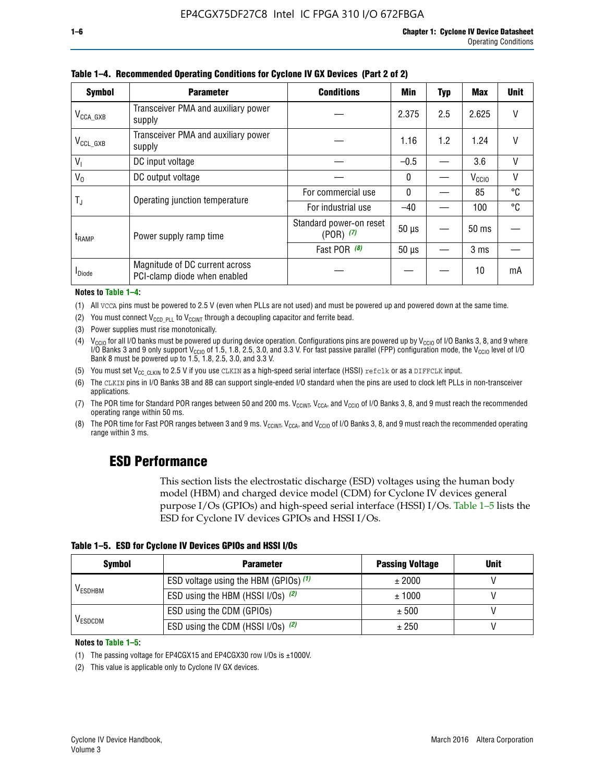| <b>Symbol</b>           | <b>Parameter</b>                                               | <b>Conditions</b>                        | <b>Min</b>   | <b>Typ</b> | <b>Max</b>        | <b>Unit</b>  |
|-------------------------|----------------------------------------------------------------|------------------------------------------|--------------|------------|-------------------|--------------|
| $V_{\texttt{CCA\_GXB}}$ | Transceiver PMA and auxiliary power<br>supply                  |                                          | 2.375        | 2.5        | 2.625             | V            |
| $V_{CCL_GXB}$           | Transceiver PMA and auxiliary power<br>supply                  |                                          | 1.16         | 1.2        | 1.24              | V            |
| $V_{1}$                 | DC input voltage                                               |                                          | $-0.5$       |            | 3.6               | $\mathsf{V}$ |
| $V_0$                   | DC output voltage                                              |                                          | $\mathbf{0}$ |            | V <sub>CCIO</sub> | V            |
|                         | Operating junction temperature                                 | For commercial use                       | $\mathbf{0}$ |            | 85                | °C           |
| T,                      |                                                                | For industrial use                       | $-40$        |            | 100               | °C           |
| t <sub>RAMP</sub>       | Power supply ramp time                                         | Standard power-on reset<br>$(POR)$ $(7)$ | $50 \mu s$   |            | $50 \text{ ms}$   |              |
|                         |                                                                | Fast POR (8)                             | $50 \mu s$   |            | 3 <sub>ms</sub>   |              |
| <b>I</b> Diode          | Magnitude of DC current across<br>PCI-clamp diode when enabled |                                          |              |            | 10                | mA           |

**Table 1–4. Recommended Operating Conditions for Cyclone IV GX Devices (Part 2 of 2)**

**Notes to Table 1–4:**

- (1) All VCCA pins must be powered to 2.5 V (even when PLLs are not used) and must be powered up and powered down at the same time.
- (2) You must connect  $V_{CCD-PLL}$  to  $V_{CCINT}$  through a decoupling capacitor and ferrite bead.
- (3) Power supplies must rise monotonically.
- (4)  $V_{\text{CCIO}}$  for all I/O banks must be powered up during device operation. Configurations pins are powered up by V<sub>CCIO</sub> of I/O Banks 3, 8, and 9 where I/O Banks 3 and 9 only support V<sub>CCIO</sub> of 1.5, 1.8, 2.5, 3.0, and 3.3 V. For fast passive parallel (FPP) configuration mode, the V<sub>CCIO</sub> level of I/O<br>Bank 8 must be powered up to 1.5, 1.8, 2.5, 3.0, and 3.3 V.
- (5) You must set  $V_{CC_CCLKIN}$  to 2.5 V if you use CLKIN as a high-speed serial interface (HSSI) refclk or as a DIFFCLK input.
- (6) The CLKIN pins in I/O Banks 3B and 8B can support single-ended I/O standard when the pins are used to clock left PLLs in non-transceiver applications.
- (7) The POR time for Standard POR ranges between 50 and 200 ms.  $V_{\text{CCIA}}$ ,  $V_{\text{CCIA}}$ , and  $V_{\text{CCIO}}$  of I/O Banks 3, 8, and 9 must reach the recommended operating range within 50 ms.
- (8) The POR time for Fast POR ranges between 3 and 9 ms.  $V_{\text{CCH},T}$ ,  $V_{\text{CCA}}$ , and  $V_{\text{CCI}}$  of I/O Banks 3, 8, and 9 must reach the recommended operating range within 3 ms.

## **ESD Performance**

This section lists the electrostatic discharge (ESD) voltages using the human body model (HBM) and charged device model (CDM) for Cyclone IV devices general purpose I/Os (GPIOs) and high-speed serial interface (HSSI) I/Os. Table 1–5 lists the ESD for Cyclone IV devices GPIOs and HSSI I/Os.

|  |  |  | Table 1–5. ESD for Cyclone IV Devices GPIOs and HSSI I/Os |  |  |
|--|--|--|-----------------------------------------------------------|--|--|
|  |  |  |                                                           |  |  |

| <b>Symbol</b>  | <b>Parameter</b>                      | <b>Passing Voltage</b> | <b>Unit</b> |
|----------------|---------------------------------------|------------------------|-------------|
|                | ESD voltage using the HBM (GPIOs) (1) | ± 2000                 |             |
| <b>VESDHBM</b> | ESD using the HBM (HSSI I/Os) (2)     | ± 1000                 |             |
|                | ESD using the CDM (GPIOs)             | ± 500                  |             |
| <b>VESDCDM</b> | ESD using the CDM (HSSI I/Os) (2)     | ± 250                  |             |

#### **Notes to Table 1–5:**

(1) The passing voltage for EP4CGX15 and EP4CGX30 row I/Os is ±1000V.

(2) This value is applicable only to Cyclone IV GX devices.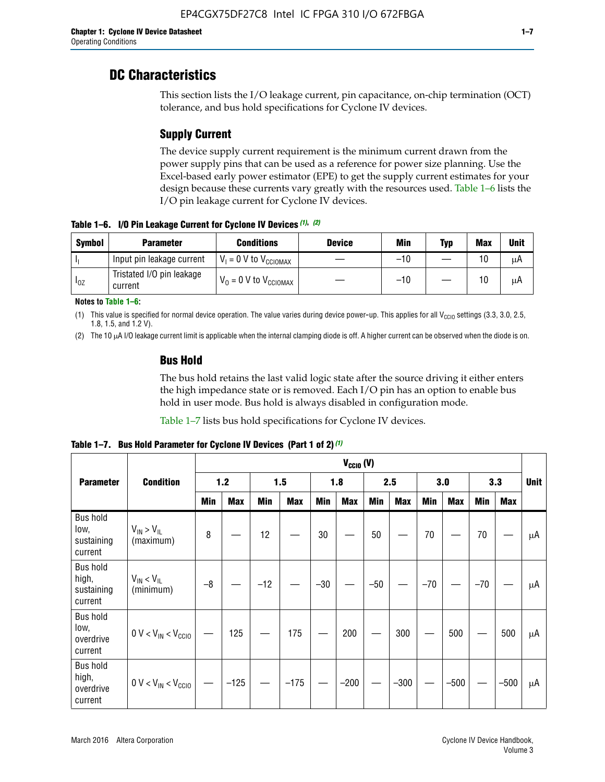## **DC Characteristics**

This section lists the I/O leakage current, pin capacitance, on-chip termination (OCT) tolerance, and bus hold specifications for Cyclone IV devices.

## **Supply Current**

The device supply current requirement is the minimum current drawn from the power supply pins that can be used as a reference for power size planning. Use the Excel-based early power estimator (EPE) to get the supply current estimates for your design because these currents vary greatly with the resources used. Table 1–6 lists the I/O pin leakage current for Cyclone IV devices.

**Table 1–6. I/O Pin Leakage Current for Cyclone IV Devices** *(1)***,** *(2)*

| <b>Symbol</b> | <b>Parameter</b>                     | <b>Conditions</b>                     | <b>Device</b> | Min   | Typ | <b>Max</b> | <b>Unit</b> |
|---------------|--------------------------------------|---------------------------------------|---------------|-------|-----|------------|-------------|
| -lı           | Input pin leakage current            | $V_1 = 0$ V to $V_{\text{CCIOMAX}}$   |               | $-10$ |     | 10         | μA          |
| $I_{0Z}$      | Tristated I/O pin leakage<br>current | $V_0 = 0 V$ to $V_{\text{CCIOMAX}}$ I |               | $-10$ |     | 10         | μA          |

**Notes to Table 1–6:**

(1) This value is specified for normal device operation. The value varies during device power-up. This applies for all V<sub>CCIO</sub> settings (3.3, 3.0, 2.5, 1.8, 1.5, and 1.2 V).

(2) The 10 µA I/O leakage current limit is applicable when the internal clamping diode is off. A higher current can be observed when the diode is on.

### **Bus Hold**

The bus hold retains the last valid logic state after the source driving it either enters the high impedance state or is removed. Each I/O pin has an option to enable bus hold in user mode. Bus hold is always disabled in configuration mode.

Table 1–7 lists bus hold specifications for Cyclone IV devices.

|                                                   |                                  | $V_{CClO}$ (V) |            |       |            |            |            |            |            |       |            |       |            |             |
|---------------------------------------------------|----------------------------------|----------------|------------|-------|------------|------------|------------|------------|------------|-------|------------|-------|------------|-------------|
| <b>Parameter</b>                                  | <b>Condition</b>                 | 1.2            |            |       | 1.5        |            | 2.5<br>1.8 |            |            |       | 3.0<br>3.3 |       |            | <b>Unit</b> |
|                                                   |                                  | <b>Min</b>     | <b>Max</b> | Min   | <b>Max</b> | <b>Min</b> | <b>Max</b> | <b>Min</b> | <b>Max</b> | Min   | <b>Max</b> | Min   | <b>Max</b> |             |
| <b>Bus hold</b><br>low,<br>sustaining<br>current  | $V_{IN}$ > $V_{IL}$<br>(maximum) | 8              |            | 12    |            | $30\,$     |            | 50         |            | 70    |            | 70    |            | μA          |
| <b>Bus hold</b><br>high,<br>sustaining<br>current | $V_{IN}$ < $V_{IL}$<br>(minimum) | $-8$           |            | $-12$ |            | $-30$      |            | $-50$      |            | $-70$ |            | $-70$ |            | μA          |
| <b>Bus hold</b><br>low,<br>overdrive<br>current   | $0 V < V_{IN} < V_{CG10}$        |                | 125        |       | 175        |            | 200        |            | 300        |       | 500        |       | 500        | μA          |
| <b>Bus hold</b><br>high,<br>overdrive<br>current  | $0 V < V_{IN} < V_{CG10}$        |                | $-125$     |       | $-175$     |            | $-200$     |            | $-300$     |       | $-500$     |       | $-500$     | μA          |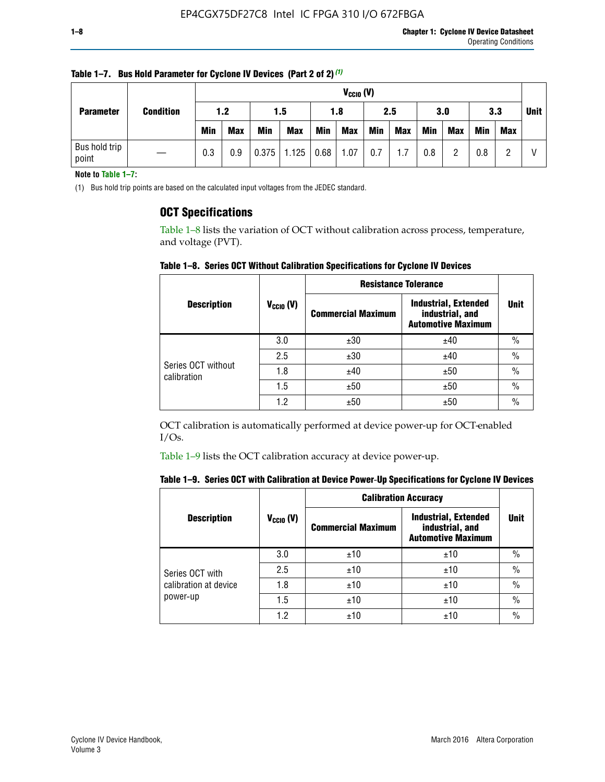|                        |                  |            | $V_{CClO}$ (V) |            |                    |     |            |     |     |     |            |            |     |             |
|------------------------|------------------|------------|----------------|------------|--------------------|-----|------------|-----|-----|-----|------------|------------|-----|-------------|
| <b>Parameter</b>       | <b>Condition</b> | 1.2        |                | 1.5        |                    | 1.8 |            | 2.5 |     | 3.0 |            | 3.3        |     | <b>Unit</b> |
|                        |                  | <b>Min</b> | <b>Max</b>     | <b>Min</b> | <b>Max</b>         | Min | <b>Max</b> | Min | Max | Min | <b>Max</b> | <b>Min</b> | Max |             |
| Bus hold trip<br>point |                  | 0.3        | 0.9            |            | $0.375$ 1.125 0.68 |     | 1.07       | 0.7 | 1.7 | 0.8 | ŋ          | 0.8        |     |             |

**Table 1–7. Bus Hold Parameter for Cyclone IV Devices (Part 2 of 2)** *(1)*

**Note to Table 1–7:**

(1) Bus hold trip points are based on the calculated input voltages from the JEDEC standard.

### **OCT Specifications**

Table 1–8 lists the variation of OCT without calibration across process, temperature, and voltage (PVT).

**Table 1–8. Series OCT Without Calibration Specifications for Cyclone IV Devices**

|                                   |                      | <b>Resistance Tolerance</b> |                                                                             |               |
|-----------------------------------|----------------------|-----------------------------|-----------------------------------------------------------------------------|---------------|
| <b>Description</b>                | $V_{\text{CCIO}}(V)$ | <b>Commercial Maximum</b>   | <b>Industrial, Extended</b><br>industrial, and<br><b>Automotive Maximum</b> | <b>Unit</b>   |
|                                   | 3.0                  | ±30                         | ±40                                                                         | $\frac{0}{0}$ |
|                                   | 2.5                  | ±30                         | ±40                                                                         | $\frac{0}{0}$ |
| Series OCT without<br>calibration | 1.8                  | ±40                         | ±50                                                                         | $\frac{0}{0}$ |
|                                   | 1.5                  | ±50                         | ±50                                                                         | $\frac{0}{0}$ |
|                                   | 1.2                  | ±50                         | ±50                                                                         | $\frac{0}{0}$ |

OCT calibration is automatically performed at device power-up for OCT-enabled I/Os.

Table 1–9 lists the OCT calibration accuracy at device power-up.

|  |  | Table 1–9. Series OCT with Calibration at Device Power-Up Specifications for Cyclone IV Devices |  |  |  |  |  |  |
|--|--|-------------------------------------------------------------------------------------------------|--|--|--|--|--|--|
|--|--|-------------------------------------------------------------------------------------------------|--|--|--|--|--|--|

|                       |                | <b>Calibration Accuracy</b> |                                                                             |               |  |
|-----------------------|----------------|-----------------------------|-----------------------------------------------------------------------------|---------------|--|
| <b>Description</b>    | $V_{CGI0} (V)$ | <b>Commercial Maximum</b>   | <b>Industrial, Extended</b><br>industrial, and<br><b>Automotive Maximum</b> | Unit          |  |
|                       | 3.0            | ±10                         | ±10                                                                         | $\%$          |  |
| Series OCT with       | 2.5            | ±10                         | ±10                                                                         | $\%$          |  |
| calibration at device | 1.8            | ±10                         | ±10                                                                         | $\frac{0}{0}$ |  |
| power-up              | 1.5            | ±10                         | ±10                                                                         | $\frac{0}{0}$ |  |
|                       | 1.2            | ±10                         | ±10                                                                         | $\frac{0}{0}$ |  |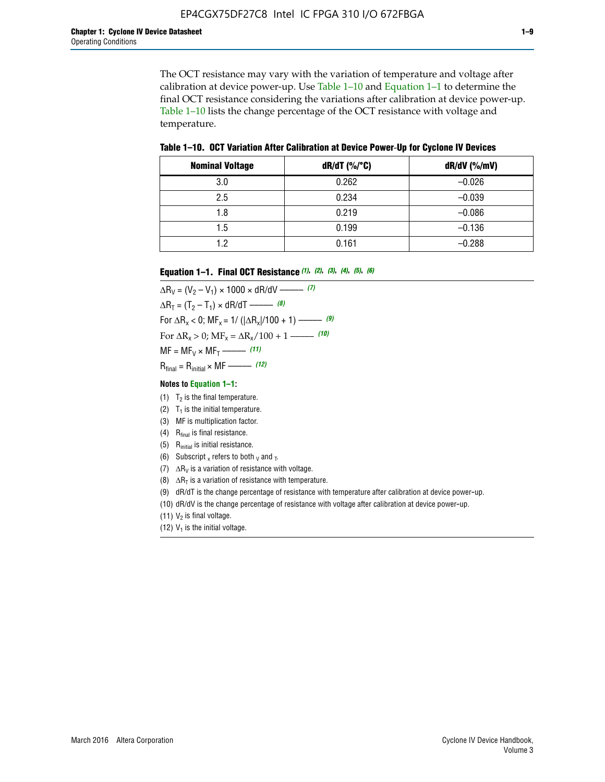The OCT resistance may vary with the variation of temperature and voltage after calibration at device power-up. Use Table 1–10 and Equation 1–1 to determine the final OCT resistance considering the variations after calibration at device power-up. Table 1–10 lists the change percentage of the OCT resistance with voltage and temperature.

**Table 1–10. OCT Variation After Calibration at Device Power**-**Up for Cyclone IV Devices**

| <b>Nominal Voltage</b> | dR/dT (%/°C) | $dR/dV$ (%/mV) |
|------------------------|--------------|----------------|
| 3.0                    | 0.262        | $-0.026$       |
| 2.5                    | 0.234        | $-0.039$       |
| 1.8                    | 0.219        | $-0.086$       |
| 1.5                    | 0.199        | $-0.136$       |
| 1.2                    | 0.161        | $-0.288$       |

#### **Equation 1–1. Final OCT Resistance** *(1)***,** *(2)***,** *(3)***,** *(4)***,** *(5)***,** *(6)*

 $\Delta R_V = (V_2 - V_1) \times 1000 \times dR/dV$  ––––––––––––(7)  $\Delta R_T = (T_2 - T_1) \times dR/dT$  ––––––– (8) For  $\Delta R_x < 0$ ; MF<sub>x</sub> = 1/ ( $|\Delta R_x|/100 + 1$ ) –––––– (9) For  $\Delta R_x > 0$ ;  $\text{MF}_x = \Delta R_x / 100 + 1$  ——– (10)  $MF = MF_V \times MF_T$  –––––––––––(11) Rfinal = Rinitial × MF ––––– *(12)*

#### **Notes to Equation 1–1:**

- (1)  $T_2$  is the final temperature.
- (2)  $T_1$  is the initial temperature.
- (3) MF is multiplication factor.
- (4)  $R<sub>final</sub>$  is final resistance.
- (5) Rinitial is initial resistance.
- (6) Subscript x refers to both  $\sqrt{v}$  and  $\sqrt{v}$ .
- (7)  $\Delta R_V$  is a variation of resistance with voltage.
- (8)  $\Delta R_T$  is a variation of resistance with temperature.
- (9) dR/dT is the change percentage of resistance with temperature after calibration at device power-up.
- (10) dR/dV is the change percentage of resistance with voltage after calibration at device power-up.
- (11)  $V_2$  is final voltage.
- (12)  $V_1$  is the initial voltage.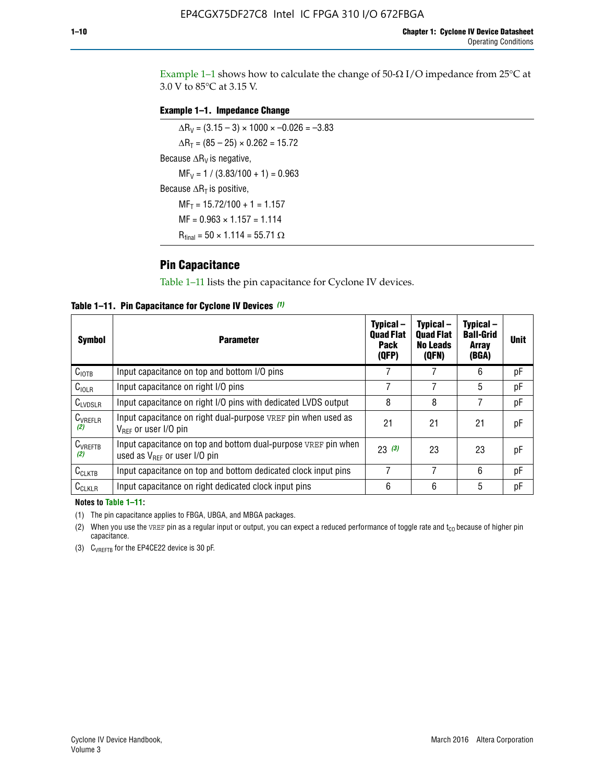Example 1-1 shows how to calculate the change of  $50$ - $\Omega$  I/O impedance from 25°C at 3.0 V to 85°C at 3.15 V.

#### **Example 1–1. Impedance Change**

 $\Delta R_V = (3.15 - 3) \times 1000 \times -0.026 = -3.83$  $\Delta R_T = (85 - 25) \times 0.262 = 15.72$ Because  $\Delta R_V$  is negative,  $MF_V = 1 / (3.83/100 + 1) = 0.963$ Because  $\Delta R_T$  is positive,  $MF_T = 15.72/100 + 1 = 1.157$  $MF = 0.963 \times 1.157 = 1.114$  $R_{final} = 50 \times 1.114 = 55.71 \Omega$ 

## **Pin Capacitance**

Table 1–11 lists the pin capacitance for Cyclone IV devices.

**Table 1–11. Pin Capacitance for Cyclone IV Devices** *(1)*

| <b>Symbol</b>       | <b>Parameter</b>                                                                                    | Typical-<br><b>Quad Flat</b><br><b>Pack</b><br>(QFP) | Typical-<br><b>Quad Flat</b><br><b>No Leads</b><br>(QFN) | Typical-<br><b>Ball-Grid</b><br><b>Array</b><br>(BGA) | <b>Unit</b> |
|---------------------|-----------------------------------------------------------------------------------------------------|------------------------------------------------------|----------------------------------------------------------|-------------------------------------------------------|-------------|
| C <sub>IOTB</sub>   | Input capacitance on top and bottom I/O pins                                                        |                                                      |                                                          | 6                                                     | рF          |
| $C_{IOLR}$          | Input capacitance on right I/O pins                                                                 |                                                      |                                                          | 5                                                     | pF          |
| $C_{LVDSLR}$        | Input capacitance on right I/O pins with dedicated LVDS output                                      | 8                                                    | 8                                                        | 7                                                     | рF          |
| $C_{VREFLR}$<br>(2) | Input capacitance on right dual-purpose VREF pin when used as<br>$V_{BFF}$ or user I/O pin          | 21                                                   | 21                                                       | 21                                                    | pF          |
| $C_{VREFTB}$<br>(2) | Input capacitance on top and bottom dual-purpose VREF pin when<br>used as $V_{BFF}$ or user I/O pin | 23(3)                                                | 23                                                       | 23                                                    | рF          |
| $C_{CLKTB}$         | Input capacitance on top and bottom dedicated clock input pins                                      |                                                      | 7                                                        | 6                                                     | рF          |
| $C_{CLKLR}$         | Input capacitance on right dedicated clock input pins                                               | 6                                                    | 6                                                        | 5                                                     | рF          |

#### **Notes to Table 1–11:**

(1) The pin capacitance applies to FBGA, UBGA, and MBGA packages.

(2) When you use the VREF pin as a regular input or output, you can expect a reduced performance of toggle rate and  $t_{\rm CO}$  because of higher pin capacitance.

(3) CVREFTB for the EP4CE22 device is 30 pF.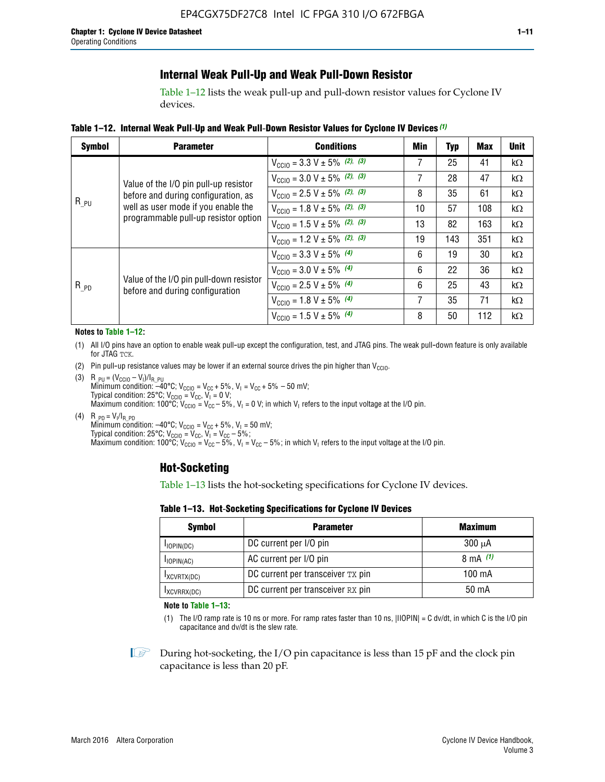## **Internal Weak Pull-Up and Weak Pull-Down Resistor**

Table 1–12 lists the weak pull-up and pull-down resistor values for Cyclone IV devices.

**Table 1–12. Internal Weak Pull**-**Up and Weak Pull**-**Down Resistor Values for Cyclone IV Devices** *(1)*

| <b>Symbol</b> | <b>Parameter</b>                                                                                                                                            | <b>Conditions</b>                                  | Min | Typ | <b>Max</b> | <b>Unit</b> |
|---------------|-------------------------------------------------------------------------------------------------------------------------------------------------------------|----------------------------------------------------|-----|-----|------------|-------------|
|               |                                                                                                                                                             | $V_{\text{CC10}} = 3.3 \text{ V} \pm 5\%$ (2), (3) |     | 25  | 41         | kΩ          |
| $R_{PU}$      | Value of the I/O pin pull-up resistor<br>before and during configuration, as<br>well as user mode if you enable the<br>programmable pull-up resistor option | $V_{\text{CC10}} = 3.0 \text{ V} \pm 5\%$ (2), (3) | 7   | 28  | 47         | $k\Omega$   |
|               |                                                                                                                                                             | $V_{\text{CC10}} = 2.5 V \pm 5\%$ (2), (3)         | 8   | 35  | 61         | kΩ          |
|               |                                                                                                                                                             | $V_{\text{CC10}} = 1.8 V \pm 5\%$ (2), (3)         | 10  | 57  | 108        | kΩ          |
|               |                                                                                                                                                             | $V_{\text{CC10}} = 1.5 V \pm 5\%$ (2), (3)         | 13  | 82  | 163        | kΩ          |
|               |                                                                                                                                                             | $V_{\text{CC10}} = 1.2 \text{ V} \pm 5\%$ (2), (3) | 19  | 143 | 351        | kΩ          |
|               |                                                                                                                                                             | $V_{\text{CC10}} = 3.3 V \pm 5\%$ (4)              | 6   | 19  | 30         | kΩ          |
|               |                                                                                                                                                             | $V_{\text{CC10}} = 3.0 V \pm 5\%$ (4)              | 6   | 22  | 36         | kΩ          |
| $R_{PD}$      | Value of the I/O pin pull-down resistor<br>before and during configuration                                                                                  | $V_{\text{CC10}} = 2.5 V \pm 5\%$ (4)              | 6   | 25  | 43         | kΩ          |
|               |                                                                                                                                                             | $V_{\text{CC10}} = 1.8 \text{ V} \pm 5\%$ (4)      | 7   | 35  | 71         | kΩ          |
|               |                                                                                                                                                             | $V_{\text{CC10}} = 1.5 V \pm 5\%$ (4)              | 8   | 50  | 112        | kΩ          |

#### **Notes to Table 1–12:**

- (1) All I/O pins have an option to enable weak pull-up except the configuration, test, and JTAG pins. The weak pull-down feature is only available for JTAG TCK.
- (2) Pin pull-up resistance values may be lower if an external source drives the pin higher than  $V_{\text{CCIO}}$ .
- (3)  $R_{PU} = (V_{CC10} V_1)/I_{R_PU}$ Minimum condition: –40°C; V<sub>CCIO</sub> = V<sub>CC</sub> + 5%, V<sub>I</sub> = V<sub>CC</sub> + 5% – 50 mV; Typical condition: 25°C; V<sub>CCIO</sub> = V<sub>CC</sub>, V<sub>I</sub> = 0 V; Maximum condition: 100°C;  $V_{\text{CCIO}} = V_{\text{CC}} - 5\%$ ,  $V_1 = 0$  V; in which V<sub>I</sub> refers to the input voltage at the I/O pin.
- (4)  $R_{PD} = V_I/I_{R_PD}$ Minimum condition:  $-40^{\circ}$ C; V<sub>CCIO</sub> = V<sub>CC</sub> + 5%, V<sub>I</sub> = 50 mV; Typical condition: 25°C;  $V_{\text{CCIO}} = V_{\text{CC}}$ ,  $V_{\text{I}} = V_{\text{CC}} - 5\%$ ; Maximum condition: 100°C; V<sub>CClO</sub> = V<sub>CC</sub> – 5%, V<sub>I</sub> = V<sub>CC</sub> – 5%; in which V<sub>I</sub> refers to the input voltage at the I/O pin.

### **Hot-Socketing**

Table 1–13 lists the hot-socketing specifications for Cyclone IV devices.

**Table 1–13. Hot**-**Socketing Specifications for Cyclone IV Devices**

| <b>Symbol</b> | <b>Parameter</b>                  |             |  |  |  |
|---------------|-----------------------------------|-------------|--|--|--|
| $I$ IOPIN(DC) | DC current per I/O pin            | $300 \mu A$ |  |  |  |
| $I$ IOPIN(AC) | AC current per I/O pin            | 8 mA $(1)$  |  |  |  |
| IXCVRTX(DC)   | DC current per transceiver TX pin | 100 mA      |  |  |  |
| IXCVRRX(DC)   | DC current per transceiver RX pin | 50 mA       |  |  |  |

**Note to Table 1–13:**

(1) The I/O ramp rate is 10 ns or more. For ramp rates faster than 10 ns, |IIOPIN| = C dv/dt, in which C is the I/O pin capacitance and dv/dt is the slew rate.

 $\mathbb{I} \rightarrow \mathbb{I}$  During hot-socketing, the I/O pin capacitance is less than 15 pF and the clock pin capacitance is less than 20 pF.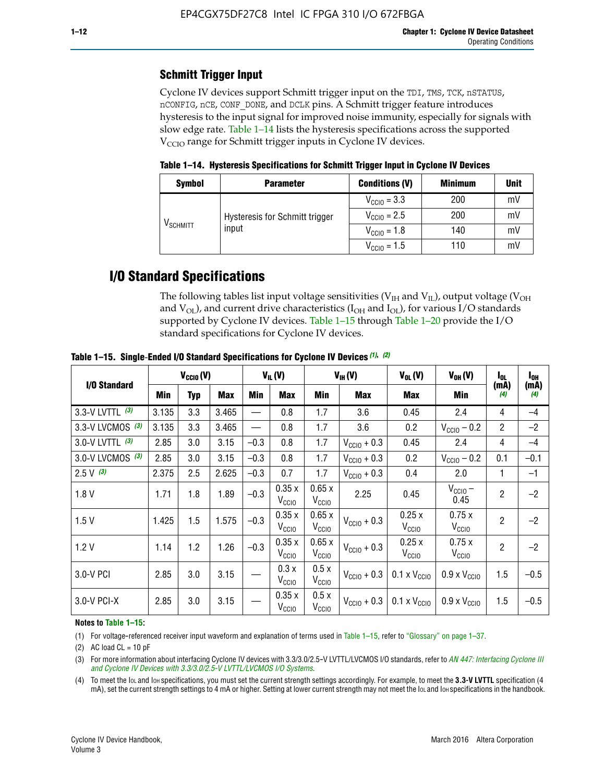## **Schmitt Trigger Input**

Cyclone IV devices support Schmitt trigger input on the TDI, TMS, TCK, nSTATUS, nCONFIG, nCE, CONF\_DONE, and DCLK pins. A Schmitt trigger feature introduces hysteresis to the input signal for improved noise immunity, especially for signals with slow edge rate. Table 1–14 lists the hysteresis specifications across the supported  $V<sub>CCIO</sub>$  range for Schmitt trigger inputs in Cyclone IV devices.

**Table 1–14. Hysteresis Specifications for Schmitt Trigger Input in Cyclone IV Devices**

| <b>Symbol</b>                  | <b>Parameter</b>               | <b>Conditions (V)</b>   | <b>Minimum</b> | <b>Unit</b> |
|--------------------------------|--------------------------------|-------------------------|----------------|-------------|
|                                |                                | $V_{\text{CGI0}} = 3.3$ | 200            | mV          |
| $\mathsf{V}_{\mathsf{SCHMIT}}$ | Hysteresis for Schmitt trigger | $V_{\text{CC10}} = 2.5$ | 200            | mV          |
|                                | input                          | $V_{\text{CCIO}} = 1.8$ | 140            | mV          |
|                                |                                | $V_{\text{CCIO}} = 1.5$ | 110            | m           |

## **I/O Standard Specifications**

The following tables list input voltage sensitivities ( $V<sub>IH</sub>$  and  $V<sub>II</sub>$ ), output voltage ( $V<sub>OH</sub>$ and  $V_{OL}$ ), and current drive characteristics ( $I_{OH}$  and  $I_{OL}$ ), for various I/O standards supported by Cyclone IV devices. Table 1–15 through Table 1–20 provide the I/O standard specifications for Cyclone IV devices.

|                   | $V_{CCl0} (V)$ |     |            | $V_{IL}(V)$ |                            |                            | $V_{IH} (V)$            | $V_{OL}(V)$                  | $V_{OH} (V)$                 | $I_{0L}$       | l <sub>oh</sub> |
|-------------------|----------------|-----|------------|-------------|----------------------------|----------------------------|-------------------------|------------------------------|------------------------------|----------------|-----------------|
| I/O Standard      | <b>Min</b>     | Typ | <b>Max</b> | Min         | <b>Max</b>                 | Min                        | Max                     | Max                          | Min                          | (mA)<br>(4)    | (mA)<br>(4)     |
| 3.3-V LVTTL (3)   | 3.135          | 3.3 | 3.465      |             | 0.8                        | 1.7                        | 3.6                     | 0.45                         | 2.4                          | 4              | $-4$            |
| 3.3-V LVCMOS (3)  | 3.135          | 3.3 | 3.465      |             | 0.8                        | 1.7                        | 3.6                     | 0.2                          | $V_{\text{CCIO}} - 0.2$      | $\overline{2}$ | $-2$            |
| 3.0-V LVTTL $(3)$ | 2.85           | 3.0 | 3.15       | $-0.3$      | 0.8                        | 1.7                        | $V_{\text{CC10}} + 0.3$ | 0.45                         | 2.4                          | 4              | $-4$            |
| 3.0-V LVCMOS (3)  | 2.85           | 3.0 | 3.15       | $-0.3$      | 0.8                        | 1.7                        | $V_{\rm CClO}$ + 0.3    | 0.2                          | $V_{\text{CC10}} - 0.2$      | 0.1            | $-0.1$          |
| $2.5 V$ (3)       | 2.375          | 2.5 | 2.625      | $-0.3$      | 0.7                        | 1.7                        | $V_{\text{CC10}} + 0.3$ | 0.4                          | 2.0                          | 1              | $-1$            |
| 1.8V              | 1.71           | 1.8 | 1.89       | $-0.3$      | 0.35x<br>V <sub>CCIO</sub> | 0.65x<br>V <sub>CCIO</sub> | 2.25                    | 0.45                         | $V_{CGIO}$ –<br>0.45         | $\overline{2}$ | $-2$            |
| 1.5V              | 1.425          | 1.5 | 1.575      | $-0.3$      | 0.35x<br>V <sub>CCIO</sub> | 0.65x<br>V <sub>CCIO</sub> | $V_{\text{CC10}} + 0.3$ | 0.25x<br>V <sub>CCIO</sub>   | 0.75x<br>V <sub>CCIO</sub>   | $\overline{2}$ | $-2$            |
| 1.2V              | 1.14           | 1.2 | 1.26       | $-0.3$      | 0.35x<br>V <sub>CCIO</sub> | 0.65x<br>V <sub>CCIO</sub> | $V_{\text{CC10}} + 0.3$ | 0.25x<br>V <sub>CCIO</sub>   | 0.75x<br>V <sub>CCIO</sub>   | $\overline{2}$ | $-2$            |
| 3.0-V PCI         | 2.85           | 3.0 | 3.15       |             | 0.3x<br>V <sub>CCIO</sub>  | 0.5x<br>V <sub>CCIO</sub>  | $V_{\text{CCI0}} + 0.3$ | $0.1 \times V_{CC10}$        | $0.9 \times V_{\text{CC10}}$ | 1.5            | $-0.5$          |
| 3.0-V PCI-X       | 2.85           | 3.0 | 3.15       |             | 0.35x<br>V <sub>CCIO</sub> | 0.5x<br>V <sub>CCIO</sub>  | $V_{\text{CC10}} + 0.3$ | $0.1 \times V_{\text{CC10}}$ | $0.9 \times V_{\text{CC10}}$ | 1.5            | $-0.5$          |

**Table 1–15. Single**-**Ended I/O Standard Specifications for Cyclone IV Devices** *(1)***,** *(2)*

#### **Notes to Table 1–15:**

(1) For voltage-referenced receiver input waveform and explanation of terms used in Table 1–15, refer to "Glossary" on page 1–37.

(2) AC load  $CL = 10$  pF

(3) For more information about interfacing Cyclone IV devices with 3.3/3.0/2.5-V LVTTL/LVCMOS I/O standards, refer to *[AN 447: Interfacing Cyclone III](http://www.altera.com/literature/an/an447.pdf)  [and Cyclone IV Devices with 3.3/3.0/2.5-V LVTTL/LVCMOS I/O Systems](http://www.altera.com/literature/an/an447.pdf)*.

(4) To meet the IOL and IOH specifications, you must set the current strength settings accordingly. For example, to meet the **3.3-V LVTTL** specification (4 mA), set the current strength settings to 4 mA or higher. Setting at lower current strength may not meet the lou and lon specifications in the handbook.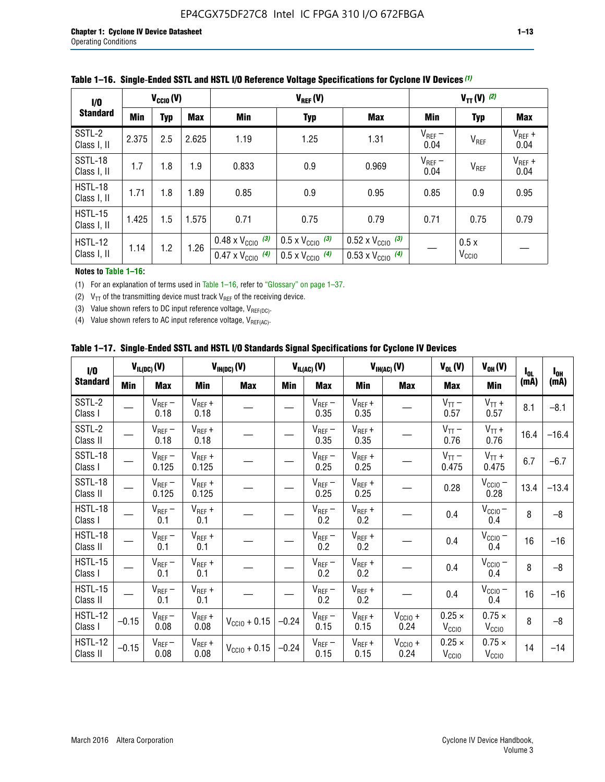| 1/0                           | $V_{CGI0}(V)$ |            |            |                                                                        |                                                                      | $V_{TT} (V)$ (2)                                                       |                     |                           |                     |
|-------------------------------|---------------|------------|------------|------------------------------------------------------------------------|----------------------------------------------------------------------|------------------------------------------------------------------------|---------------------|---------------------------|---------------------|
| <b>Standard</b>               | <b>Min</b>    | <b>Typ</b> | <b>Max</b> | Min                                                                    | <b>Typ</b>                                                           | <b>Max</b>                                                             | Min                 | <b>Typ</b>                | Max                 |
| SSTL-2<br>Class I, II         | 2.375         | 2.5        | 2.625      | 1.19                                                                   | 1.25                                                                 | 1.31                                                                   | $V_{REF}$ –<br>0.04 | V <sub>REF</sub>          | $V_{REF}$ +<br>0.04 |
| SSTL-18<br>Class I, II        | 1.7           | 1.8        | 1.9        | 0.833                                                                  | 0.9                                                                  | 0.969                                                                  | $V_{REF}$ –<br>0.04 | V <sub>REF</sub>          | $V_{REF}$ +<br>0.04 |
| HSTL-18<br>Class I, II        | 1.71          | 1.8        | .89        | 0.85                                                                   | 0.9                                                                  | 0.95                                                                   | 0.85                | 0.9                       | 0.95                |
| <b>HSTL-15</b><br>Class I, II | 1.425         | 1.5        | 1.575      | 0.71                                                                   | 0.75                                                                 | 0.79                                                                   | 0.71                | 0.75                      | 0.79                |
| HSTL-12<br>Class I, II        | 1.14          | 1.2        | 1.26       | $0.48 \times V_{\text{CC10}}$ (3)<br>$0.47 \times V_{\text{CC10}}$ (4) | $0.5 \times V_{\text{CC10}}$ (3)<br>$0.5 \times V_{\text{CC10}}$ (4) | $0.52 \times V_{\text{CC10}}$ (3)<br>$0.53 \times V_{\text{CC10}}$ (4) |                     | 0.5x<br>V <sub>CCIO</sub> |                     |

|  |  |  |  | Table 1–16. Single-Ended SSTL and HSTL I/O Reference Voltage Specifications for Cyclone IV Devices (1) |
|--|--|--|--|--------------------------------------------------------------------------------------------------------|
|--|--|--|--|--------------------------------------------------------------------------------------------------------|

#### **Notes to Table 1–16:**

(1) For an explanation of terms used in Table 1–16, refer to "Glossary" on page 1–37.

(2)  $V_{TT}$  of the transmitting device must track  $V_{REF}$  of the receiving device.

(3) Value shown refers to DC input reference voltage,  $V_{REF(DC)}$ .

(4) Value shown refers to AC input reference voltage,  $V_{REF(AC)}$ .

|  | Table 1–17.  Single-Ended SSTL and HSTL I/O Standards Signal Specifications for Cyclone IV Devices |  |  |  |  |  |
|--|----------------------------------------------------------------------------------------------------|--|--|--|--|--|
|--|----------------------------------------------------------------------------------------------------|--|--|--|--|--|

| 1/0                        |            | $V_{IL(DC)}(V)$      |                      | $V_{IH(DC)}(V)$       |         | $V_{IL(AC)}(V)$     |                     | $V_{IH(AC)}(V)$             | $V_{OL}(V)$                        | $V_{OH} (V)$                       | l <sub>ol</sub> | $I_{0H}$ |
|----------------------------|------------|----------------------|----------------------|-----------------------|---------|---------------------|---------------------|-----------------------------|------------------------------------|------------------------------------|-----------------|----------|
| <b>Standard</b>            | <b>Min</b> | <b>Max</b>           | <b>Min</b>           | <b>Max</b>            | Min     | <b>Max</b>          | Min                 | <b>Max</b>                  | <b>Max</b>                         | Min                                | (mA)            | (mA)     |
| SSTL-2<br>Class I          |            | $V_{REF}$ –<br>0.18  | $V_{REF} +$<br>0.18  |                       |         | $V_{REF}$ –<br>0.35 | $V_{REF} +$<br>0.35 |                             | $V_{TT}$ –<br>0.57                 | $V_{TT}$ +<br>0.57                 | 8.1             | $-8.1$   |
| SSTL-2<br>Class II         |            | $V_{REF}$ –<br>0.18  | $V_{REF} +$<br>0.18  |                       |         | $V_{REF}$ –<br>0.35 | $V_{REF} +$<br>0.35 |                             | $V_{TT}$ –<br>0.76                 | $V_{TT}$ +<br>0.76                 | 16.4            | $-16.4$  |
| SSTL-18<br>Class I         |            | $V_{REF}$ –<br>0.125 | $V_{REF} +$<br>0.125 |                       |         | $V_{REF}$ –<br>0.25 | $V_{REF}$ +<br>0.25 |                             | $V_{TT}$ –<br>0.475                | $V_{TT}$ +<br>0.475                | 6.7             | $-6.7$   |
| SSTL-18<br>Class II        |            | $V_{REF}$ –<br>0.125 | $V_{REF}$ +<br>0.125 |                       |         | $V_{REF}$ –<br>0.25 | $V_{REF}$ +<br>0.25 |                             | 0.28                               | $V_{CC10} -$<br>0.28               | 13.4            | $-13.4$  |
| <b>HSTL-18</b><br>Class I  |            | $V_{REF}$ –<br>0.1   | $V_{REF}$ +<br>0.1   |                       |         | $V_{REF}$ –<br>0.2  | $V_{REF}$ +<br>0.2  |                             | 0.4                                | $V_{CCIO}$ –<br>0.4                | 8               | $-8$     |
| HSTL-18<br>Class II        |            | $V_{REF}$ –<br>0.1   | $V_{REF}$ +<br>0.1   |                       |         | $V_{REF}$ –<br>0.2  | $V_{REF}$ +<br>0.2  |                             | 0.4                                | $V_{CCIO}$ $-$<br>0.4              | 16              | $-16$    |
| HSTL-15<br>Class I         |            | $V_{REF}$ –<br>0.1   | $V_{REF}$ +<br>0.1   |                       |         | $V_{REF}$ –<br>0.2  | $V_{REF}$ +<br>0.2  |                             | 0.4                                | $V_{CCIO}$ –<br>0.4                | 8               | $-8$     |
| HSTL-15<br>Class II        |            | $V_{REF}$ –<br>0.1   | $V_{REF}$ +<br>0.1   |                       |         | $V_{REF}$ –<br>0.2  | $V_{REF}$ +<br>0.2  |                             | 0.4                                | $V_{\text{CC1O}} -$<br>0.4         | 16              | $-16$    |
| <b>HSTL-12</b><br>Class I  | $-0.15$    | $V_{REF}-$<br>0.08   | $V_{REF} +$<br>0.08  | $V_{CGI0} + 0.15$     | $-0.24$ | $V_{REF}$ –<br>0.15 | $V_{REF} +$<br>0.15 | $V_{CCIO} +$<br>0.24        | $0.25 \times$<br>$V_{\rm CClO}$    | $0.75 \times$<br>V <sub>CCIO</sub> | 8               | $-8$     |
| <b>HSTL-12</b><br>Class II | $-0.15$    | $V_{REF}$ –<br>0.08  | $V_{REF} +$<br>0.08  | $V_{\rm CCl0} + 0.15$ | $-0.24$ | $V_{REF}$ –<br>0.15 | $V_{REF} +$<br>0.15 | $V_{\text{CC1O}} +$<br>0.24 | $0.25 \times$<br>V <sub>CCIO</sub> | $0.75 \times$<br>V <sub>CCIO</sub> | 14              | $-14$    |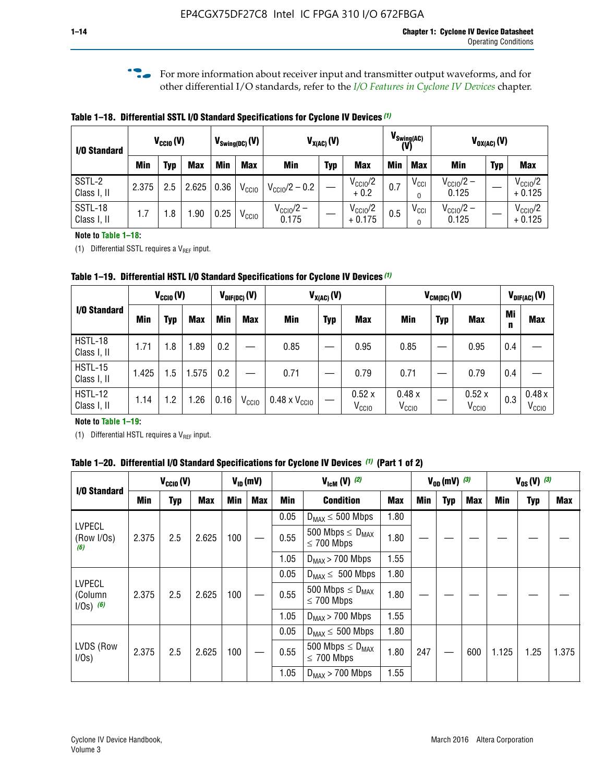**f For more information about receiver input and transmitter output waveforms, and for** other differential I/O standards, refer to the *[I/O Features in Cyclone IV Devices](http://www.altera.com/literature/hb/cyclone-iv/cyiv-51006.pdf)* chapter*.*

**Table 1–18. Differential SSTL I/O Standard Specifications for Cyclone IV Devices** *(1)*

| I/O Standard           |       | $V_{CCl0}(V)$ |            |      | $V_{\text{Swing(DC)}}(V)$ |                                | $V_{X(AC)}(V)$ |                                 |            | $V_{\text{Swing(AC)}}$<br>(V) |                                | $V_{OX(AC)}(V)$ |                                 |
|------------------------|-------|---------------|------------|------|---------------------------|--------------------------------|----------------|---------------------------------|------------|-------------------------------|--------------------------------|-----------------|---------------------------------|
|                        | Min   | Typ           | <b>Max</b> | Min  | <b>Max</b>                | <b>Min</b>                     | <b>Typ</b>     | <b>Max</b>                      | <b>Min</b> | <b>Max</b>                    | Min                            | <b>Typ</b>      | <b>Max</b>                      |
| SSTL-2<br>Class I, II  | 2.375 | 2.5           | 2.625      | 0.36 | V <sub>CCIO</sub>         | $V_{\text{CC10}}/2 - 0.2$      |                | $V_{\text{CC10}}/2$<br>$+0.2$   | 0.7        | $V_{\rm CCI}$                 | $V_{\text{CC10}}/2 -$<br>0.125 |                 | $V_{\text{CC10}}/2$<br>$+0.125$ |
| SSTL-18<br>Class I, II | 1.7   | .8            | .90        | 0.25 | V <sub>CCIO</sub>         | $V_{\text{CC10}}/2 -$<br>0.175 |                | $V_{\text{CC10}}/2$<br>$+0.175$ | 0.5        | $V_{\rm CCI}$                 | $V_{\text{CC10}}/2 -$<br>0.125 |                 | $V_{\text{CC10}}/2$<br>$+0.125$ |

#### **Note to Table 1–18:**

(1) Differential SSTL requires a  $V_{REF}$  input.

**Table 1–19. Differential HSTL I/O Standard Specifications for Cyclone IV Devices** *(1)*

|                               | $V_{CClO}(V)$ |     | $V_{X(AC)}(V)$<br>$V_{\text{DIF(DC)}}(V)$ |         |                   |                               |            |                            | $V_{CM(DC)}(V)$            | $V_{\text{DIF(AC)}}(V)$ |                            |         |                            |
|-------------------------------|---------------|-----|-------------------------------------------|---------|-------------------|-------------------------------|------------|----------------------------|----------------------------|-------------------------|----------------------------|---------|----------------------------|
| I/O Standard                  | Min           | Typ | <b>Max</b>                                | Min     | <b>Max</b>        | Min                           | <b>Typ</b> | <b>Max</b>                 | Min                        | <b>Typ</b>              | <b>Max</b>                 | Mi<br>n | <b>Max</b>                 |
| HSTL-18<br>Class I, II        | 1.71          | 1.8 | .89                                       | 0.2     |                   | 0.85                          |            | 0.95                       | 0.85                       |                         | 0.95                       | 0.4     |                            |
| <b>HSTL-15</b><br>Class I, II | 1.425         | 1.5 | .575                                      | $0.2\,$ |                   | 0.71                          |            | 0.79                       | 0.71                       |                         | 0.79                       | 0.4     |                            |
| <b>HSTL-12</b><br>Class I, II | 1.14          | 1.2 | 1.26                                      | 0.16    | V <sub>CCIO</sub> | $0.48 \times V_{\text{CC10}}$ |            | 0.52x<br>V <sub>CCIO</sub> | 0.48x<br>V <sub>CCIO</sub> |                         | 0.52x<br>V <sub>CCIO</sub> | 0.3     | 0.48x<br>V <sub>CCIO</sub> |

#### **Note to Table 1–19:**

(1) Differential HSTL requires a  $V_{REF}$  input.

**Table 1–20. Differential I/O Standard Specifications for Cyclone IV Devices** *(1)* **(Part 1 of 2)**

| I/O Standard                            |       | $V_{CCl0} (V)$ |            |            | $V_{ID}$ (mV) |      | $V_{\text{lcm}}(V)^{(2)}$                           |            |     | $V_{0D}$ (mV) $(3)$ |     | $V_{0S} (V)^{(3)}$ |            |       |
|-----------------------------------------|-------|----------------|------------|------------|---------------|------|-----------------------------------------------------|------------|-----|---------------------|-----|--------------------|------------|-------|
|                                         | Min   | Typ            | <b>Max</b> | <b>Min</b> | <b>Max</b>    | Min  | <b>Condition</b>                                    | <b>Max</b> | Min | Typ                 | Max | Min                | <b>Typ</b> | Max   |
|                                         |       |                |            |            |               | 0.05 | $D_{MAX} \leq 500$ Mbps                             | 1.80       |     |                     |     |                    |            |       |
| <b>LVPECL</b><br>(Row I/Os)<br>(6)      | 2.375 | 2.5            | 2.625      | 100        |               | 0.55 | 500 Mbps $\leq$ D <sub>MAX</sub><br>$\leq$ 700 Mbps | 1.80       |     |                     |     |                    |            |       |
|                                         |       |                |            |            |               | 1.05 | $D_{MAX}$ > 700 Mbps                                | 1.55       |     |                     |     |                    |            |       |
|                                         |       |                |            |            |               | 0.05 | $D_{MAX} \leq 500$ Mbps                             | 1.80       |     |                     |     |                    |            |       |
| <b>LVPECL</b><br>(Column<br>$1/Os)$ (6) | 2.375 | 2.5            | 2.625      | 100        |               | 0.55 | 500 Mbps $\leq D_{MAX}$<br>$\leq$ 700 Mbps          | 1.80       |     |                     |     |                    |            |       |
|                                         |       |                |            |            |               | 1.05 | $D_{MAX}$ > 700 Mbps                                | 1.55       |     |                     |     |                    |            |       |
|                                         |       |                |            |            |               | 0.05 | $D_{MAX} \leq 500$ Mbps                             | 1.80       |     |                     |     |                    |            |       |
| LVDS (Row<br>I/Os)                      | 2.375 | 2.5            | 2.625      | 100        |               | 0.55 | 500 Mbps $\leq D_{MAX}$<br>$\leq 700$ Mbps          | 1.80       | 247 |                     | 600 | 1.125              | 1.25       | 1.375 |
|                                         |       |                |            |            |               | 1.05 | $D_{MAX}$ > 700 Mbps                                | 1.55       |     |                     |     |                    |            |       |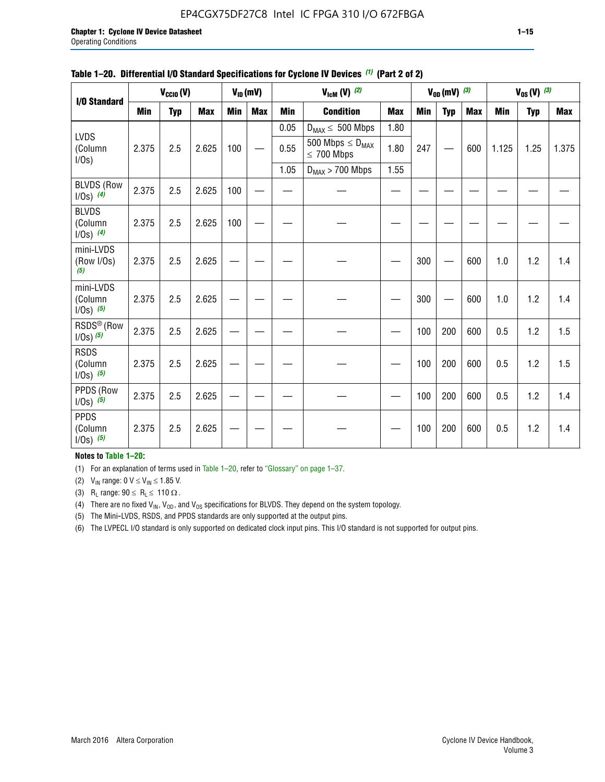### EP4CGX75DF27C8 Intel IC FPGA 310 I/O 672FBGA

|                                          |            | $V_{\text{CCIO}}(V)$ |            |     | $V_{ID}(mV)$ |            | $V_{\text{ICM}}(V)$ (2)                    |            |     | $V_{0D}$ (mV) $(3)$ |            |            | $V_{0S} (V)$ (3) |            |
|------------------------------------------|------------|----------------------|------------|-----|--------------|------------|--------------------------------------------|------------|-----|---------------------|------------|------------|------------------|------------|
| I/O Standard                             |            |                      |            |     |              |            |                                            |            |     |                     |            |            |                  |            |
|                                          | <b>Min</b> | <b>Typ</b>           | <b>Max</b> | Min | <b>Max</b>   | <b>Min</b> | <b>Condition</b>                           | <b>Max</b> | Min | <b>Typ</b>          | <b>Max</b> | <b>Min</b> | <b>Typ</b>       | <b>Max</b> |
| <b>LVDS</b>                              |            |                      |            |     |              | 0.05       | $D_{MAX} \leq 500$ Mbps                    | 1.80       |     |                     |            |            |                  |            |
| (Column<br>I/Os)                         | 2.375      | 2.5                  | 2.625      | 100 |              | 0.55       | 500 Mbps $\leq D_{MAX}$<br>$\leq 700$ Mbps | 1.80       | 247 |                     | 600        | 1.125      | 1.25             | 1.375      |
|                                          |            |                      |            |     |              | 1.05       | $D_{MAX}$ > 700 Mbps                       | 1.55       |     |                     |            |            |                  |            |
| <b>BLVDS (Row</b><br>$I/Os)$ (4)         | 2.375      | 2.5                  | 2.625      | 100 |              |            |                                            |            |     |                     |            |            |                  |            |
| <b>BLVDS</b><br>(Column<br>$1/0s)$ (4)   | 2.375      | 2.5                  | 2.625      | 100 |              |            |                                            |            |     |                     |            |            |                  |            |
| mini-LVDS<br>(Row I/Os)<br>(5)           | 2.375      | 2.5                  | 2.625      |     |              |            |                                            |            | 300 |                     | 600        | 1.0        | 1.2              | 1.4        |
| mini-LVDS<br>(Column<br>$1/Os)$ (5)      | 2.375      | 2.5                  | 2.625      |     |              |            |                                            |            | 300 |                     | 600        | 1.0        | 1.2              | 1.4        |
| RSDS <sup>®</sup> (Row<br>$1/0s$ ) $(5)$ | 2.375      | 2.5                  | 2.625      |     |              |            |                                            |            | 100 | 200                 | 600        | 0.5        | 1.2              | 1.5        |
| <b>RSDS</b><br>(Column<br>$1/Os)$ (5)    | 2.375      | 2.5                  | 2.625      |     |              |            |                                            |            | 100 | 200                 | 600        | 0.5        | 1.2              | 1.5        |
| PPDS (Row<br>$1/0s)$ (5)                 | 2.375      | 2.5                  | 2.625      |     |              |            |                                            |            | 100 | 200                 | 600        | 0.5        | 1.2              | 1.4        |
| <b>PPDS</b><br>(Column<br>$1/0s)$ (5)    | 2.375      | 2.5                  | 2.625      |     |              |            |                                            |            | 100 | 200                 | 600        | 0.5        | 1.2              | 1.4        |

#### **Table 1–20. Differential I/O Standard Specifications for Cyclone IV Devices** *(1)* **(Part 2 of 2)**

#### **Notes to Table 1–20:**

(1) For an explanation of terms used in Table 1–20, refer to "Glossary" on page 1–37.

(2)  $V_{IN}$  range: 0  $V \le V_{IN} \le 1.85$  V.

(3) R<sub>L</sub> range:  $90 \le R_L \le 110 \Omega$ .

(4) There are no fixed  $V_{IN}$ ,  $V_{OD}$ , and  $V_{OS}$  specifications for BLVDS. They depend on the system topology.

(5) The Mini-LVDS, RSDS, and PPDS standards are only supported at the output pins.

(6) The LVPECL I/O standard is only supported on dedicated clock input pins. This I/O standard is not supported for output pins.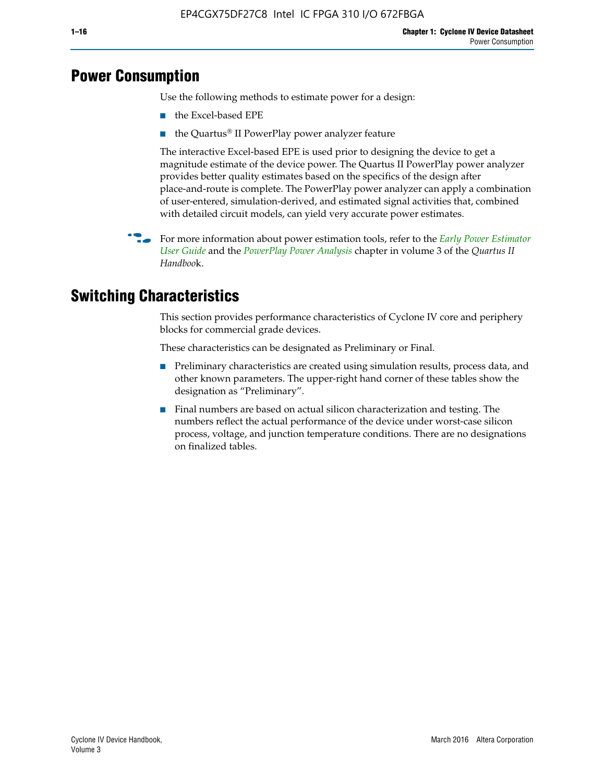## **Power Consumption**

Use the following methods to estimate power for a design:

- the Excel-based EPE
- the Quartus® II PowerPlay power analyzer feature

The interactive Excel-based EPE is used prior to designing the device to get a magnitude estimate of the device power. The Quartus II PowerPlay power analyzer provides better quality estimates based on the specifics of the design after place-and-route is complete. The PowerPlay power analyzer can apply a combination of user-entered, simulation-derived, and estimated signal activities that, combined with detailed circuit models, can yield very accurate power estimates.

f For more information about power estimation tools, refer to the *[Early Power Estimator](http://www.altera.com/literature/ug/ug_epe.pdf
)  [User Guide](http://www.altera.com/literature/ug/ug_epe.pdf
)* and the *[PowerPlay Power Analysis](http://www.altera.com/literature/hb/qts/qts_qii53013.pdf)* chapter in volume 3 of the *Quartus II Handboo*k.

## **Switching Characteristics**

This section provides performance characteristics of Cyclone IV core and periphery blocks for commercial grade devices.

These characteristics can be designated as Preliminary or Final.

- Preliminary characteristics are created using simulation results, process data, and other known parameters. The upper-right hand corner of these tables show the designation as "Preliminary".
- Final numbers are based on actual silicon characterization and testing. The numbers reflect the actual performance of the device under worst-case silicon process, voltage, and junction temperature conditions. There are no designations on finalized tables.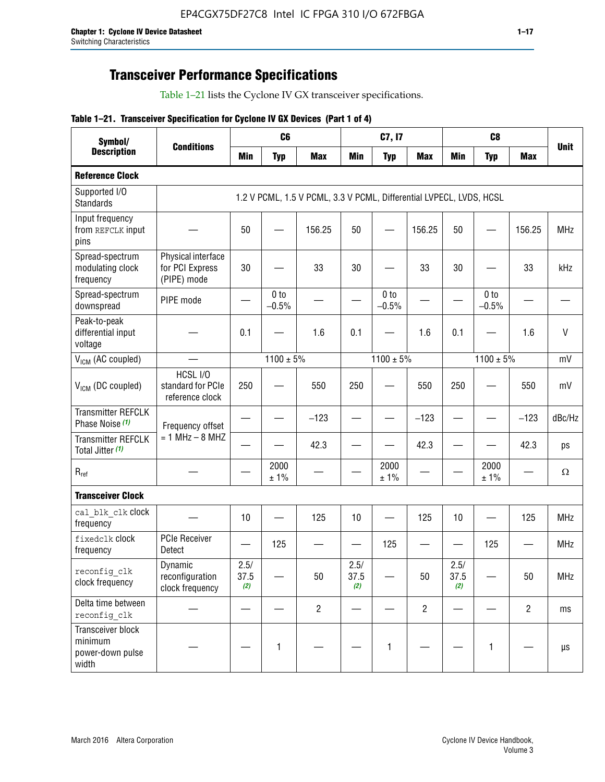## **Transceiver Performance Specifications**

Table 1–21 lists the Cyclone IV GX transceiver specifications.

#### **Table 1–21. Transceiver Specification for Cyclone IV GX Devices (Part 1 of 4)**

| Symbol/                                                   |                                                      |                          | C <sub>6</sub>             |                                                                     |                                | C7, I7                     |                                |                     | C <sub>8</sub>           |                |             |
|-----------------------------------------------------------|------------------------------------------------------|--------------------------|----------------------------|---------------------------------------------------------------------|--------------------------------|----------------------------|--------------------------------|---------------------|--------------------------|----------------|-------------|
| <b>Description</b>                                        | <b>Conditions</b>                                    | <b>Min</b>               | <b>Typ</b>                 | <b>Max</b>                                                          | <b>Min</b>                     | <b>Typ</b>                 | <b>Max</b>                     | <b>Min</b>          | <b>Typ</b>               | <b>Max</b>     | <b>Unit</b> |
| <b>Reference Clock</b>                                    |                                                      |                          |                            |                                                                     |                                |                            |                                |                     |                          |                |             |
| Supported I/O<br><b>Standards</b>                         |                                                      |                          |                            | 1.2 V PCML, 1.5 V PCML, 3.3 V PCML, Differential LVPECL, LVDS, HCSL |                                |                            |                                |                     |                          |                |             |
| Input frequency<br>from REFCLK input<br>pins              |                                                      | 50                       |                            | 156.25                                                              | 50                             |                            | 156.25                         | 50                  |                          | 156.25         | <b>MHz</b>  |
| Spread-spectrum<br>modulating clock<br>frequency          | Physical interface<br>for PCI Express<br>(PIPE) mode | 30                       |                            | 33                                                                  | 30                             |                            | 33                             | 30                  |                          | 33             | kHz         |
| Spread-spectrum<br>downspread                             | PIPE mode                                            |                          | 0 <sub>to</sub><br>$-0.5%$ |                                                                     |                                | 0 <sub>to</sub><br>$-0.5%$ |                                |                     | 0 to<br>$-0.5%$          |                |             |
| Peak-to-peak<br>differential input<br>voltage             |                                                      | 0.1                      |                            | 1.6                                                                 | 0.1                            |                            | 1.6                            | 0.1                 |                          | 1.6            | V           |
| V <sub>ICM</sub> (AC coupled)                             |                                                      |                          | $1100 \pm 5\%$             |                                                                     |                                | $1100 \pm 5\%$             |                                |                     | $1100 \pm 5\%$           |                | mV          |
| V <sub>ICM</sub> (DC coupled)                             | HCSL I/O<br>standard for PCIe<br>reference clock     | 250                      |                            | 550                                                                 | 250                            |                            | 550                            | 250                 |                          | 550            | mV          |
| <b>Transmitter REFCLK</b><br>Phase Noise (1)              | Frequency offset                                     |                          |                            | $-123$                                                              | $\overline{\phantom{0}}$       |                            | $-123$                         | —                   |                          | $-123$         | dBc/Hz      |
| <b>Transmitter REFCLK</b><br>Total Jitter (1)             | $= 1$ MHz $- 8$ MHZ                                  |                          |                            | 42.3                                                                |                                |                            | 42.3                           |                     |                          | 42.3           | ps          |
| $R_{ref}$                                                 |                                                      |                          | 2000<br>± 1%               |                                                                     |                                | 2000<br>± 1%               |                                |                     | 2000<br>± 1%             |                | $\Omega$    |
| <b>Transceiver Clock</b>                                  |                                                      |                          |                            |                                                                     |                                |                            |                                |                     |                          |                |             |
| cal blk clk clock<br>frequency                            |                                                      | 10                       |                            | 125                                                                 | 10                             |                            | 125                            | 10                  | $\overline{\phantom{0}}$ | 125            | MHz         |
| fixedclk Clock<br>frequency                               | <b>PCIe Receiver</b><br>Detect                       | $\overline{\phantom{0}}$ | 125                        |                                                                     | $\qquad \qquad \longleftarrow$ | 125                        | $\qquad \qquad \longleftarrow$ | —                   | 125                      |                | <b>MHz</b>  |
| reconfig_clk<br>clock frequency                           | Dynamic<br>reconfiguration<br>clock frequency        | 2.5/<br>37.5<br>(2)      |                            | 50                                                                  | 2.5/<br>37.5<br>(2)            |                            | 50                             | 2.5/<br>37.5<br>(2) |                          | 50             | <b>MHz</b>  |
| Delta time between<br>reconfig clk                        |                                                      |                          |                            | $\overline{2}$                                                      |                                |                            | $\overline{c}$                 |                     |                          | $\overline{2}$ | ms          |
| Transceiver block<br>minimum<br>power-down pulse<br>width |                                                      |                          | 1                          |                                                                     |                                | 1                          |                                |                     | $\mathbf{1}$             |                | μs          |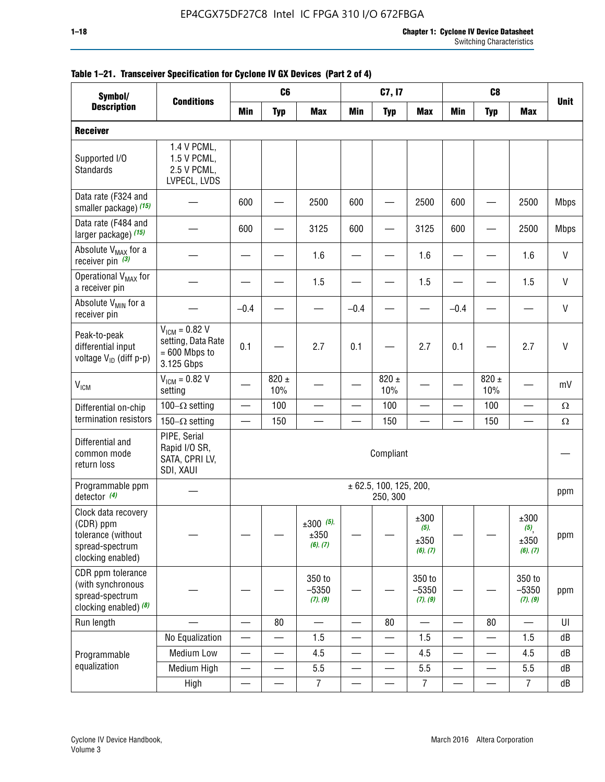| Symbol/                                                                                        |                                                                           | C <sub>6</sub><br>C7, I7<br>C <sub>8</sub> |                  |                                    |                          |                                    |                                     |                          |                          |                                                     |              |
|------------------------------------------------------------------------------------------------|---------------------------------------------------------------------------|--------------------------------------------|------------------|------------------------------------|--------------------------|------------------------------------|-------------------------------------|--------------------------|--------------------------|-----------------------------------------------------|--------------|
| <b>Description</b>                                                                             | <b>Conditions</b>                                                         | <b>Min</b>                                 | <b>Typ</b>       | <b>Max</b>                         | <b>Min</b>               | <b>Typ</b>                         | <b>Max</b>                          | <b>Min</b>               | <b>Typ</b>               | <b>Max</b>                                          | <b>Unit</b>  |
| <b>Receiver</b>                                                                                |                                                                           |                                            |                  |                                    |                          |                                    |                                     |                          |                          |                                                     |              |
| Supported I/O<br>Standards                                                                     | 1.4 V PCML,<br>1.5 V PCML,<br>2.5 V PCML,<br>LVPECL, LVDS                 |                                            |                  |                                    |                          |                                    |                                     |                          |                          |                                                     |              |
| Data rate (F324 and<br>smaller package) (15)                                                   |                                                                           | 600                                        |                  | 2500                               | 600                      |                                    | 2500                                | 600                      |                          | 2500                                                | <b>Mbps</b>  |
| Data rate (F484 and<br>larger package) (15)                                                    |                                                                           | 600                                        |                  | 3125                               | 600                      |                                    | 3125                                | 600                      |                          | 2500                                                | <b>Mbps</b>  |
| Absolute V <sub>MAX</sub> for a<br>receiver pin $(3)$                                          |                                                                           |                                            |                  | 1.6                                |                          |                                    | 1.6                                 |                          |                          | 1.6                                                 | V            |
| Operational V <sub>MAX</sub> for<br>a receiver pin                                             |                                                                           |                                            |                  | 1.5                                |                          |                                    | 1.5                                 |                          |                          | 1.5                                                 | V            |
| Absolute V <sub>MIN</sub> for a<br>receiver pin                                                |                                                                           | $-0.4$                                     |                  |                                    | $-0.4$                   |                                    |                                     | $-0.4$                   |                          |                                                     | $\mathsf{V}$ |
| Peak-to-peak<br>differential input<br>voltage V <sub>ID</sub> (diff p-p)                       | $V_{ICM} = 0.82 V$<br>setting, Data Rate<br>$= 600$ Mbps to<br>3.125 Gbps | 0.1                                        |                  | 2.7                                | 0.1                      |                                    | 2.7                                 | 0.1                      |                          | 2.7                                                 | $\mathsf{V}$ |
| $\rm V_{IGM}$                                                                                  | $V_{IGM} = 0.82 V$<br>setting                                             |                                            | $820 \pm$<br>10% |                                    |                          | 820 $\pm$<br>10%                   |                                     |                          | $820 \pm$<br>10%         |                                                     | mV           |
| Differential on-chip                                                                           | 100 $-\Omega$ setting                                                     | $\overline{\phantom{0}}$                   | 100              | $\overline{\phantom{0}}$           |                          | 100                                | $\overline{\phantom{0}}$            |                          | 100                      | $\overline{\phantom{0}}$                            | $\Omega$     |
| termination resistors                                                                          | 150 $-\Omega$ setting                                                     |                                            | 150              |                                    |                          | 150                                |                                     |                          | 150                      |                                                     | $\Omega$     |
| Differential and<br>common mode<br>return loss                                                 | PIPE, Serial<br>Rapid I/O SR,<br>SATA, CPRI LV,<br>SDI, XAUI              |                                            |                  |                                    |                          | Compliant                          |                                     |                          |                          |                                                     |              |
| Programmable ppm<br>detector $(4)$                                                             |                                                                           |                                            |                  |                                    |                          | ± 62.5, 100, 125, 200,<br>250, 300 |                                     |                          |                          |                                                     | ppm          |
| Clock data recovery<br>(CDR) ppm<br>tolerance (without<br>spread-spectrum<br>clocking enabled) |                                                                           |                                            |                  | $\pm 300$ (5),<br>±350<br>(6), (7) |                          |                                    | ±300<br>$(5)$ ,<br>±350<br>(6), (7) |                          |                          | $\pm 300$<br>$(5)$ <sub>,</sub><br>±350<br>(6), (7) | ppm          |
| CDR ppm tolerance<br>(with synchronous<br>spread-spectrum<br>clocking enabled) (8)             |                                                                           |                                            |                  | 350 to<br>$-5350$<br>(7), (9)      |                          |                                    | 350 to<br>$-5350$<br>(7), (9)       |                          |                          | 350 to<br>$-5350$<br>(7), (9)                       | ppm          |
| Run length                                                                                     |                                                                           |                                            | 80               |                                    |                          | 80                                 |                                     |                          | 80                       |                                                     | UI           |
|                                                                                                | No Equalization                                                           | $\overline{\phantom{0}}$                   |                  | 1.5                                | $\overline{\phantom{0}}$ |                                    | 1.5                                 | $\overline{\phantom{0}}$ | $\overline{\phantom{0}}$ | 1.5                                                 | dB           |
| Programmable                                                                                   | Medium Low                                                                | —                                          |                  | 4.5                                |                          |                                    | 4.5                                 |                          | $\overline{\phantom{0}}$ | 4.5                                                 | dB           |
| equalization                                                                                   | Medium High                                                               | $\overline{\phantom{0}}$                   | $\qquad \qquad$  | 5.5                                | $\qquad \qquad$          | $\qquad \qquad \qquad$             | 5.5                                 | $\overline{\phantom{m}}$ | $\overline{\phantom{0}}$ | 5.5                                                 | dB           |
|                                                                                                | High                                                                      | —                                          |                  | $\overline{7}$                     | —                        |                                    | $\overline{7}$                      |                          | —                        | $\overline{7}$                                      | dB           |

#### **Table 1–21. Transceiver Specification for Cyclone IV GX Devices (Part 2 of 4)**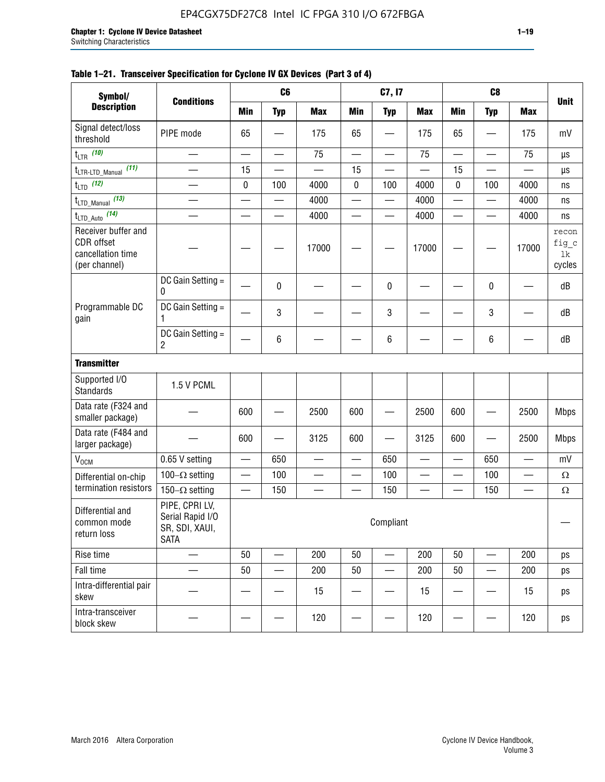#### **Table 1–21. Transceiver Specification for Cyclone IV GX Devices (Part 3 of 4)**

| Symbol/                                                                 |                                                                     |                          | C <sub>6</sub>           |                          |                          | C7, I7                         |                          |                          | C <sub>8</sub>           |                          |                                |
|-------------------------------------------------------------------------|---------------------------------------------------------------------|--------------------------|--------------------------|--------------------------|--------------------------|--------------------------------|--------------------------|--------------------------|--------------------------|--------------------------|--------------------------------|
| <b>Description</b>                                                      | <b>Conditions</b>                                                   | <b>Min</b>               | <b>Typ</b>               | <b>Max</b>               | <b>Min</b>               | <b>Typ</b>                     | <b>Max</b>               | <b>Min</b>               | <b>Typ</b>               | <b>Max</b>               | <b>Unit</b>                    |
| Signal detect/loss<br>threshold                                         | PIPE mode                                                           | 65                       |                          | 175                      | 65                       |                                | 175                      | 65                       | —                        | 175                      | mV                             |
| $t_{LTR}$ (10)                                                          | $\overline{\phantom{0}}$                                            | $\overline{\phantom{0}}$ | $\qquad \qquad \qquad$   | 75                       | $\overline{\phantom{0}}$ | $\qquad \qquad \longleftarrow$ | 75                       |                          | $\overline{\phantom{0}}$ | 75                       | $\mu s$                        |
| (11)<br>$t_{\text{LTR-LTD\_Manual}}$                                    |                                                                     | 15                       |                          |                          | 15                       |                                |                          | 15                       |                          |                          | μs                             |
| $t_{LTD}$ (12)                                                          |                                                                     | 0                        | 100                      | 4000                     | 0                        | 100                            | 4000                     | 0                        | 100                      | 4000                     | ns                             |
| $t_{\text{LTD\_Manual}}$ (13)                                           | $\overline{\phantom{0}}$                                            | $\overline{\phantom{0}}$ | $\overline{\phantom{0}}$ | 4000                     | $\overline{\phantom{0}}$ | $\overline{\phantom{0}}$       | 4000                     | $\overline{\phantom{0}}$ | $\overline{\phantom{0}}$ | 4000                     | ns                             |
| $t_{\text{LTD\_Auto}}$ (14)                                             |                                                                     |                          |                          | 4000                     |                          |                                | 4000                     |                          |                          | 4000                     | ns                             |
| Receiver buffer and<br>CDR offset<br>cancellation time<br>(per channel) |                                                                     |                          |                          | 17000                    |                          |                                | 17000                    |                          |                          | 17000                    | recon<br>fig_c<br>lk<br>cycles |
|                                                                         | DC Gain Setting =<br>0                                              |                          | 0                        |                          |                          | $\mathbf 0$                    |                          |                          | $\pmb{0}$                |                          | dB                             |
| Programmable DC<br>gain                                                 | DC Gain Setting =<br>1                                              |                          | 3                        |                          |                          | 3                              |                          |                          | 3                        |                          | dB                             |
|                                                                         | DC Gain Setting =<br>$\overline{2}$                                 |                          | $\,6\,$                  |                          |                          | $\,6\,$                        |                          |                          | 6                        |                          | dB                             |
| <b>Transmitter</b>                                                      |                                                                     |                          |                          |                          |                          |                                |                          |                          |                          |                          |                                |
| Supported I/O<br><b>Standards</b>                                       | 1.5 V PCML                                                          |                          |                          |                          |                          |                                |                          |                          |                          |                          |                                |
| Data rate (F324 and<br>smaller package)                                 |                                                                     | 600                      |                          | 2500                     | 600                      |                                | 2500                     | 600                      | $\overline{\phantom{0}}$ | 2500                     | <b>Mbps</b>                    |
| Data rate (F484 and<br>larger package)                                  |                                                                     | 600                      | -                        | 3125                     | 600                      | —                              | 3125                     | 600                      | —                        | 2500                     | <b>Mbps</b>                    |
| $\rm V_{\rm OCM}$                                                       | 0.65 V setting                                                      | $\overline{\phantom{0}}$ | 650                      | —                        | $\overline{\phantom{0}}$ | 650                            | —                        | $\qquad \qquad$          | 650                      | $\overline{\phantom{0}}$ | mV                             |
| Differential on-chip                                                    | 100 $-\Omega$ setting                                               |                          | 100                      | $\overline{\phantom{0}}$ | $\overline{\phantom{0}}$ | 100                            | —                        | $\overline{\phantom{0}}$ | 100                      | $\overline{\phantom{0}}$ | $\Omega$                       |
| termination resistors                                                   | 150 $-\Omega$ setting                                               | $\qquad \qquad -$        | 150                      | —                        | $\overline{\phantom{0}}$ | 150                            | $\overline{\phantom{0}}$ | $\qquad \qquad$          | 150                      |                          | Ω                              |
| Differential and<br>common mode<br>return loss                          | PIPE, CPRI LV,<br>Serial Rapid I/O<br>SR, SDI, XAUI,<br><b>SATA</b> |                          |                          |                          |                          | Compliant                      |                          |                          |                          |                          |                                |
| Rise time                                                               | $\qquad \qquad$                                                     | 50                       | $\overline{\phantom{0}}$ | 200                      | 50                       | $\overline{\phantom{0}}$       | 200                      | 50                       | $\overline{\phantom{0}}$ | 200                      | ps                             |
| Fall time                                                               |                                                                     | 50                       | $\overline{\phantom{0}}$ | 200                      | 50                       |                                | 200                      | 50                       | $\overline{\phantom{0}}$ | 200                      | ps                             |
| Intra-differential pair<br>skew                                         |                                                                     |                          |                          | 15                       |                          |                                | 15                       |                          | $\overline{\phantom{0}}$ | 15                       | ps                             |
| Intra-transceiver<br>block skew                                         |                                                                     |                          |                          | 120                      |                          |                                | 120                      |                          |                          | 120                      | ps                             |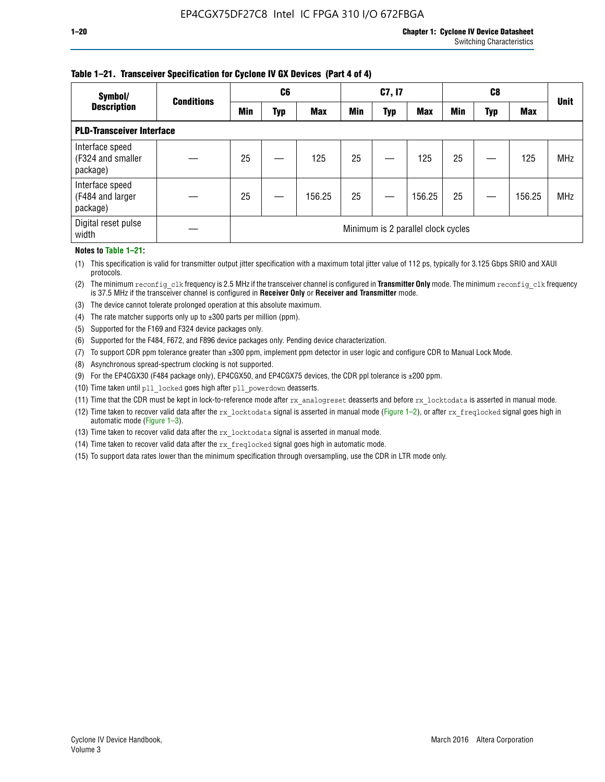#### **Table 1–21. Transceiver Specification for Cyclone IV GX Devices (Part 4 of 4)**

| Symbol/                                          | <b>Conditions</b> |            | C <sub>6</sub> |            |            | C7, I7     |                                    |            | C8  |            | <b>Unit</b> |
|--------------------------------------------------|-------------------|------------|----------------|------------|------------|------------|------------------------------------|------------|-----|------------|-------------|
| <b>Description</b>                               |                   | <b>Min</b> | Typ            | <b>Max</b> | <b>Min</b> | <b>Typ</b> | <b>Max</b>                         | <b>Min</b> | Typ | <b>Max</b> |             |
| <b>PLD-Transceiver Interface</b>                 |                   |            |                |            |            |            |                                    |            |     |            |             |
| Interface speed<br>(F324 and smaller<br>package) |                   | 25         |                | 125        | 25         |            | 125                                | 25         |     | 125        | <b>MHz</b>  |
| Interface speed<br>(F484 and larger<br>package)  |                   | 25         |                | 156.25     | 25         |            | 156.25                             | 25         |     | 156.25     | <b>MHz</b>  |
| Digital reset pulse<br>width                     |                   |            |                |            |            |            | Minimum is 2 parallel clock cycles |            |     |            |             |

#### **Notes to Table 1–21:**

(1) This specification is valid for transmitter output jitter specification with a maximum total jitter value of 112 ps, typically for 3.125 Gbps SRIO and XAUI protocols.

(2) The minimum reconfig\_clk frequency is 2.5 MHz if the transceiver channel is configured in **Transmitter Only** mode. The minimum reconfig\_clk frequency is 37.5 MHz if the transceiver channel is configured in **Receiver Only** or **Receiver and Transmitter** mode.

(3) The device cannot tolerate prolonged operation at this absolute maximum.

- (4) The rate matcher supports only up to  $\pm 300$  parts per million (ppm).
- (5) Supported for the F169 and F324 device packages only.
- (6) Supported for the F484, F672, and F896 device packages only. Pending device characterization.
- (7) To support CDR ppm tolerance greater than ±300 ppm, implement ppm detector in user logic and configure CDR to Manual Lock Mode.
- (8) Asynchronous spread-spectrum clocking is not supported.
- (9) For the EP4CGX30 (F484 package only), EP4CGX50, and EP4CGX75 devices, the CDR ppl tolerance is ±200 ppm.
- (10) Time taken until pll\_locked goes high after pll\_powerdown deasserts.
- (11) Time that the CDR must be kept in lock-to-reference mode after rx analogreset deasserts and before rx locktodata is asserted in manual mode.

(12) Time taken to recover valid data after the rx locktodata signal is asserted in manual mode (Figure 1–2), or after rx freqlocked signal goes high in automatic mode (Figure 1–3).

(13) Time taken to recover valid data after the rx locktodata signal is asserted in manual mode.

- (14) Time taken to recover valid data after the rx freqlocked signal goes high in automatic mode.
- (15) To support data rates lower than the minimum specification through oversampling, use the CDR in LTR mode only.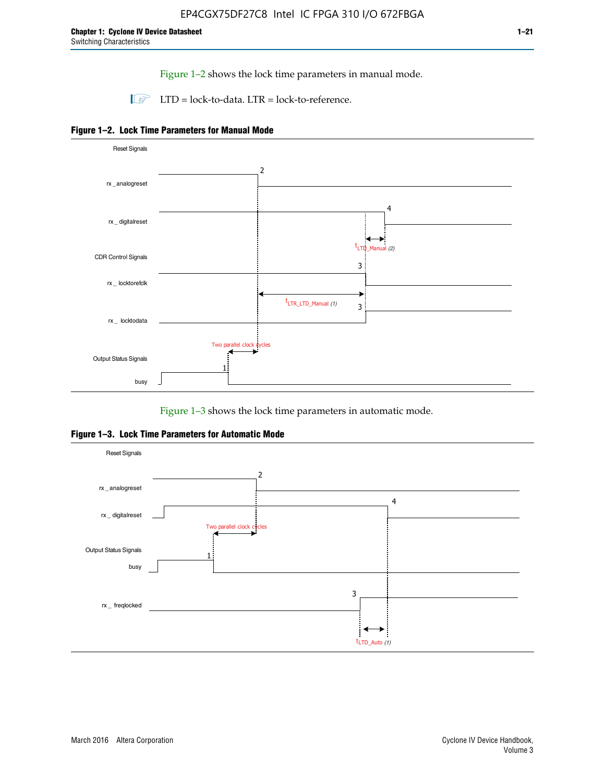Figure 1–2 shows the lock time parameters in manual mode.

 $\Box$  LTD = lock-to-data. LTR = lock-to-reference.





Figure 1–3 shows the lock time parameters in automatic mode.

**Figure 1–3. Lock Time Parameters for Automatic Mode**

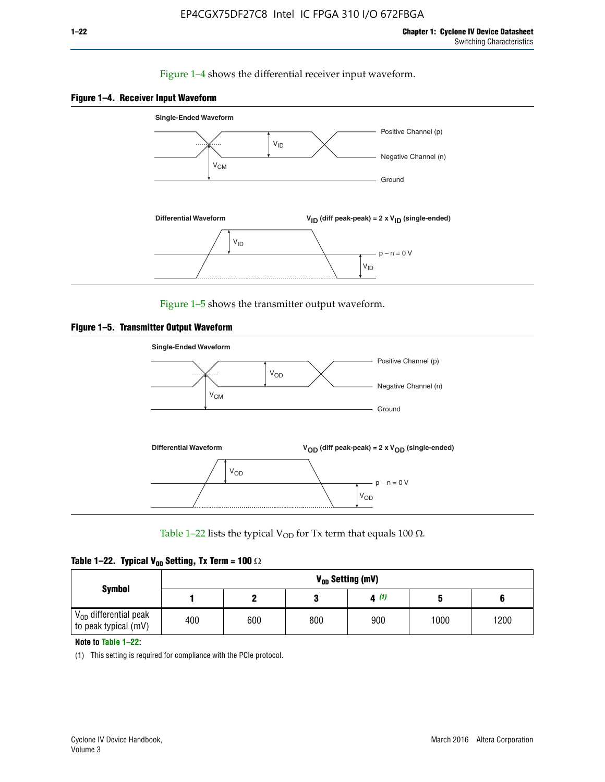#### Figure 1–4 shows the differential receiver input waveform.





Figure 1–5 shows the transmitter output waveform.





Table 1–22 lists the typical V<sub>OD</sub> for Tx term that equals 100  $\Omega$ .

|  |  | Table 1–22. Typical V <sub>0D</sub> Setting, Tx Term = 100 $\Omega$ |  |  |
|--|--|---------------------------------------------------------------------|--|--|
|--|--|---------------------------------------------------------------------|--|--|

|                                                        |     |     |     | V <sub>on</sub> Setting (mV) |      |      |
|--------------------------------------------------------|-----|-----|-----|------------------------------|------|------|
| <b>Symbol</b>                                          |     |     |     | 4(1)                         |      |      |
| $\rm V_{OD}$ differential peak<br>to peak typical (mV) | 400 | 600 | 800 | 900                          | 1000 | 1200 |

**Note to Table 1–22:**

(1) This setting is required for compliance with the PCIe protocol.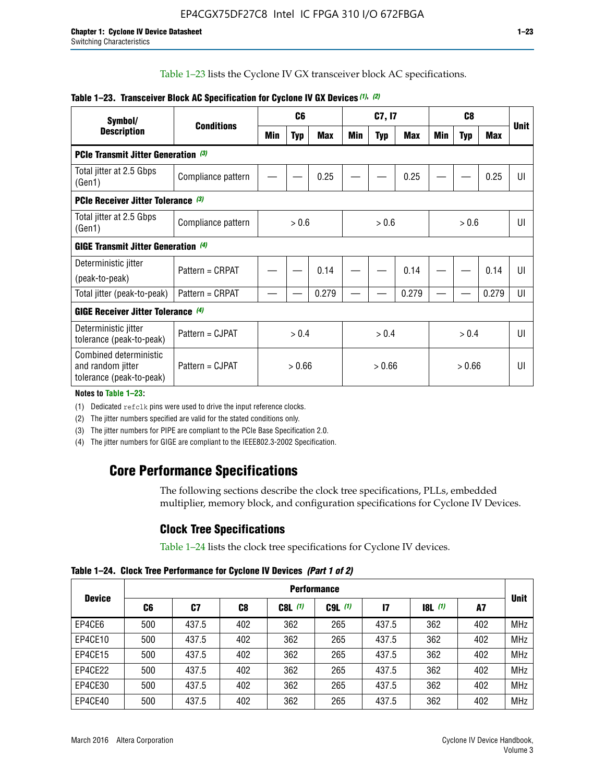Table 1–23 lists the Cyclone IV GX transceiver block AC specifications.

| Symbol/                                                                 | <b>Conditions</b>  |       | C <sub>6</sub> |            |        | C7, I7     |       |        | <b>Unit</b> |            |                |
|-------------------------------------------------------------------------|--------------------|-------|----------------|------------|--------|------------|-------|--------|-------------|------------|----------------|
| <b>Description</b>                                                      |                    | Min   | <b>Typ</b>     | <b>Max</b> | Min    | <b>Typ</b> | Max   | Min    | <b>Typ</b>  | <b>Max</b> |                |
| <b>PCIe Transmit Jitter Generation (3)</b>                              |                    |       |                |            |        |            |       |        |             |            |                |
| Total jitter at 2.5 Gbps<br>(Gen1)                                      | Compliance pattern |       |                | 0.25       |        |            | 0.25  |        |             | 0.25       | UI             |
| <b>PCIe Receiver Jitter Tolerance (3)</b>                               |                    |       |                |            |        |            |       |        |             |            |                |
| Total jitter at 2.5 Gbps<br>(Gen1)                                      | Compliance pattern | > 0.6 |                |            | > 0.6  |            |       |        | UI          |            |                |
| <b>GIGE Transmit Jitter Generation (4)</b>                              |                    |       |                |            |        |            |       |        |             |            |                |
| Deterministic jitter                                                    | Pattern = CRPAT    |       |                | 0.14       |        |            | 0.14  |        |             | 0.14       | UI             |
| (peak-to-peak)                                                          |                    |       |                |            |        |            |       |        |             |            |                |
| Total jitter (peak-to-peak)                                             | Pattern = CRPAT    |       |                | 0.279      |        |            | 0.279 |        |             | 0.279      | UI             |
| <b>GIGE Receiver Jitter Tolerance</b> (4)                               |                    |       |                |            |        |            |       |        |             |            |                |
| Deterministic jitter<br>tolerance (peak-to-peak)                        | Pattern = CJPAT    | > 0.4 |                |            |        | > 0.4      |       | > 0.4  |             |            | $\mathsf{III}$ |
| Combined deterministic<br>and random jitter<br>tolerance (peak-to-peak) | Pattern = CJPAT    |       | > 0.66         |            | > 0.66 |            |       | > 0.66 |             |            | UI             |

#### **Table 1–23. Transceiver Block AC Specification for Cyclone IV GX Devices** *(1)***,** *(2)*

**Notes to Table 1–23:**

(1) Dedicated refclk pins were used to drive the input reference clocks.

(2) The jitter numbers specified are valid for the stated conditions only.

(3) The jitter numbers for PIPE are compliant to the PCIe Base Specification 2.0.

(4) The jitter numbers for GIGE are compliant to the IEEE802.3-2002 Specification.

## **Core Performance Specifications**

The following sections describe the clock tree specifications, PLLs, embedded multiplier, memory block, and configuration specifications for Cyclone IV Devices.

## **Clock Tree Specifications**

Table 1–24 lists the clock tree specifications for Cyclone IV devices.

**Table 1–24. Clock Tree Performance for Cyclone IV Devices** *(Part 1 of 2)*

| <b>Device</b> |     | <b>Performance</b> |                |           |             |              |                  |     |             |  |  |  |  |  |  |
|---------------|-----|--------------------|----------------|-----------|-------------|--------------|------------------|-----|-------------|--|--|--|--|--|--|
|               | C6  | C7                 | C <sub>8</sub> | $C8L$ (1) | $C9L$ $(1)$ | $\mathbf{I}$ | <b>18L</b> $(1)$ | A7  | <b>Unit</b> |  |  |  |  |  |  |
| EP4CE6        | 500 | 437.5              | 402            | 362       | 265         | 437.5        | 362              | 402 | <b>MHz</b>  |  |  |  |  |  |  |
| EP4CE10       | 500 | 437.5              | 402            | 362       | 265         | 437.5        | 362              | 402 | <b>MHz</b>  |  |  |  |  |  |  |
| EP4CE15       | 500 | 437.5              | 402            | 362       | 265         | 437.5        | 362              | 402 | <b>MHz</b>  |  |  |  |  |  |  |
| EP4CE22       | 500 | 437.5              | 402            | 362       | 265         | 437.5        | 362              | 402 | <b>MHz</b>  |  |  |  |  |  |  |
| EP4CE30       | 500 | 437.5              | 402            | 362       | 265         | 437.5        | 362              | 402 | <b>MHz</b>  |  |  |  |  |  |  |
| EP4CE40       | 500 | 437.5              | 402            | 362       | 265         | 437.5        | 362              | 402 | <b>MHz</b>  |  |  |  |  |  |  |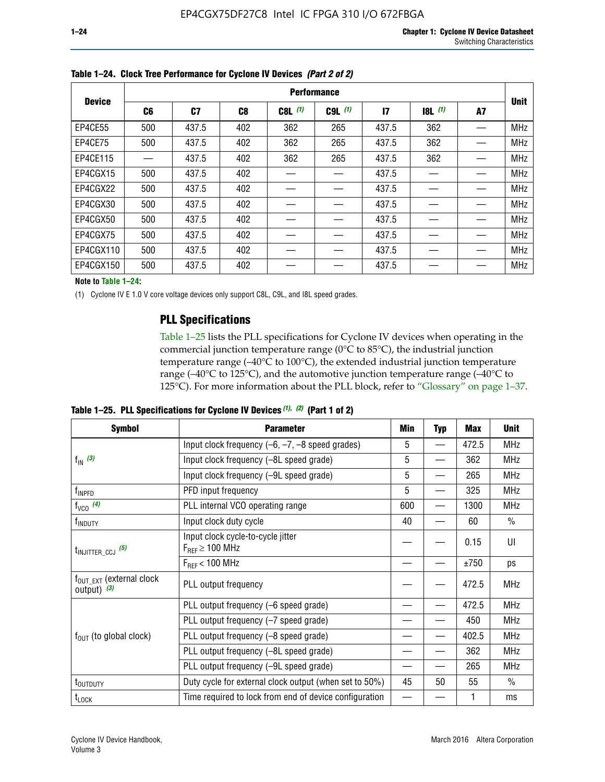|               |     |       |     |           | <b>Performance</b> |              |           |    |             |
|---------------|-----|-------|-----|-----------|--------------------|--------------|-----------|----|-------------|
| <b>Device</b> | C6  | C7    | C8  | $C8L$ (1) | $C9L$ $(1)$        | $\mathbf{I}$ | $18L$ (1) | A7 | <b>Unit</b> |
| EP4CE55       | 500 | 437.5 | 402 | 362       | 265                | 437.5        | 362       |    | <b>MHz</b>  |
| EP4CE75       | 500 | 437.5 | 402 | 362       | 265                | 437.5        | 362       |    | <b>MHz</b>  |
| EP4CE115      |     | 437.5 | 402 | 362       | 265                | 437.5        | 362       |    | <b>MHz</b>  |
| EP4CGX15      | 500 | 437.5 | 402 |           |                    | 437.5        |           |    | <b>MHz</b>  |
| EP4CGX22      | 500 | 437.5 | 402 |           |                    | 437.5        |           |    | <b>MHz</b>  |
| EP4CGX30      | 500 | 437.5 | 402 |           |                    | 437.5        |           |    | <b>MHz</b>  |
| EP4CGX50      | 500 | 437.5 | 402 |           |                    | 437.5        |           |    | <b>MHz</b>  |
| EP4CGX75      | 500 | 437.5 | 402 |           |                    | 437.5        |           |    | <b>MHz</b>  |
| EP4CGX110     | 500 | 437.5 | 402 |           |                    | 437.5        |           |    | <b>MHz</b>  |
| EP4CGX150     | 500 | 437.5 | 402 |           |                    | 437.5        |           |    | <b>MHz</b>  |

**Table 1–24. Clock Tree Performance for Cyclone IV Devices** *(Part 2 of 2)*

**Note to Table 1–24:**

(1) Cyclone IV E 1.0 V core voltage devices only support C8L, C9L, and I8L speed grades.

## **PLL Specifications**

Table 1–25 lists the PLL specifications for Cyclone IV devices when operating in the commercial junction temperature range (0°C to 85°C), the industrial junction temperature range (–40°C to 100°C), the extended industrial junction temperature range (–40°C to 125°C), and the automotive junction temperature range (–40°C to 125°C). For more information about the PLL block, refer to "Glossary" on page 1–37.

|  |  | Table 1–25. PLL Specifications for Cyclone IV Devices $(1)$ , $(2)$ (Part 1 of 2) |  |
|--|--|-----------------------------------------------------------------------------------|--|
|--|--|-----------------------------------------------------------------------------------|--|

| <b>Symbol</b>                                          | <b>Parameter</b>                                            | Min | <b>Typ</b>               | Max   | <b>Unit</b>   |
|--------------------------------------------------------|-------------------------------------------------------------|-----|--------------------------|-------|---------------|
|                                                        | Input clock frequency $(-6, -7, -8)$ speed grades)          | 5   | —                        | 472.5 | <b>MHz</b>    |
| $f_{\text{IN}}$ (3)                                    | Input clock frequency (-8L speed grade)                     | 5   |                          | 362   | <b>MHz</b>    |
|                                                        | Input clock frequency (-9L speed grade)                     | 5   |                          | 265   | <b>MHz</b>    |
| f <sub>INPFD</sub>                                     | PFD input frequency                                         | 5   |                          | 325   | <b>MHz</b>    |
| $f_{VCO}$ (4)                                          | PLL internal VCO operating range                            | 600 | $\overline{\phantom{0}}$ | 1300  | <b>MHz</b>    |
| f <sub>INDUTY</sub>                                    | Input clock duty cycle                                      | 40  |                          | 60    | $\frac{0}{0}$ |
| $t_{\text{INJITTER\_CCJ}}$ (5)                         | Input clock cycle-to-cycle jitter<br>$F_{REF} \geq 100$ MHz |     |                          | 0.15  | UI            |
|                                                        | $F_{RFF}$ < 100 MHz                                         |     |                          | ±750  | ps            |
| $f_{\text{OUT\_EXT}}$ (external clock<br>output) $(3)$ | PLL output frequency                                        |     |                          | 472.5 | <b>MHz</b>    |
|                                                        | PLL output frequency (-6 speed grade)                       |     |                          | 472.5 | <b>MHz</b>    |
|                                                        | PLL output frequency (-7 speed grade)                       |     |                          | 450   | <b>MHz</b>    |
| $f_{OUT}$ (to global clock)                            | PLL output frequency (-8 speed grade)                       |     |                          | 402.5 | <b>MHz</b>    |
|                                                        | PLL output frequency (-8L speed grade)                      |     |                          | 362   | <b>MHz</b>    |
|                                                        | PLL output frequency (-9L speed grade)                      | 45  |                          | 265   | <b>MHz</b>    |
| t <sub>outputy</sub>                                   | Duty cycle for external clock output (when set to 50%)      |     | 50                       | 55    | $\frac{0}{0}$ |
| $t_{\text{LOCK}}$                                      | Time required to lock from end of device configuration      |     |                          |       | ms            |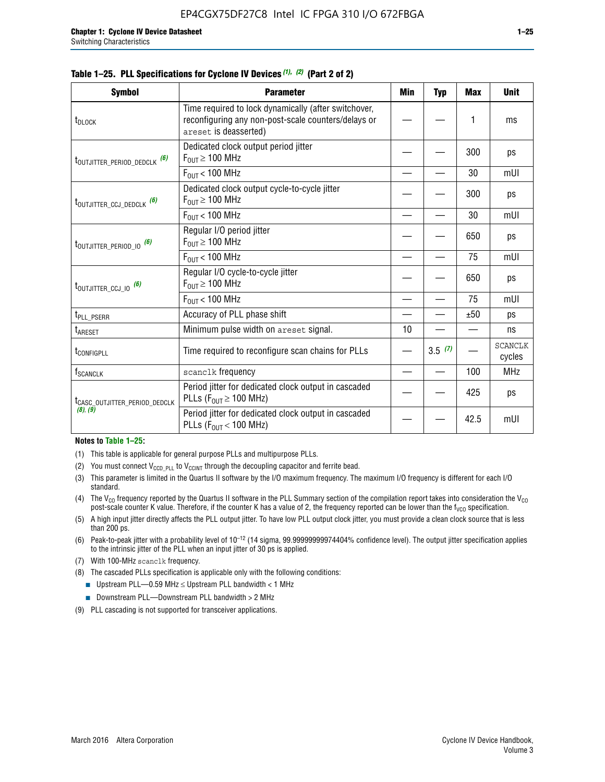| <b>Symbol</b>                            | <b>Parameter</b>                                                                                                                     | Min | <b>Typ</b> | <b>Max</b> | <b>Unit</b>              |
|------------------------------------------|--------------------------------------------------------------------------------------------------------------------------------------|-----|------------|------------|--------------------------|
| t <sub>DLOCK</sub>                       | Time required to lock dynamically (after switchover,<br>reconfiguring any non-post-scale counters/delays or<br>areset is deasserted) |     |            | 1          | ms                       |
| t <sub>outjitter_period_dedclk</sub> (6) | Dedicated clock output period jitter<br>$F_{\text{OUT}} \geq 100 \text{ MHz}$                                                        |     |            | 300        | ps                       |
|                                          | $F_{\text{OUT}}$ < 100 MHz                                                                                                           |     |            | 30         | mUI                      |
| t <sub>outjitter_ccj_dedclk</sub> (6)    | Dedicated clock output cycle-to-cycle jitter<br>$F_{OIII} \geq 100$ MHz                                                              |     |            | 300        | ps                       |
|                                          | $F_{\text{OUT}}$ < 100 MHz                                                                                                           |     |            | 30         | mUI                      |
| t <sub>outjitter_period_io</sub> (6)     | Regular I/O period jitter<br>$F_{OUT} \ge 100$ MHz                                                                                   |     |            | 650        | ps                       |
|                                          | $F_{\text{OUT}}$ < 100 MHz                                                                                                           |     |            | 75         | mUI                      |
| $t_{\text{OUTJITTER\_CCJ\_IO}}$ (6)      | Regular I/O cycle-to-cycle jitter<br>$F_{OUT} \geq 100$ MHz                                                                          |     |            | 650        | ps                       |
|                                          | $F_{\text{OUT}}$ < 100 MHz                                                                                                           |     |            | 75         | mUI                      |
| t <sub>PLL_PSERR</sub>                   | Accuracy of PLL phase shift                                                                                                          |     |            | ±50        | ps                       |
| t <sub>ARESET</sub>                      | Minimum pulse width on areset signal.                                                                                                | 10  |            |            | ns                       |
| t <sub>configpll</sub>                   | Time required to reconfigure scan chains for PLLs                                                                                    |     | 3.5(7)     |            | <b>SCANCLK</b><br>cycles |
| $\mathsf{f}_{\mathsf{SCANCLK}}$          | scanclk frequency                                                                                                                    |     |            | 100        | <b>MHz</b>               |
| ICASC_OUTJITTER_PERIOD_DEDCLK            | Period jitter for dedicated clock output in cascaded<br>PLLs ( $F_{OUT} \ge 100$ MHz)                                                |     |            | 425        | ps                       |
| (8), (9)                                 | Period jitter for dedicated clock output in cascaded                                                                                 |     |            | 10F        | -- 111                   |

#### **Table 1–25. PLL Specifications for Cyclone IV Devices** *(1), (2)* **(Part 2 of 2)**

#### **Notes to Table 1–25:**

- (1) This table is applicable for general purpose PLLs and multipurpose PLLs.
- (2) You must connect  $V_{CCD-PLL}$  to  $V_{CCINT}$  through the decoupling capacitor and ferrite bead.
- (3) This parameter is limited in the Quartus II software by the I/O maximum frequency. The maximum I/O frequency is different for each I/O standard.
- (4) The V<sub>CO</sub> frequency reported by the Quartus II software in the PLL Summary section of the compilation report takes into consideration the V<sub>CO</sub> post-scale counter K value. Therefore, if the counter K has a value of 2, the frequency reported can be lower than the f<sub>VCO</sub> specification.

PLLs (F<sub>OUT</sub> < 100 MHz)  $\vert$   $\vert$   $\vert$  42.5 mUI

- (5) A high input jitter directly affects the PLL output jitter. To have low PLL output clock jitter, you must provide a clean clock source that is less than 200 ps.
- (6) Peak-to-peak jitter with a probability level of 10–12 (14 sigma, 99.99999999974404% confidence level). The output jitter specification applies to the intrinsic jitter of the PLL when an input jitter of 30 ps is applied.
- (7) With 100-MHz scanclk frequency.
- (8) The cascaded PLLs specification is applicable only with the following conditions:
	- **■** Upstream PLL—0.59 MHz  $\leq$  Upstream PLL bandwidth  $<$  1 MHz
	- Downstream PLL—Downstream PLL bandwidth > 2 MHz
- (9) PLL cascading is not supported for transceiver applications.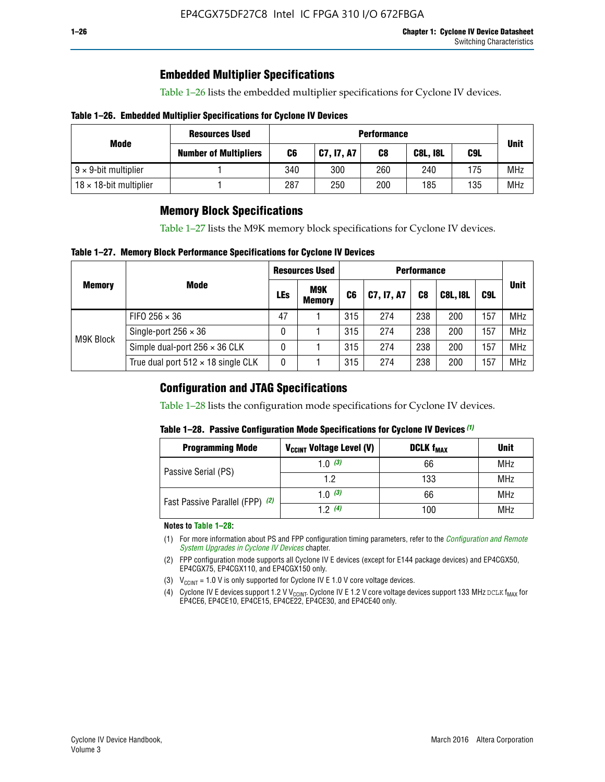## **Embedded Multiplier Specifications**

Table 1–26 lists the embedded multiplier specifications for Cyclone IV devices.

#### **Table 1–26. Embedded Multiplier Specifications for Cyclone IV Devices**

|                                | <b>Resources Used</b>        |     | <b>Performance</b> |     |                 |     |             |  |  |  |  |  |
|--------------------------------|------------------------------|-----|--------------------|-----|-----------------|-----|-------------|--|--|--|--|--|
| Mode                           | <b>Number of Multipliers</b> | C6  | C7, I7, A7         | C8  | <b>C8L, I8L</b> | C9L | <b>Unit</b> |  |  |  |  |  |
| $9 \times 9$ -bit multiplier   |                              | 340 | 300                | 260 | 240             | 175 | <b>MHz</b>  |  |  |  |  |  |
| $18 \times 18$ -bit multiplier |                              | 287 | 250                | 200 | 185             | 135 | <b>MHz</b>  |  |  |  |  |  |

## **Memory Block Specifications**

Table 1–27 lists the M9K memory block specifications for Cyclone IV devices.

#### **Table 1–27. Memory Block Performance Specifications for Cyclone IV Devices**

|               |                                           |            | <b>Resources Used</b>       |                |            |                |                 |     |             |
|---------------|-------------------------------------------|------------|-----------------------------|----------------|------------|----------------|-----------------|-----|-------------|
| <b>Memory</b> | <b>Mode</b>                               | <b>LEs</b> | <b>M9K</b><br><b>Memory</b> | C <sub>6</sub> | C7, I7, A7 | C <sub>8</sub> | <b>C8L, I8L</b> | C9L | <b>Unit</b> |
|               | FIFO 256 $\times$ 36                      | 47         |                             | 315            | 274        | 238            | 200             | 157 | <b>MHz</b>  |
| M9K Block     | Single-port $256 \times 36$               | 0          |                             | 315            | 274        | 238            | 200             | 157 | <b>MHz</b>  |
|               | Simple dual-port $256 \times 36$ CLK      | 0          |                             | 315            | 274        | 238            | 200             | 157 | <b>MHz</b>  |
|               | True dual port $512 \times 18$ single CLK | 0          |                             | 315            | 274        | 238            | 200             | 157 | <b>MHz</b>  |

### **Configuration and JTAG Specifications**

Table 1–28 lists the configuration mode specifications for Cyclone IV devices.

#### **Table 1–28. Passive Configuration Mode Specifications for Cyclone IV Devices** *(1)*

| <b>Programming Mode</b>         | V <sub>CCINT</sub> Voltage Level (V) | <b>DCLK f<sub>MAX</sub></b> | <b>Unit</b> |
|---------------------------------|--------------------------------------|-----------------------------|-------------|
| Passive Serial (PS)             | 1.0 $(3)$                            | 66                          | MHz         |
|                                 | 1.2                                  | 133                         | MHz         |
| Fast Passive Parallel (FPP) (2) | 1.0 $(3)$                            | 66                          | <b>MHz</b>  |
|                                 | 12(4)                                | 100                         | <b>MHz</b>  |

#### **Notes to Table 1–28:**

- (1) For more information about PS and FPP configuration timing parameters, refer to the *[Configuration and Remote](http://www.altera.com/literature/hb/cyclone-iv/cyiv-51008.pdf)  [System Upgrades in Cyclone IV Devices](http://www.altera.com/literature/hb/cyclone-iv/cyiv-51008.pdf)* chapter.
- (2) FPP configuration mode supports all Cyclone IV E devices (except for E144 package devices) and EP4CGX50, EP4CGX75, EP4CGX110, and EP4CGX150 only.
- (3)  $V_{CCMT}$  = 1.0 V is only supported for Cyclone IV E 1.0 V core voltage devices.
- (4) Cyclone IV E devices support 1.2 V V<sub>CCINT</sub>. Cyclone IV E 1.2 V core voltage devices support 133 MHz DCLK f<sub>MAX</sub> for EP4CE6, EP4CE10, EP4CE15, EP4CE22, EP4CE30, and EP4CE40 only.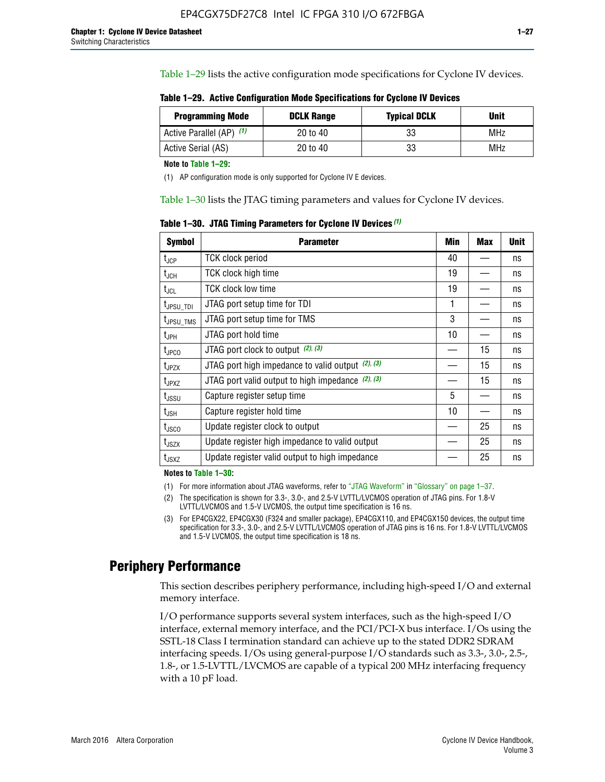Table 1–29 lists the active configuration mode specifications for Cyclone IV devices.

**Table 1–29. Active Configuration Mode Specifications for Cyclone IV Devices**

| <b>Programming Mode</b>  | <b>DCLK Range</b> | <b>Typical DCLK</b> | Unit |
|--------------------------|-------------------|---------------------|------|
| Active Parallel (AP) (1) | 20 to 40          | 33                  | MHz  |
| Active Serial (AS)       | 20 to 40          | 33                  | MHz  |

**Note to Table 1–29:**

(1) AP configuration mode is only supported for Cyclone IV E devices.

Table 1–30 lists the JTAG timing parameters and values for Cyclone IV devices.

**Table 1–30. JTAG Timing Parameters for Cyclone IV Devices** *(1)*

| <b>Symbol</b>         | <b>Parameter</b>                                       | Min | <b>Max</b> | <b>Unit</b> |
|-----------------------|--------------------------------------------------------|-----|------------|-------------|
| $t_{JCP}$             | <b>TCK clock period</b>                                | 40  |            | ns          |
| $t_{\rm JCH}$         | TCK clock high time                                    | 19  |            | ns          |
| $t_{JCL}$             | TCK clock low time                                     | 19  |            | ns          |
| t <sub>JPSU_TDI</sub> | JTAG port setup time for TDI                           | 1   |            | ns          |
| t <sub>JPSU_TMS</sub> | JTAG port setup time for TMS                           | 3   |            | ns          |
| t <sub>JPH</sub>      | JTAG port hold time                                    | 10  |            | ns          |
| t <sub>JPCO</sub>     | JTAG port clock to output (2), (3)                     |     | 15         | ns          |
| $t_{JPZX}$            | JTAG port high impedance to valid output $(2)$ , $(3)$ |     | 15         | ns          |
| t <sub>JPXZ</sub>     | JTAG port valid output to high impedance $(2)$ , $(3)$ |     | 15         | ns          |
| $t_{\rm JSSU}$        | Capture register setup time                            | 5   |            | ns          |
| $t_{\mathsf{JSH}}$    | Capture register hold time                             | 10  |            | ns          |
| $t_{\rm JSCO}$        | Update register clock to output                        |     | 25         | ns          |
| $t_{\text{JSZX}}$     | Update register high impedance to valid output         |     | 25         | ns          |
| t <sub>JSXZ</sub>     | Update register valid output to high impedance         |     | 25         | ns          |

**Notes to Table 1–30:**

(1) For more information about JTAG waveforms, refer to "JTAG Waveform" in "Glossary" on page 1–37.

(2) The specification is shown for 3.3-, 3.0-, and 2.5-V LVTTL/LVCMOS operation of JTAG pins. For 1.8-V LVTTL/LVCMOS and 1.5-V LVCMOS, the output time specification is 16 ns.

(3) For EP4CGX22, EP4CGX30 (F324 and smaller package), EP4CGX110, and EP4CGX150 devices, the output time specification for 3.3-, 3.0-, and 2.5-V LVTTL/LVCMOS operation of JTAG pins is 16 ns. For 1.8-V LVTTL/LVCMOS and 1.5-V LVCMOS, the output time specification is 18 ns.

## **Periphery Performance**

This section describes periphery performance, including high-speed I/O and external memory interface.

I/O performance supports several system interfaces, such as the high-speed I/O interface, external memory interface, and the PCI/PCI-X bus interface. I/Os using the SSTL-18 Class I termination standard can achieve up to the stated DDR2 SDRAM interfacing speeds. I/Os using general-purpose I/O standards such as 3.3-, 3.0-, 2.5-, 1.8-, or 1.5-LVTTL/LVCMOS are capable of a typical 200 MHz interfacing frequency with a 10 pF load.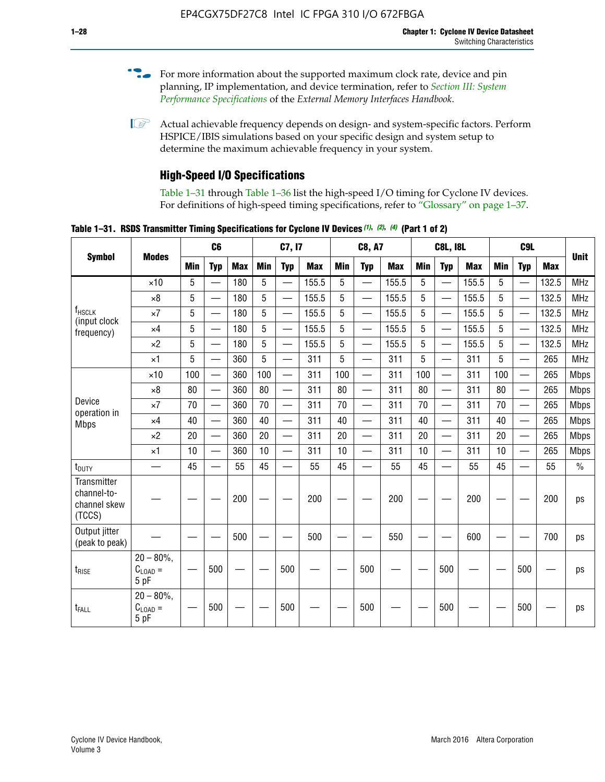- For more information about the supported maximum clock rate, device and pin planning, IP implementation, and device termination, refer to *[Section III: System](http://www.altera.com/literature/hb/external-memory/emi_intro_specs.pdf)  [Performance Specifications](http://www.altera.com/literature/hb/external-memory/emi_intro_specs.pdf)* of the *External Memory Interfaces Handbook*.
- **1 Actual achievable frequency depends on design- and system-specific factors. Perform** HSPICE/IBIS simulations based on your specific design and system setup to determine the maximum achievable frequency in your system.

## **High-Speed I/O Specifications**

Table 1–31 through Table 1–36 list the high-speed I/O timing for Cyclone IV devices. For definitions of high-speed timing specifications, refer to "Glossary" on page 1–37.

**Table 1–31. RSDS Transmitter Timing Specifications for Cyclone IV Devices** *(1)***,** *(2)***,** *(4)* **(Part 1 of 2)**

|                                                      |                                     |            | C6                       |            |            | C7, I7                   |            |                 | <b>C8, A7</b>            |            |            | <b>C8L, I8L</b>          |            | C <sub>9</sub> L |                          |            |             |
|------------------------------------------------------|-------------------------------------|------------|--------------------------|------------|------------|--------------------------|------------|-----------------|--------------------------|------------|------------|--------------------------|------------|------------------|--------------------------|------------|-------------|
| <b>Symbol</b>                                        | <b>Modes</b>                        | <b>Min</b> | <b>Typ</b>               | <b>Max</b> | <b>Min</b> | <b>Typ</b>               | <b>Max</b> | <b>Min</b>      | <b>Typ</b>               | <b>Max</b> | <b>Min</b> | <b>Typ</b>               | <b>Max</b> | Min              | <b>Typ</b>               | <b>Max</b> | <b>Unit</b> |
|                                                      | $\times$ 10                         | 5          | $\overline{\phantom{0}}$ | 180        | 5          | —                        | 155.5      | 5               | $\overline{\phantom{0}}$ | 155.5      | 5          |                          | 155.5      | 5                |                          | 132.5      | <b>MHz</b>  |
|                                                      | $\times 8$                          | 5          |                          | 180        | 5          |                          | 155.5      | $5\phantom{.0}$ | $\overline{\phantom{0}}$ | 155.5      | 5          |                          | 155.5      | 5                |                          | 132.5      | <b>MHz</b>  |
| f <sub>HSCLK</sub><br>(input clock                   | $\times 7$                          | 5          | $\overline{\phantom{0}}$ | 180        | 5          |                          | 155.5      | 5               | $\overline{\phantom{0}}$ | 155.5      | 5          |                          | 155.5      | 5                |                          | 132.5      | <b>MHz</b>  |
| frequency)                                           | $\times$ 4                          | 5          | $\overline{\phantom{0}}$ | 180        | 5          | $\overline{\phantom{0}}$ | 155.5      | 5               | $\equiv$                 | 155.5      | 5          | $\overline{\phantom{0}}$ | 155.5      | 5                | $\overline{\phantom{0}}$ | 132.5      | <b>MHz</b>  |
|                                                      | $\times 2$                          | 5          | $\equiv$                 | 180        | 5          |                          | 155.5      | 5               | $\equiv$                 | 155.5      | 5          | $\equiv$                 | 155.5      | 5                | $\overline{\phantom{0}}$ | 132.5      | <b>MHz</b>  |
|                                                      | $\times$ 1                          | 5          |                          | 360        | 5          |                          | 311        | 5               | $\overline{\phantom{0}}$ | 311        | 5          | $\overline{\phantom{0}}$ | 311        | 5                |                          | 265        | <b>MHz</b>  |
|                                                      | $\times$ 10                         | 100        | $\overline{\phantom{0}}$ | 360        | 100        |                          | 311        | 100             | $\overline{\phantom{0}}$ | 311        | 100        | $\overline{\phantom{0}}$ | 311        | 100              |                          | 265        | <b>Mbps</b> |
|                                                      | $\times 8$                          | 80         |                          | 360        | 80         |                          | 311        | 80              | $\overline{\phantom{0}}$ | 311        | 80         | $\overline{\phantom{0}}$ | 311        | 80               | $\overline{\phantom{0}}$ | 265        | <b>Mbps</b> |
| Device<br>operation in                               | $\times 7$                          | 70         | $\overline{\phantom{0}}$ | 360        | 70         |                          | 311        | 70              | $\overline{\phantom{0}}$ | 311        | 70         | $\overline{\phantom{0}}$ | 311        | 70               | $\overline{\phantom{0}}$ | 265        | <b>Mbps</b> |
| <b>Mbps</b>                                          | $\times$ 4                          | 40         |                          | 360        | 40         |                          | 311        | 40              |                          | 311        | 40         | $\overline{\phantom{0}}$ | 311        | 40               | $\overline{\phantom{0}}$ | 265        | <b>Mbps</b> |
|                                                      | $\times 2$                          | 20         |                          | 360        | 20         | $\equiv$                 | 311        | 20              | $\overline{\phantom{0}}$ | 311        | 20         |                          | 311        | 20               | $\equiv$                 | 265        | <b>Mbps</b> |
|                                                      | $\times$ 1                          | 10         |                          | 360        | 10         |                          | 311        | 10              |                          | 311        | 10         | $\overline{\phantom{0}}$ | 311        | 10               | $\overline{\phantom{0}}$ | 265        | <b>Mbps</b> |
| t <sub>DUTY</sub>                                    | —                                   | 45         | $\overline{\phantom{0}}$ | 55         | 45         |                          | 55         | 45              | $\overline{\phantom{0}}$ | 55         | 45         |                          | 55         | 45               |                          | 55         | $\%$        |
| Transmitter<br>channel-to-<br>channel skew<br>(TCCS) |                                     |            |                          | 200        |            |                          | 200        |                 |                          | 200        |            |                          | 200        |                  |                          | 200        | ps          |
| Output jitter<br>(peak to peak)                      |                                     |            |                          | 500        |            |                          | 500        |                 |                          | 550        |            |                          | 600        |                  |                          | 700        | ps          |
| $t_{\text{RISE}}$                                    | $20 - 80\%$<br>$C_{LOAD} =$<br>5 pF |            | 500                      |            |            | 500                      |            |                 | 500                      |            |            | 500                      |            |                  | 500                      |            | ps          |
| t <sub>FALL</sub>                                    | $20 - 80\%$<br>$C_{LOAD} =$<br>5 pF |            | 500                      |            |            | 500                      |            |                 | 500                      |            |            | 500                      |            |                  | 500                      |            | ps          |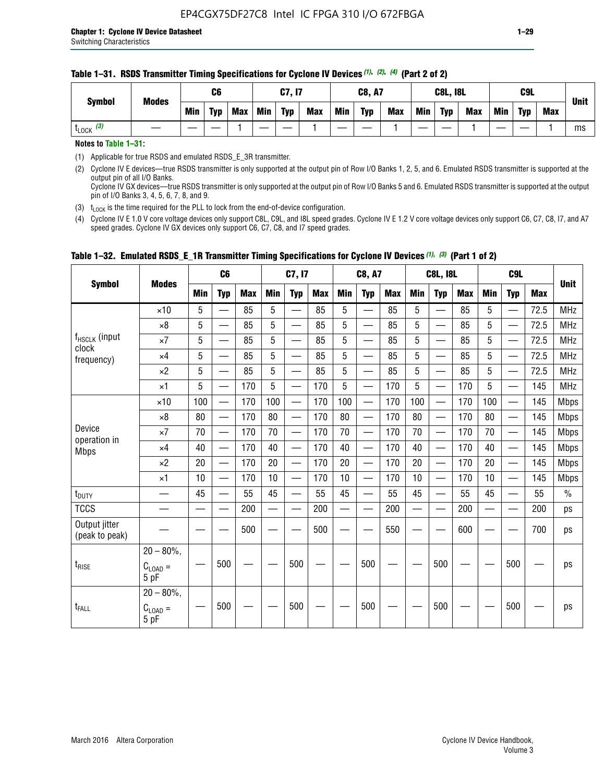#### **Table 1–31. RSDS Transmitter Timing Specifications for Cyclone IV Devices** *(1)***,** *(2)***,** *(4)* **(Part 2 of 2)**

**Notes to Table 1–31:**

(1) Applicable for true RSDS and emulated RSDS\_E\_3R transmitter.

(2) Cyclone IV E devices—true RSDS transmitter is only supported at the output pin of Row I/O Banks 1, 2, 5, and 6. Emulated RSDS transmitter is supported at the output pin of all I/O Banks. Cyclone IV GX devices—true RSDS transmitter is only supported at the output pin of Row I/O Banks 5 and 6. Emulated RSDS transmitter is supported at the output

pin of I/O Banks 3, 4, 5, 6, 7, 8, and 9.

(3)  $t_{\text{LOCK}}$  is the time required for the PLL to lock from the end-of-device configuration.

(4) Cyclone IV E 1.0 V core voltage devices only support C8L, C9L, and I8L speed grades. Cyclone IV E 1.2 V core voltage devices only support C6, C7, C8, I7, and A7 speed grades. Cyclone IV GX devices only support C6, C7, C8, and I7 speed grades.

| <b>Symbol</b>                   |                                              |     | C <sub>6</sub>           |     |     | C7, I7                   |            |            | <b>C8, A7</b>            |     |            | <b>C8L, I8L</b>          |            |     | C <sub>9</sub> L         |            |               |
|---------------------------------|----------------------------------------------|-----|--------------------------|-----|-----|--------------------------|------------|------------|--------------------------|-----|------------|--------------------------|------------|-----|--------------------------|------------|---------------|
|                                 | <b>Modes</b>                                 | Min | <b>Typ</b>               | Max | Min | <b>Typ</b>               | <b>Max</b> | <b>Min</b> | <b>Typ</b>               | Max | <b>Min</b> | <b>Typ</b>               | <b>Max</b> | Min | <b>Typ</b>               | <b>Max</b> | <b>Unit</b>   |
|                                 | $\times$ 10                                  | 5   |                          | 85  | 5   |                          | 85         | 5          |                          | 85  | 5          |                          | 85         | 5   |                          | 72.5       | <b>MHz</b>    |
|                                 | $\times 8$                                   | 5   | —                        | 85  | 5   | —<br>—                   | 85         | 5          | $\overline{\phantom{0}}$ | 85  | 5          | —                        | 85         | 5   | —                        | 72.5       | <b>MHz</b>    |
| f <sub>HSCLK</sub> (input       | $\times 7$                                   | 5   | —                        | 85  | 5   |                          | 85         | 5          | $\overline{\phantom{0}}$ | 85  | 5          | —                        | 85         | 5   | —<br>—                   | 72.5       | <b>MHz</b>    |
| clock<br>frequency)             | $\times$ 4                                   | 5   | $\overline{\phantom{0}}$ | 85  | 5   | $\sim$                   | 85         | 5          | $\overline{\phantom{0}}$ | 85  | 5          | $\overline{\phantom{0}}$ | 85         | 5   | $\overline{\phantom{0}}$ | 72.5       | <b>MHz</b>    |
|                                 | $\times 2$                                   | 5   | —                        | 85  | 5   | —                        | 85         | 5          |                          | 85  | 5          | —                        | 85         | 5   | $\hspace{0.05cm}$        | 72.5       | <b>MHz</b>    |
|                                 | $\times$ 1                                   | 5   | $\overline{\phantom{0}}$ | 170 | 5   | $\overline{\phantom{0}}$ | 170        | 5          | $\overline{\phantom{0}}$ | 170 | 5          | $\overline{\phantom{0}}$ | 170        | 5   |                          | 145        | <b>MHz</b>    |
|                                 | $\times$ 10                                  | 100 | $\equiv$                 | 170 | 100 | $\overline{\phantom{0}}$ | 170        | 100        | $\overline{\phantom{0}}$ | 170 | 100        | $\overline{\phantom{0}}$ | 170        | 100 |                          | 145        | <b>Mbps</b>   |
|                                 | $\times 8$                                   | 80  | $\qquad \qquad$          | 170 | 80  | —                        | 170        | 80         | —                        | 170 | 80         | $\overline{\phantom{0}}$ | 170        | 80  |                          | 145        | <b>Mbps</b>   |
| Device                          | $\times 7$                                   | 70  | $\overline{\phantom{0}}$ | 170 | 70  | $\overline{\phantom{0}}$ | 170        | 70         | $\overline{\phantom{0}}$ | 170 | 70         | $\overline{\phantom{0}}$ | 170        | 70  |                          | 145        | <b>Mbps</b>   |
| operation in<br><b>Mbps</b>     | $\times$ 4                                   | 40  | $\qquad \qquad$          | 170 | 40  | —                        | 170        | 40         | $\overline{\phantom{0}}$ | 170 | 40         | $\overline{\phantom{0}}$ | 170        | 40  | —                        | 145        | <b>Mbps</b>   |
|                                 | $\times 2$                                   | 20  | $\overline{\phantom{0}}$ | 170 | 20  | $\overline{\phantom{0}}$ | 170        | 20         | $\overline{\phantom{0}}$ | 170 | 20         |                          | 170        | 20  | $\overline{\phantom{0}}$ | 145        | <b>Mbps</b>   |
|                                 | $\times$ 1                                   | 10  | $\overline{\phantom{0}}$ | 170 | 10  | $\overline{\phantom{0}}$ | 170        | 10         | $\overline{\phantom{0}}$ | 170 | 10         | $\overline{\phantom{0}}$ | 170        | 10  |                          | 145        | <b>Mbps</b>   |
| $t_{\text{DUTY}}$               | $\overline{\phantom{0}}$                     | 45  | $\equiv$                 | 55  | 45  | $\sim$                   | 55         | 45         | $\overline{\phantom{0}}$ | 55  | 45         | $\overline{\phantom{0}}$ | 55         | 45  |                          | 55         | $\frac{0}{0}$ |
| <b>TCCS</b>                     |                                              |     |                          | 200 |     |                          | 200        | $\sim$     |                          | 200 |            | <u>—</u>                 | 200        |     |                          | 200        | ps            |
| Output jitter<br>(peak to peak) |                                              |     |                          | 500 |     |                          | 500        |            |                          | 550 |            |                          | 600        |     |                          | 700        | ps            |
| $t_{\text{RISE}}$               | $20 - 80\%$ ,<br>$C_{LOAD} =$<br>5 pF        |     | 500                      |     |     | 500                      |            |            | 500                      |     |            | 500                      |            |     | 500                      |            | ps            |
| t <sub>FALL</sub>               | $20 - 80\%$ ,<br>$C_{\text{LOAD}} =$<br>5 pF |     | 500                      |     |     | 500                      |            |            | 500                      |     |            | 500                      |            |     | 500                      |            | ps            |

### **Table 1–32. Emulated RSDS\_E\_1R Transmitter Timing Specifications for Cyclone IV Devices** *(1), (3)* **(Part 1 of 2)**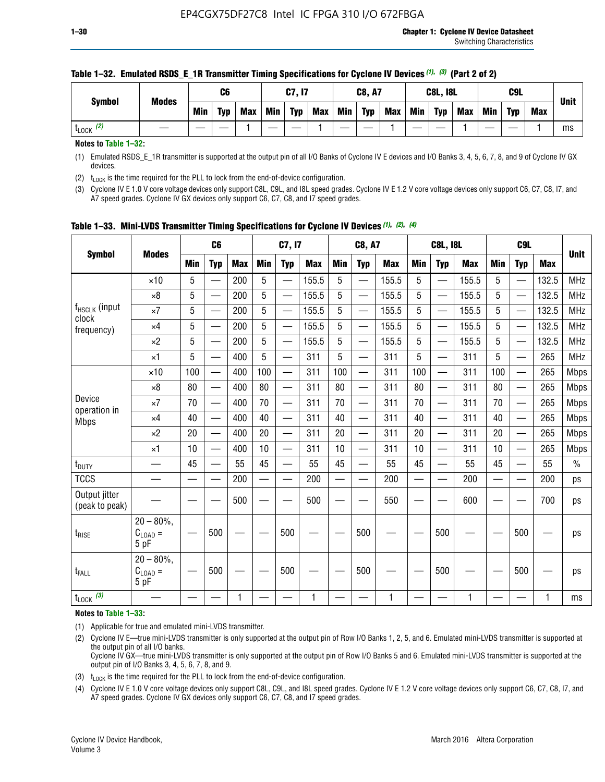| <b>Symbol</b>        | <b>Modes</b> |     | C6         |            |     | C7, I7     |     |     | <b>C8, A7</b> |     |     | <b>C8L, I8L</b> |            |     | C <sub>9</sub> L |            |             |
|----------------------|--------------|-----|------------|------------|-----|------------|-----|-----|---------------|-----|-----|-----------------|------------|-----|------------------|------------|-------------|
|                      |              | Min | <b>Typ</b> | <b>Max</b> | Min | <b>Typ</b> | Max | Min | <b>Typ</b>    | Max | Min | <b>Typ</b>      | <b>Max</b> | Min | <b>Typ</b>       | <b>Max</b> | <b>Unit</b> |
| (2)<br><b>L</b> LOCK |              |     |            |            |     |            |     |     |               |     |     |                 |            |     |                  |            | ms          |

#### **Table 1–32. Emulated RSDS\_E\_1R Transmitter Timing Specifications for Cyclone IV Devices** *(1), (3)* **(Part 2 of 2)**

**Notes to Table 1–32:**

(1) Emulated RSDS\_E\_1R transmitter is supported at the output pin of all I/O Banks of Cyclone IV E devices and I/O Banks 3, 4, 5, 6, 7, 8, and 9 of Cyclone IV GX devices.

(2)  $t_{\text{LOCK}}$  is the time required for the PLL to lock from the end-of-device configuration.

(3) Cyclone IV E 1.0 V core voltage devices only support C8L, C9L, and I8L speed grades. Cyclone IV E 1.2 V core voltage devices only support C6, C7, C8, I7, and A7 speed grades. Cyclone IV GX devices only support C6, C7, C8, and I7 speed grades.

| <b>Symbol</b>                      |                                              |     | C <sub>6</sub>           |            |            | C7, I7                   |            |            | <b>C8, A7</b>            |            |                          | <b>C8L, I8L</b>          |            |            | C <sub>9L</sub>          |            | <b>Unit</b>   |
|------------------------------------|----------------------------------------------|-----|--------------------------|------------|------------|--------------------------|------------|------------|--------------------------|------------|--------------------------|--------------------------|------------|------------|--------------------------|------------|---------------|
|                                    | <b>Modes</b>                                 | Min | <b>Typ</b>               | <b>Max</b> | <b>Min</b> | <b>Typ</b>               | <b>Max</b> | <b>Min</b> | <b>Typ</b>               | <b>Max</b> | <b>Min</b>               | <b>Typ</b>               | <b>Max</b> | <b>Min</b> | <b>Typ</b>               | <b>Max</b> |               |
|                                    | $\times$ 10                                  | 5   | $\overline{\phantom{0}}$ | 200        | 5          | —                        | 155.5      | 5          | $\overline{\phantom{0}}$ | 155.5      | 5                        | —                        | 155.5      | 5          | $\overline{\phantom{0}}$ | 132.5      | <b>MHz</b>    |
|                                    | $\times 8$                                   | 5   |                          | 200        | 5          | —                        | 155.5      | 5          | —                        | 155.5      | 5                        | —                        | 155.5      | 5          |                          | 132.5      | <b>MHz</b>    |
| f <sub>HSCLK</sub> (input<br>clock | $\times 7$                                   | 5   |                          | 200        | 5          | —                        | 155.5      | 5          | —                        | 155.5      | 5                        | $\overline{\phantom{0}}$ | 155.5      | 5          |                          | 132.5      | <b>MHz</b>    |
| frequency)                         | $\times$ 4                                   | 5   |                          | 200        | 5          | $\overline{\phantom{0}}$ | 155.5      | 5          | $\overline{\phantom{0}}$ | 155.5      | 5                        | $\overline{\phantom{0}}$ | 155.5      | 5          | $\overline{\phantom{0}}$ | 132.5      | <b>MHz</b>    |
|                                    | $\times 2$                                   | 5   | $\overline{\phantom{0}}$ | 200        | 5          | —                        | 155.5      | 5          | $\overline{\phantom{0}}$ | 155.5      | 5                        | $\overline{\phantom{0}}$ | 155.5      | 5          |                          | 132.5      | <b>MHz</b>    |
|                                    | $\times$ 1                                   | 5   |                          | 400        | 5          |                          | 311        | 5          | $\overline{\phantom{0}}$ | 311        | 5                        | —                        | 311        | 5          |                          | 265        | <b>MHz</b>    |
|                                    | $\times$ 10                                  | 100 |                          | 400        | 100        | $\overline{\phantom{0}}$ | 311        | 100        | $\overline{\phantom{0}}$ | 311        | 100                      | $\overline{\phantom{0}}$ | 311        | 100        |                          | 265        | <b>Mbps</b>   |
|                                    | $\times 8$                                   | 80  |                          | 400        | 80         | $\equiv$                 | 311        | 80         | $\overline{\phantom{0}}$ | 311        | 80                       | $\overline{\phantom{0}}$ | 311        | 80         |                          | 265        | <b>Mbps</b>   |
| Device                             | $\times 7$                                   | 70  |                          | 400        | 70         | $\overline{\phantom{0}}$ | 311        | 70         | $\overline{\phantom{0}}$ | 311        | 70                       | $\equiv$                 | 311        | 70         |                          | 265        | <b>Mbps</b>   |
| operation in<br><b>Mbps</b>        | $\times$ 4                                   | 40  |                          | 400        | 40         |                          | 311        | 40         | $\overline{\phantom{0}}$ | 311        | 40                       | —                        | 311        | 40         |                          | 265        | <b>Mbps</b>   |
|                                    | $\times 2$                                   | 20  | $\overline{\phantom{0}}$ | 400        | 20         | —                        | 311        | 20         | $\overline{\phantom{0}}$ | 311        | 20                       | $\overline{\phantom{0}}$ | 311        | 20         |                          | 265        | <b>Mbps</b>   |
|                                    | $\times$ 1                                   | 10  |                          | 400        | 10         |                          | 311        | 10         | $\overline{\phantom{0}}$ | 311        | 10                       | $\overline{\phantom{0}}$ | 311        | 10         |                          | 265        | <b>Mbps</b>   |
| $t_{\text{DUTY}}$                  | $\overline{\phantom{0}}$                     | 45  |                          | 55         | 45         | $\overline{\phantom{0}}$ | 55         | 45         | $\overline{\phantom{0}}$ | 55         | 45                       | $\equiv$                 | 55         | 45         | $\overline{\phantom{0}}$ | 55         | $\frac{0}{0}$ |
| <b>TCCS</b>                        |                                              |     |                          | 200        | $\equiv$   |                          | 200        |            | $\overline{\phantom{0}}$ | 200        | $\overline{\phantom{0}}$ |                          | 200        |            |                          | 200        | ps            |
| Output jitter<br>(peak to peak)    |                                              |     |                          | 500        |            |                          | 500        |            |                          | 550        |                          |                          | 600        |            |                          | 700        | ps            |
| $t_{\text{RISE}}$                  | $20 - 80\%$ ,<br>$C_{\text{LOAD}} =$<br>5 pF |     | 500                      |            |            | 500                      |            |            | 500                      |            |                          | 500                      |            |            | 500                      |            | ps            |
| t <sub>FALL</sub>                  | $20 - 80\%$<br>$C_{\text{LOAD}} =$<br>5 pF   |     | 500                      |            |            | 500                      |            |            | 500                      |            |                          | 500                      |            |            | 500                      |            | ps            |
| $t_{\text{LOCK}}$ (3)              |                                              |     |                          | 1          |            |                          | 1          |            |                          | 1          |                          |                          | 1          |            |                          |            | ms            |

**Table 1–33. Mini-LVDS Transmitter Timing Specifications for Cyclone IV Devices** *(1)***,** *(2)***,** *(4)*

**Notes to Table 1–33:**

(1) Applicable for true and emulated mini-LVDS transmitter.

(2) Cyclone IV E—true mini-LVDS transmitter is only supported at the output pin of Row I/O Banks 1, 2, 5, and 6. Emulated mini-LVDS transmitter is supported at the output pin of all I/O banks.

Cyclone IV GX—true mini-LVDS transmitter is only supported at the output pin of Row I/O Banks 5 and 6. Emulated mini-LVDS transmitter is supported at the output pin of I/O Banks 3, 4, 5, 6, 7, 8, and 9.

(3)  $t_{\text{LOCK}}$  is the time required for the PLL to lock from the end-of-device configuration.

(4) Cyclone IV E 1.0 V core voltage devices only support C8L, C9L, and I8L speed grades. Cyclone IV E 1.2 V core voltage devices only support C6, C7, C8, I7, and A7 speed grades. Cyclone IV GX devices only support C6, C7, C8, and I7 speed grades.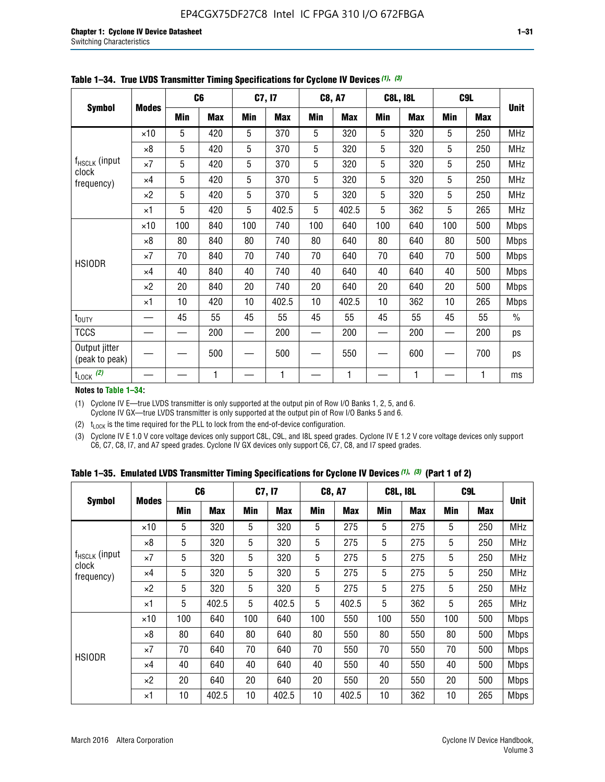|                                 |              |     | C <sub>6</sub> |     | C7, I7     |            | <b>C8, A7</b> |     | <b>C8L, I8L</b> |            | C <sub>9</sub> L |               |
|---------------------------------|--------------|-----|----------------|-----|------------|------------|---------------|-----|-----------------|------------|------------------|---------------|
| <b>Symbol</b>                   | <b>Modes</b> | Min | <b>Max</b>     | Min | <b>Max</b> | <b>Min</b> | <b>Max</b>    | Min | <b>Max</b>      | <b>Min</b> | <b>Max</b>       | <b>Unit</b>   |
|                                 | $\times$ 10  | 5   | 420            | 5   | 370        | 5          | 320           | 5   | 320             | 5          | 250              | <b>MHz</b>    |
|                                 | $\times 8$   | 5   | 420            | 5   | 370        | 5          | 320           | 5   | 320             | 5          | 250              | <b>MHz</b>    |
| f <sub>HSCLK</sub> (input       | $\times 7$   | 5   | 420            | 5   | 370        | 5          | 320           | 5   | 320             | 5          | 250              | MHz           |
| clock<br>frequency)             | $\times$ 4   | 5   | 420            | 5   | 370        | 5          | 320           | 5   | 320             | 5          | 250              | <b>MHz</b>    |
|                                 | $\times 2$   | 5   | 420            | 5   | 370        | 5          | 320           | 5   | 320             | 5          | 250              | <b>MHz</b>    |
|                                 | $\times$ 1   | 5   | 420            | 5   | 402.5      | 5          | 402.5         | 5   | 362             | 5          | 265              | <b>MHz</b>    |
|                                 | $\times$ 10  | 100 | 840            | 100 | 740        | 100        | 640           | 100 | 640             | 100        | 500              | <b>Mbps</b>   |
|                                 | $\times 8$   | 80  | 840            | 80  | 740        | 80         | 640           | 80  | 640             | 80         | 500              | <b>Mbps</b>   |
|                                 | $\times 7$   | 70  | 840            | 70  | 740        | 70         | 640           | 70  | 640             | 70         | 500              | <b>Mbps</b>   |
| <b>HSIODR</b>                   | $\times$ 4   | 40  | 840            | 40  | 740        | 40         | 640           | 40  | 640             | 40         | 500              | <b>Mbps</b>   |
|                                 | $\times 2$   | 20  | 840            | 20  | 740        | 20         | 640           | 20  | 640             | 20         | 500              | <b>Mbps</b>   |
|                                 | $\times$ 1   | 10  | 420            | 10  | 402.5      | 10         | 402.5         | 10  | 362             | 10         | 265              | <b>Mbps</b>   |
| t <sub>DUTY</sub>               |              | 45  | 55             | 45  | 55         | 45         | 55            | 45  | 55              | 45         | 55               | $\frac{0}{0}$ |
| <b>TCCS</b>                     |              |     | 200            |     | 200        |            | 200           |     | 200             |            | 200              | ps            |
| Output jitter<br>(peak to peak) |              |     | 500            |     | 500        |            | 550           |     | 600             |            | 700              | ps            |
| $t_{\text{LOCK}}$ (2)           |              |     | 1              |     | 1          |            | 1             |     | 1               |            | 1                | ms            |

**Table 1–34. True LVDS Transmitter Timing Specifications for Cyclone IV Devices** *(1)***,** *(3)*

**Notes to Table 1–34:**

(1) Cyclone IV E—true LVDS transmitter is only supported at the output pin of Row I/O Banks 1, 2, 5, and 6. Cyclone IV GX—true LVDS transmitter is only supported at the output pin of Row I/O Banks 5 and 6.

(2)  $t_{\text{LOCK}}$  is the time required for the PLL to lock from the end-of-device configuration.

(3) Cyclone IV E 1.0 V core voltage devices only support C8L, C9L, and I8L speed grades. Cyclone IV E 1.2 V core voltage devices only support C6, C7, C8, I7, and A7 speed grades. Cyclone IV GX devices only support C6, C7, C8, and I7 speed grades.

|  |  |  |  |  |  | Table 1–35. Emulated LVDS Transmitter Timing Specifications for Cyclone IV Devices <sup>(1),</sup> <sup>(3)</sup> (Part 1 of 2) |  |  |
|--|--|--|--|--|--|---------------------------------------------------------------------------------------------------------------------------------|--|--|
|--|--|--|--|--|--|---------------------------------------------------------------------------------------------------------------------------------|--|--|

| <b>Symbol</b>               |              | C <sub>6</sub> |            | C7, I7     |            | <b>C8, A7</b> |            | <b>C8L, I8L</b> |            | C <sub>9L</sub> |            |             |
|-----------------------------|--------------|----------------|------------|------------|------------|---------------|------------|-----------------|------------|-----------------|------------|-------------|
|                             | <b>Modes</b> | Min            | <b>Max</b> | <b>Min</b> | <b>Max</b> | <b>Min</b>    | <b>Max</b> | <b>Min</b>      | <b>Max</b> | <b>Min</b>      | <b>Max</b> | Unit        |
|                             | $\times$ 10  | 5              | 320        | 5          | 320        | 5             | 275        | 5               | 275        | 5               | 250        | <b>MHz</b>  |
|                             | $\times 8$   | 5              | 320        | 5          | 320        | 5             | 275        | 5               | 275        | 5               | 250        | <b>MHz</b>  |
| $f_{HSCLK}$ (input<br>clock | $\times 7$   | 5              | 320        | 5          | 320        | 5             | 275        | 5               | 275        | 5               | 250        | <b>MHz</b>  |
| frequency)                  | $\times$ 4   | 5              | 320        | 5          | 320        | 5             | 275        | 5               | 275        | 5               | 250        | <b>MHz</b>  |
|                             | $\times 2$   | 5              | 320        | 5          | 320        | 5             | 275        | 5               | 275        | 5               | 250        | <b>MHz</b>  |
|                             | $\times$ 1   | 5              | 402.5      | 5          | 402.5      | 5             | 402.5      | 5               | 362        | 5               | 265        | <b>MHz</b>  |
|                             | $\times$ 10  | 100            | 640        | 100        | 640        | 100           | 550        | 100             | 550        | 100             | 500        | <b>Mbps</b> |
|                             | $\times 8$   | 80             | 640        | 80         | 640        | 80            | 550        | 80              | 550        | 80              | 500        | <b>Mbps</b> |
|                             | $\times 7$   | 70             | 640        | 70         | 640        | 70            | 550        | 70              | 550        | 70              | 500        | <b>Mbps</b> |
| <b>HSIODR</b>               | $\times$ 4   | 40             | 640        | 40         | 640        | 40            | 550        | 40              | 550        | 40              | 500        | <b>Mbps</b> |
|                             | $\times 2$   | 20             | 640        | 20         | 640        | 20            | 550        | 20              | 550        | 20              | 500        | <b>Mbps</b> |
|                             | ×1           | 10             | 402.5      | 10         | 402.5      | 10            | 402.5      | 10              | 362        | 10              | 265        | <b>Mbps</b> |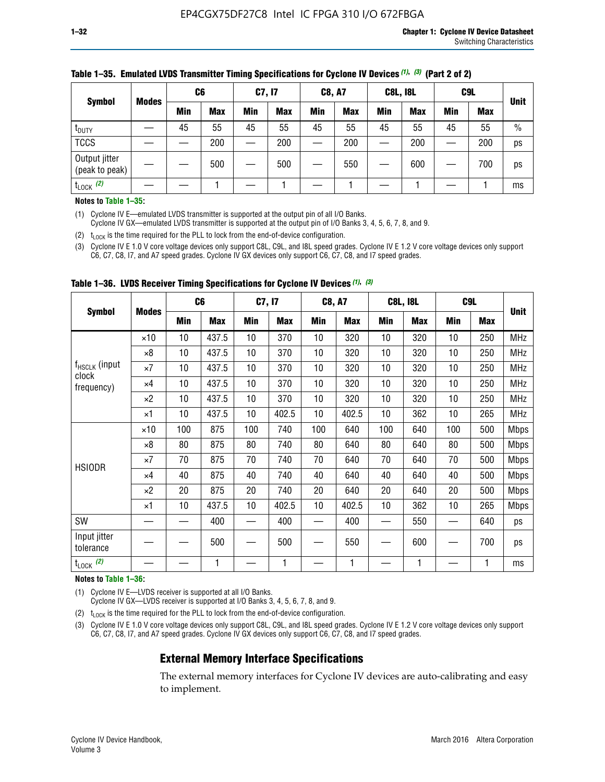| <b>Symbol</b>                   |              | C <sub>6</sub> |            | C7, I7     |            | <b>C8, A7</b> |            | <b>C8L, I8L</b> |            |     | C <sub>9</sub> L |               |
|---------------------------------|--------------|----------------|------------|------------|------------|---------------|------------|-----------------|------------|-----|------------------|---------------|
|                                 | <b>Modes</b> | Min            | <b>Max</b> | <b>Min</b> | <b>Max</b> | <b>Min</b>    | <b>Max</b> | Min             | <b>Max</b> | Min | <b>Max</b>       | <b>Unit</b>   |
| t <sub>DUTY</sub>               |              | 45             | 55         | 45         | 55         | 45            | 55         | 45              | 55         | 45  | 55               | $\frac{0}{0}$ |
| <b>TCCS</b>                     |              |                | 200        |            | 200        |               | 200        |                 | 200        | –   | 200              | ps            |
| Output jitter<br>(peak to peak) |              |                | 500        |            | 500        |               | 550        |                 | 600        | __  | 700              | ps            |
| $t_{\text{LOCK}}$ (2)           |              |                |            |            |            |               |            |                 |            |     |                  | ms            |

#### **Table 1–35. Emulated LVDS Transmitter Timing Specifications for Cyclone IV Devices** *(1)***,** *(3)* **(Part 2 of 2)**

#### **Notes to Table 1–35:**

(1) Cyclone IV E—emulated LVDS transmitter is supported at the output pin of all I/O Banks.

Cyclone IV GX—emulated LVDS transmitter is supported at the output pin of I/O Banks 3, 4, 5, 6, 7, 8, and 9.

(2)  $t_{\text{LOCK}}$  is the time required for the PLL to lock from the end-of-device configuration.

(3) Cyclone IV E 1.0 V core voltage devices only support C8L, C9L, and I8L speed grades. Cyclone IV E 1.2 V core voltage devices only support C6, C7, C8, I7, and A7 speed grades. Cyclone IV GX devices only support C6, C7, C8, and I7 speed grades.

|                                    |              | C <sub>6</sub> |            | C7, I7 |            | <b>C8, A7</b> |            |     | <b>C8L, I8L</b> | C <sub>9</sub> L         |     |             |
|------------------------------------|--------------|----------------|------------|--------|------------|---------------|------------|-----|-----------------|--------------------------|-----|-------------|
| <b>Symbol</b>                      | <b>Modes</b> | <b>Min</b>     | <b>Max</b> | Min    | <b>Max</b> | Min           | <b>Max</b> | Min | <b>Max</b>      | <b>Min</b>               | Max | <b>Unit</b> |
|                                    | $\times$ 10  | 10             | 437.5      | 10     | 370        | 10            | 320        | 10  | 320             | 10                       | 250 | <b>MHz</b>  |
|                                    | ×8           | 10             | 437.5      | 10     | 370        | 10            | 320        | 10  | 320             | 10                       | 250 | <b>MHz</b>  |
| f <sub>HSCLK</sub> (input<br>clock | $\times 7$   | 10             | 437.5      | 10     | 370        | 10            | 320        | 10  | 320             | 10                       | 250 | <b>MHz</b>  |
| frequency)                         | $\times 4$   | 10             | 437.5      | 10     | 370        | 10            | 320        | 10  | 320             | 10                       | 250 | <b>MHz</b>  |
|                                    | $\times 2$   | 10             | 437.5      | 10     | 370        | 10            | 320        | 10  | 320             | 10                       | 250 | <b>MHz</b>  |
|                                    | ×1           | 10             | 437.5      | 10     | 402.5      | 10            | 402.5      | 10  | 362             | 10                       | 265 | <b>MHz</b>  |
|                                    | $\times$ 10  | 100            | 875        | 100    | 740        | 100           | 640        | 100 | 640             | 100                      | 500 | <b>Mbps</b> |
|                                    | $\times 8$   | 80             | 875        | 80     | 740        | 80            | 640        | 80  | 640             | 80                       | 500 | <b>Mbps</b> |
| <b>HSIODR</b>                      | $\times 7$   | 70             | 875        | 70     | 740        | 70            | 640        | 70  | 640             | 70                       | 500 | <b>Mbps</b> |
|                                    | $\times 4$   | 40             | 875        | 40     | 740        | 40            | 640        | 40  | 640             | 40                       | 500 | <b>Mbps</b> |
|                                    | $\times 2$   | 20             | 875        | 20     | 740        | 20            | 640        | 20  | 640             | 20                       | 500 | <b>Mbps</b> |
|                                    | ×1           | 10             | 437.5      | 10     | 402.5      | 10            | 402.5      | 10  | 362             | 10                       | 265 | <b>Mbps</b> |
| SW                                 |              |                | 400        |        | 400        |               | 400        |     | 550             | —                        | 640 | ps          |
| Input jitter<br>tolerance          |              |                | 500        |        | 500        |               | 550        |     | 600             | $\overline{\phantom{0}}$ | 700 | ps          |
| $t_{\text{LOCK}}$ (2)              |              |                | 1          |        | 1          |               | 1          |     | 1               |                          |     | ms          |

**Table 1–36. LVDS Receiver Timing Specifications for Cyclone IV Devices** *(1)***,** *(3)*

#### **Notes to Table 1–36:**

(1) Cyclone IV E—LVDS receiver is supported at all I/O Banks.

Cyclone IV GX—LVDS receiver is supported at I/O Banks 3, 4, 5, 6, 7, 8, and 9.

(2)  $t_{\text{LOCK}}$  is the time required for the PLL to lock from the end-of-device configuration.

(3) Cyclone IV E 1.0 V core voltage devices only support C8L, C9L, and I8L speed grades. Cyclone IV E 1.2 V core voltage devices only support C6, C7, C8, I7, and A7 speed grades. Cyclone IV GX devices only support C6, C7, C8, and I7 speed grades.

### **External Memory Interface Specifications**

The external memory interfaces for Cyclone IV devices are auto-calibrating and easy to implement.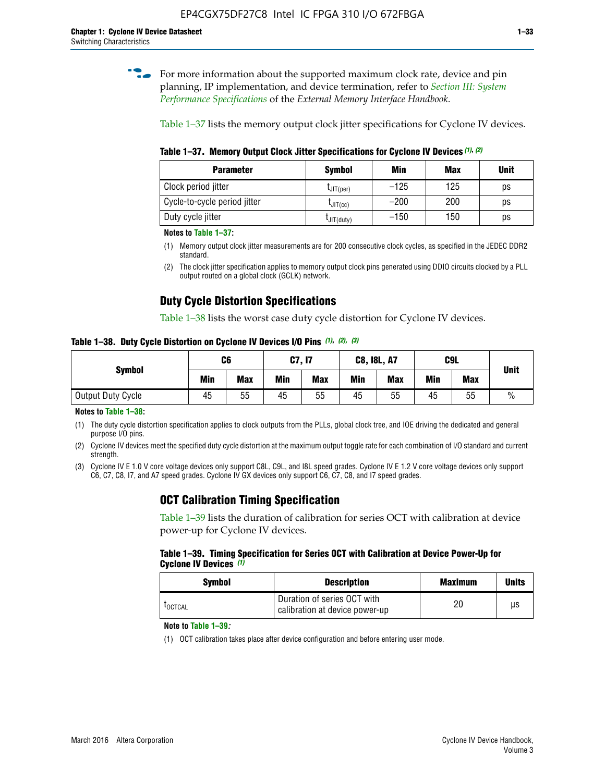**for more information about the supported maximum clock rate, device and pin** planning, IP implementation, and device termination, refer to *[Section III: System](http://www.altera.com/literature/hb/external-memory/emi_intro_specs.pdf)  [Performance Specifications](http://www.altera.com/literature/hb/external-memory/emi_intro_specs.pdf)* of the *External Memory Interface Handbook*.

Table 1–37 lists the memory output clock jitter specifications for Cyclone IV devices.

**Table 1–37. Memory Output Clock Jitter Specifications for Cyclone IV Devices** *(1)***,** *(2)*

| <b>Parameter</b>             | Symbol         | Min    | <b>Max</b> | <b>Unit</b> |
|------------------------------|----------------|--------|------------|-------------|
| Clock period jitter          | $L$ JIT(per)   | $-125$ | 125        | ps          |
| Cycle-to-cycle period jitter | $L$ JIT $(cc)$ | $-200$ | 200        | ps          |
| Duty cycle jitter            | LJIT(duty)     | $-150$ | 150        | рs          |

**Notes to Table 1–37:**

- (1) Memory output clock jitter measurements are for 200 consecutive clock cycles, as specified in the JEDEC DDR2 standard.
- (2) The clock jitter specification applies to memory output clock pins generated using DDIO circuits clocked by a PLL output routed on a global clock (GCLK) network.

## **Duty Cycle Distortion Specifications**

Table 1–38 lists the worst case duty cycle distortion for Cyclone IV devices.

**Table 1–38. Duty Cycle Distortion on Cyclone IV Devices I/O Pins** *(1)***,** *(2), (3)*

| <b>Symbol</b>     | C6  |            | C7, I7     |            | <b>C8, I8L, A7</b> |            |            | C9L        | <b>Unit</b>   |
|-------------------|-----|------------|------------|------------|--------------------|------------|------------|------------|---------------|
|                   | Min | <b>Max</b> | <b>Min</b> | <b>Max</b> | Min                | <b>Max</b> | <b>Min</b> | <b>Max</b> |               |
| Output Duty Cycle | 45  | 55         | 45         | 55         | 45                 | 55         | 45         | 55         | $\frac{0}{0}$ |

**Notes to Table 1–38:**

(1) The duty cycle distortion specification applies to clock outputs from the PLLs, global clock tree, and IOE driving the dedicated and general purpose I/O pins.

(2) Cyclone IV devices meet the specified duty cycle distortion at the maximum output toggle rate for each combination of I/O standard and current strength.

(3) Cyclone IV E 1.0 V core voltage devices only support C8L, C9L, and I8L speed grades. Cyclone IV E 1.2 V core voltage devices only support C6, C7, C8, I7, and A7 speed grades. Cyclone IV GX devices only support C6, C7, C8, and I7 speed grades.

## **OCT Calibration Timing Specification**

Table 1–39 lists the duration of calibration for series OCT with calibration at device power-up for Cyclone IV devices.

#### **Table 1–39. Timing Specification for Series OCT with Calibration at Device Power-Up for Cyclone IV Devices** *(1)*

| Symbol  | <b>Description</b>                                            | <b>Maximum</b> | <b>Units</b> |
|---------|---------------------------------------------------------------|----------------|--------------|
| LOCTCAL | Duration of series OCT with<br>calibration at device power-up | 20             | μs           |

#### **Note to Table 1–39***:*

(1) OCT calibration takes place after device configuration and before entering user mode.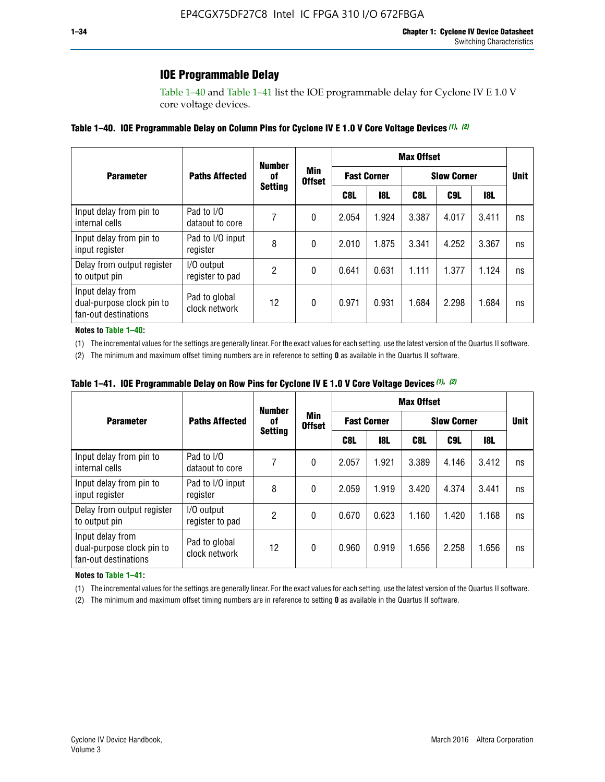## **IOE Programmable Delay**

Table 1–40 and Table 1–41 list the IOE programmable delay for Cyclone IV E 1.0 V core voltage devices.

#### **Table 1–40. IOE Programmable Delay on Column Pins for Cyclone IV E 1.0 V Core Voltage Devices** *(1)***,** *(2)*

|                                                                       |                                | <b>Number</b>  |                      |                    |            | <b>Max Offset</b> |                    |       |             |
|-----------------------------------------------------------------------|--------------------------------|----------------|----------------------|--------------------|------------|-------------------|--------------------|-------|-------------|
| <b>Parameter</b>                                                      | <b>Paths Affected</b>          | 0f             | Min<br><b>Offset</b> | <b>Fast Corner</b> |            |                   | <b>Slow Corner</b> |       | <b>Unit</b> |
|                                                                       |                                | <b>Setting</b> |                      | C8L                | <b>18L</b> | C8L               | C9L                | 18L   |             |
| Input delay from pin to<br>internal cells                             | Pad to I/O<br>dataout to core  |                | 0                    | 2.054              | 1.924      | 3.387             | 4.017              | 3.411 | ns          |
| Input delay from pin to<br>input register                             | Pad to I/O input<br>register   | 8              | 0                    | 2.010              | 1.875      | 3.341             | 4.252              | 3.367 | ns          |
| Delay from output register<br>to output pin                           | I/O output<br>register to pad  | 2              | 0                    | 0.641              | 0.631      | 1.111             | 1.377              | 1.124 | ns          |
| Input delay from<br>dual-purpose clock pin to<br>fan-out destinations | Pad to global<br>clock network | 12             | 0                    | 0.971              | 0.931      | 1.684             | 2.298              | 1.684 | ns          |

#### **Notes to Table 1–40:**

(1) The incremental values for the settings are generally linear. For the exact values for each setting, use the latest version of the Quartus II software.

(2) The minimum and maximum offset timing numbers are in reference to setting **0** as available in the Quartus II software.

| Table 1–41. IOE Programmable Delay on Row Pins for Cyclone IV E 1.0 V Core Voltage Devices (1), (2) |  |  |
|-----------------------------------------------------------------------------------------------------|--|--|
|-----------------------------------------------------------------------------------------------------|--|--|

|                                                                       |                                | <b>Number</b>  |                      | <b>Max Offset</b>  |            |                    |             |       |    |  |
|-----------------------------------------------------------------------|--------------------------------|----------------|----------------------|--------------------|------------|--------------------|-------------|-------|----|--|
| <b>Parameter</b>                                                      | <b>Paths Affected</b>          | 0f             | Min<br><b>Offset</b> | <b>Fast Corner</b> |            | <b>Slow Corner</b> | <b>Unit</b> |       |    |  |
|                                                                       |                                | <b>Setting</b> |                      | C8L                | <b>18L</b> | C8L                | C9L         | 18L   |    |  |
| Input delay from pin to<br>internal cells                             | Pad to I/O<br>dataout to core  |                | 0                    | 2.057              | 1.921      | 3.389              | 4.146       | 3.412 | ns |  |
| Input delay from pin to<br>input register                             | Pad to I/O input<br>register   | 8              | 0                    | 2.059              | 1.919      | 3.420              | 4.374       | 3.441 | ns |  |
| Delay from output register<br>to output pin                           | I/O output<br>register to pad  | 2              | 0                    | 0.670              | 0.623      | 1.160              | 1.420       | 1.168 | ns |  |
| Input delay from<br>dual-purpose clock pin to<br>fan-out destinations | Pad to global<br>clock network | 12             | 0                    | 0.960              | 0.919      | 1.656              | 2.258       | 1.656 | ns |  |

#### **Notes to Table 1–41:**

(1) The incremental values for the settings are generally linear. For the exact values for each setting, use the latest version of the Quartus II software.

(2) The minimum and maximum offset timing numbers are in reference to setting **0** as available in the Quartus II software.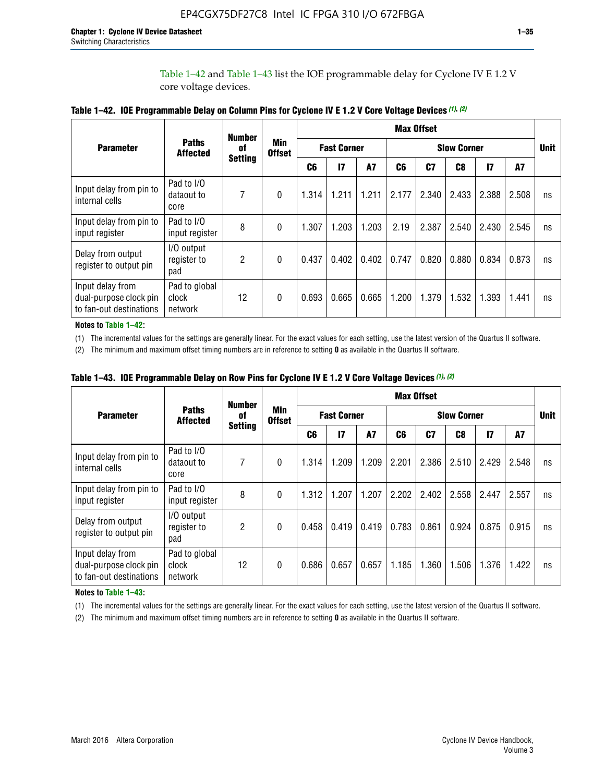Table 1–42 and Table 1–43 list the IOE programmable delay for Cyclone IV E 1.2 V core voltage devices.

|                                                                       |                                   | <b>Number</b>  |                             |                |                    |           |       | <b>Max Offset</b> |                    |               |       |             |
|-----------------------------------------------------------------------|-----------------------------------|----------------|-----------------------------|----------------|--------------------|-----------|-------|-------------------|--------------------|---------------|-------|-------------|
| <b>Parameter</b>                                                      | <b>Paths</b><br><b>Affected</b>   | of             | <b>Min</b><br><b>Offset</b> |                | <b>Fast Corner</b> |           |       |                   | <b>Slow Corner</b> |               |       | <b>Unit</b> |
|                                                                       |                                   | <b>Setting</b> |                             | C <sub>6</sub> | $\mathbf{I}$       | <b>A7</b> | C6    | C7                | C8                 | $\mathsf{I}7$ | A7    |             |
| Input delay from pin to<br>internal cells                             | Pad to I/O<br>dataout to<br>core  | 7              | 0                           | 1.314          | 1.211              | 1.211     | 2.177 | 2.340             | 2.433              | 2.388         | 2.508 | ns          |
| Input delay from pin to<br>input register                             | Pad to I/O<br>input register      | 8              | $\Omega$                    | 1.307          | 1.203              | 1.203     | 2.19  | 2.387             | 2.540              | 2.430         | 2.545 | ns          |
| Delay from output<br>register to output pin                           | I/O output<br>register to<br>pad  | 2              | 0                           | 0.437          | 0.402              | 0.402     | 0.747 | 0.820             | 0.880              | 0.834         | 0.873 | ns          |
| Input delay from<br>dual-purpose clock pin<br>to fan-out destinations | Pad to global<br>clock<br>network | 12             | 0                           | 0.693          | 0.665              | 0.665     | 1.200 | 1.379             | 1.532              | 1.393         | 1.441 | ns          |

**Table 1–42. IOE Programmable Delay on Column Pins for Cyclone IV E 1.2 V Core Voltage Devices** *(1)***,** *(2)*

**Notes to Table 1–42:**

(1) The incremental values for the settings are generally linear. For the exact values for each setting, use the latest version of the Quartus II software.

(2) The minimum and maximum offset timing numbers are in reference to setting **0** as available in the Quartus II software.

|                                                                       |                                   | <b>Number</b>  |                             |       |                    |           |       | <b>Max Offset</b> |                    |               |       |             |
|-----------------------------------------------------------------------|-----------------------------------|----------------|-----------------------------|-------|--------------------|-----------|-------|-------------------|--------------------|---------------|-------|-------------|
| <b>Parameter</b>                                                      | <b>Paths</b><br><b>Affected</b>   | 0f             | <b>Min</b><br><b>Offset</b> |       | <b>Fast Corner</b> |           |       |                   | <b>Slow Corner</b> |               |       | <b>Unit</b> |
|                                                                       |                                   | <b>Setting</b> |                             | C6    | $\mathbf{I}$       | <b>A7</b> | C6    | C7                | C8                 | $\mathsf{I}7$ | A7    |             |
| Input delay from pin to<br>internal cells                             | Pad to I/O<br>dataout to<br>core  | 7              | $\Omega$                    | 1.314 | 1.209              | 1.209     | 2.201 | 2.386             | 2.510              | 2.429         | 2.548 | ns          |
| Input delay from pin to<br>input register                             | Pad to I/O<br>input register      | 8              | $\Omega$                    | 1.312 | 1.207              | 1.207     | 2.202 | 2.402             | 2.558              | 2.447         | 2.557 | ns          |
| Delay from output<br>register to output pin                           | I/O output<br>register to<br>pad  | 2              | $\Omega$                    | 0.458 | 0.419              | 0.419     | 0.783 | 0.861             | 0.924              | 0.875         | 0.915 | ns          |
| Input delay from<br>dual-purpose clock pin<br>to fan-out destinations | Pad to global<br>clock<br>network | 12             | $\Omega$                    | 0.686 | 0.657              | 0.657     | 1.185 | 1.360             | 1.506              | 1.376         | 1.422 | ns          |

**Table 1–43. IOE Programmable Delay on Row Pins for Cyclone IV E 1.2 V Core Voltage Devices** *(1)***,** *(2)*

#### **Notes to Table 1–43:**

(1) The incremental values for the settings are generally linear. For the exact values for each setting, use the latest version of the Quartus II software.

(2) The minimum and maximum offset timing numbers are in reference to setting **0** as available in the Quartus II software.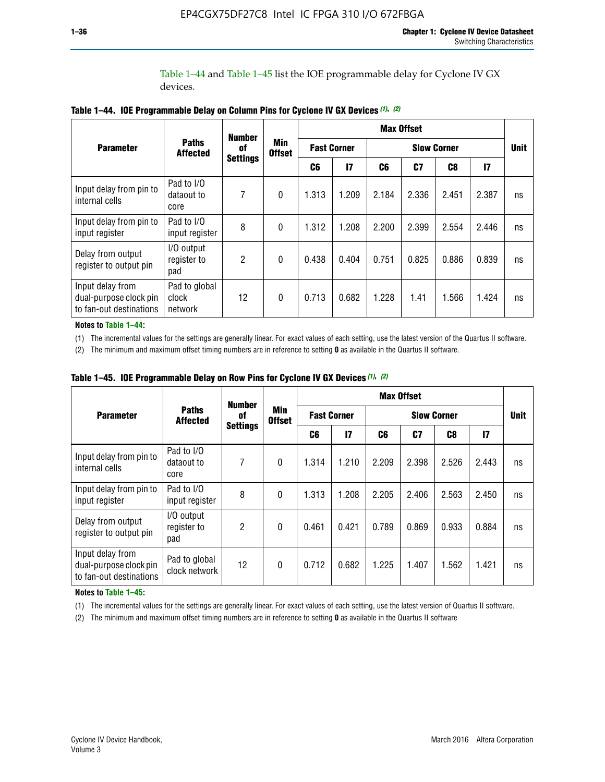Table 1–44 and Table 1–45 list the IOE programmable delay for Cyclone IV GX devices.

|                                                                       |                                   |                     |                             |                    |               |       | <b>Max Offset</b>  |       |       |             |
|-----------------------------------------------------------------------|-----------------------------------|---------------------|-----------------------------|--------------------|---------------|-------|--------------------|-------|-------|-------------|
| <b>Parameter</b>                                                      | <b>Paths</b><br><b>Affected</b>   | <b>Number</b><br>0f | <b>Min</b><br><b>Offset</b> | <b>Fast Corner</b> |               |       | <b>Slow Corner</b> |       |       | <b>Unit</b> |
|                                                                       |                                   | <b>Settings</b>     |                             | C6                 | $\mathsf{I}7$ | C6    | C7                 | C8    | 17    |             |
| Input delay from pin to<br>internal cells                             | Pad to I/O<br>dataout to<br>core  | 7                   | $\mathbf{0}$                | 1.313              | 1.209         | 2.184 | 2.336              | 2.451 | 2.387 | ns          |
| Input delay from pin to<br>input register                             | Pad to I/O<br>input register      | 8                   | $\theta$                    | 1.312              | 1.208         | 2.200 | 2.399              | 2.554 | 2.446 | ns          |
| Delay from output<br>register to output pin                           | I/O output<br>register to<br>pad  | 2                   | $\mathbf{0}$                | 0.438              | 0.404         | 0.751 | 0.825              | 0.886 | 0.839 | ns          |
| Input delay from<br>dual-purpose clock pin<br>to fan-out destinations | Pad to global<br>clock<br>network | 12                  | $\mathbf{0}$                | 0.713              | 0.682         | 1.228 | 1.41               | 1.566 | 1.424 | ns          |

**Table 1–44. IOE Programmable Delay on Column Pins for Cyclone IV GX Devices** *(1)***,** *(2)*

**Notes to Table 1–44:**

(1) The incremental values for the settings are generally linear. For exact values of each setting, use the latest version of the Quartus II software.

(2) The minimum and maximum offset timing numbers are in reference to setting **0** as available in the Quartus II software.

|                                                                       |                                  | <b>Number</b>   |                             |       |                    |       | <b>Max Offset</b> |                    |               |             |
|-----------------------------------------------------------------------|----------------------------------|-----------------|-----------------------------|-------|--------------------|-------|-------------------|--------------------|---------------|-------------|
| <b>Parameter</b>                                                      | <b>Paths</b><br><b>Affected</b>  | 0f              | <b>Min</b><br><b>Offset</b> |       | <b>Fast Corner</b> |       |                   | <b>Slow Corner</b> |               | <b>Unit</b> |
|                                                                       |                                  | <b>Settings</b> |                             | C6    | 17                 | C6    | C7                | C8                 | $\mathsf{I}7$ |             |
| Input delay from pin to<br>internal cells                             | Pad to I/O<br>dataout to<br>core | 7               | $\mathbf{0}$                | 1.314 | 1.210              | 2.209 | 2.398             | 2.526              | 2.443         | ns          |
| Input delay from pin to<br>input register                             | Pad to I/O<br>input register     | 8               | $\mathbf{0}$                | 1.313 | 1.208              | 2.205 | 2.406             | 2.563              | 2.450         | ns          |
| Delay from output<br>register to output pin                           | I/O output<br>register to<br>pad | $\overline{2}$  | $\mathbf{0}$                | 0.461 | 0.421              | 0.789 | 0.869             | 0.933              | 0.884         | ns          |
| Input delay from<br>dual-purpose clock pin<br>to fan-out destinations | Pad to global<br>clock network   | 12              | 0                           | 0.712 | 0.682              | 1.225 | 1.407             | 1.562              | 1.421         | ns          |

**Table 1–45. IOE Programmable Delay on Row Pins for Cyclone IV GX Devices** *(1)***,** *(2)*

#### **Notes to Table 1–45:**

(1) The incremental values for the settings are generally linear. For exact values of each setting, use the latest version of Quartus II software.

(2) The minimum and maximum offset timing numbers are in reference to setting **0** as available in the Quartus II software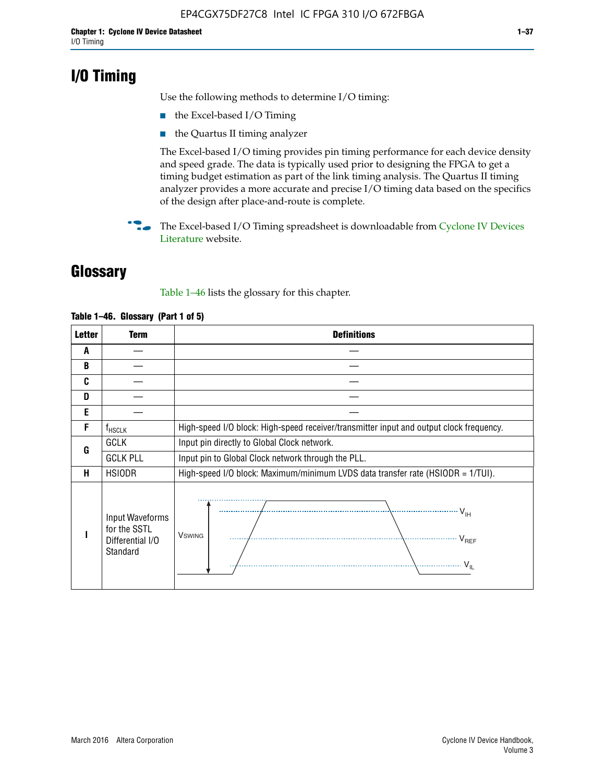## **I/O Timing**

Use the following methods to determine I/O timing:

- the Excel-based I/O Timing
- the Quartus II timing analyzer

The Excel-based I/O timing provides pin timing performance for each device density and speed grade. The data is typically used prior to designing the FPGA to get a timing budget estimation as part of the link timing analysis. The Quartus II timing analyzer provides a more accurate and precise I/O timing data based on the specifics of the design after place-and-route is complete.

**For The Excel-based I/O Timing spreadsheet is downloadable from Cyclone IV Devices** [Literature](http://www.altera.com/literature/lit-cyclone-iv.jsp) website.

## **Glossary**

Table 1–46 lists the glossary for this chapter.

| <b>Letter</b> | <b>Term</b>                                                     | <b>Definitions</b>                                                                                                                               |  |  |  |  |  |  |  |
|---------------|-----------------------------------------------------------------|--------------------------------------------------------------------------------------------------------------------------------------------------|--|--|--|--|--|--|--|
| A             |                                                                 |                                                                                                                                                  |  |  |  |  |  |  |  |
| B             |                                                                 |                                                                                                                                                  |  |  |  |  |  |  |  |
| C             |                                                                 |                                                                                                                                                  |  |  |  |  |  |  |  |
| D             |                                                                 |                                                                                                                                                  |  |  |  |  |  |  |  |
| E             |                                                                 |                                                                                                                                                  |  |  |  |  |  |  |  |
| F             | $f_{\sf HSCLK}$                                                 | High-speed I/O block: High-speed receiver/transmitter input and output clock frequency.                                                          |  |  |  |  |  |  |  |
| G             | <b>GCLK</b>                                                     | Input pin directly to Global Clock network.                                                                                                      |  |  |  |  |  |  |  |
|               | <b>GCLK PLL</b>                                                 | Input pin to Global Clock network through the PLL.                                                                                               |  |  |  |  |  |  |  |
| н             | <b>HSIODR</b>                                                   | High-speed I/O block: Maximum/minimum LVDS data transfer rate (HSIODR = 1/TUI).                                                                  |  |  |  |  |  |  |  |
|               | Input Waveforms<br>for the SSTL<br>Differential I/O<br>Standard | $\frac{1}{\sqrt{1+\frac{1}{2}}}\left\{ \frac{1}{\sqrt{1+\frac{1}{2}}}\right\}$<br><b>V</b> swing<br>$\cdots$ $V_{REF}$<br>\<br>$\sim V_{\rm IL}$ |  |  |  |  |  |  |  |

#### **Table 1–46. Glossary (Part 1 of 5)**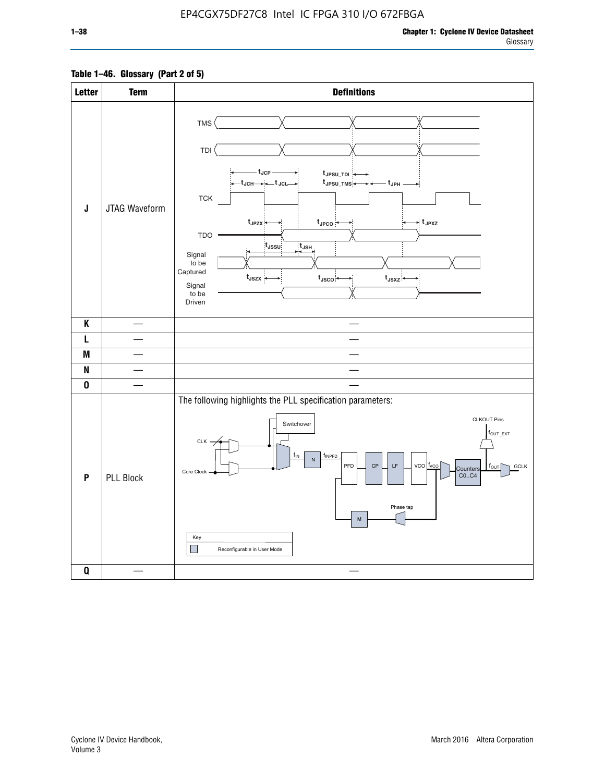### **Table 1–46. Glossary (Part 2 of 5)**

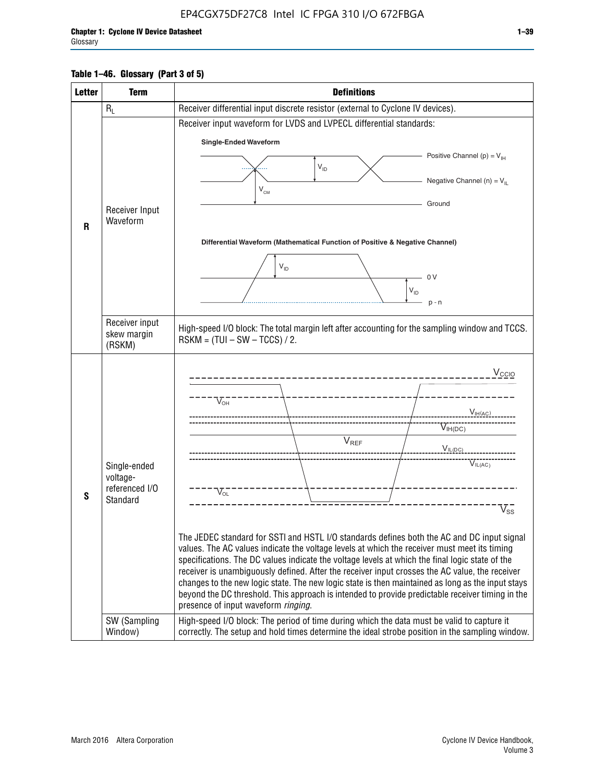#### **Table 1–46. Glossary (Part 3 of 5)**

| <b>Letter</b>                                                                                              | <b>Term</b>              | <b>Definitions</b>                                                                                                                                                                                |  |  |  |  |  |  |  |
|------------------------------------------------------------------------------------------------------------|--------------------------|---------------------------------------------------------------------------------------------------------------------------------------------------------------------------------------------------|--|--|--|--|--|--|--|
|                                                                                                            | $R_L$                    | Receiver differential input discrete resistor (external to Cyclone IV devices).                                                                                                                   |  |  |  |  |  |  |  |
|                                                                                                            |                          | Receiver input waveform for LVDS and LVPECL differential standards:                                                                                                                               |  |  |  |  |  |  |  |
|                                                                                                            |                          | <b>Single-Ended Waveform</b>                                                                                                                                                                      |  |  |  |  |  |  |  |
|                                                                                                            |                          | Positive Channel (p) = $V_{\text{H}}$                                                                                                                                                             |  |  |  |  |  |  |  |
|                                                                                                            |                          | $\mathsf{V}_{\mathsf{ID}}$                                                                                                                                                                        |  |  |  |  |  |  |  |
|                                                                                                            |                          | Negative Channel (n) = $V_{\parallel}$<br>V <sub>CM</sub>                                                                                                                                         |  |  |  |  |  |  |  |
|                                                                                                            | Receiver Input           | Ground                                                                                                                                                                                            |  |  |  |  |  |  |  |
| R                                                                                                          | Waveform                 |                                                                                                                                                                                                   |  |  |  |  |  |  |  |
|                                                                                                            |                          | Differential Waveform (Mathematical Function of Positive & Negative Channel)                                                                                                                      |  |  |  |  |  |  |  |
|                                                                                                            |                          |                                                                                                                                                                                                   |  |  |  |  |  |  |  |
|                                                                                                            |                          | $V_{ID}$<br>0V                                                                                                                                                                                    |  |  |  |  |  |  |  |
|                                                                                                            |                          | $V_{ID}$                                                                                                                                                                                          |  |  |  |  |  |  |  |
|                                                                                                            |                          | $p - n$                                                                                                                                                                                           |  |  |  |  |  |  |  |
|                                                                                                            | Receiver input           |                                                                                                                                                                                                   |  |  |  |  |  |  |  |
|                                                                                                            | skew margin              | High-speed I/O block: The total margin left after accounting for the sampling window and TCCS.<br>$RSKM = (TUI - SW - TCCS) / 2.$                                                                 |  |  |  |  |  |  |  |
|                                                                                                            | (RSKM)                   |                                                                                                                                                                                                   |  |  |  |  |  |  |  |
|                                                                                                            |                          | $V_{CCIO}$                                                                                                                                                                                        |  |  |  |  |  |  |  |
|                                                                                                            |                          |                                                                                                                                                                                                   |  |  |  |  |  |  |  |
|                                                                                                            |                          | $V_{\text{\tiny OH}}^-$                                                                                                                                                                           |  |  |  |  |  |  |  |
|                                                                                                            |                          | $V_{IH(AC)}$                                                                                                                                                                                      |  |  |  |  |  |  |  |
|                                                                                                            |                          | $V_{IH(DC)}$<br>V <sub>REF</sub>                                                                                                                                                                  |  |  |  |  |  |  |  |
|                                                                                                            |                          | $V_{\text{IL(DC)}}$                                                                                                                                                                               |  |  |  |  |  |  |  |
|                                                                                                            | Single-ended<br>voltage- | VIL(AC)                                                                                                                                                                                           |  |  |  |  |  |  |  |
|                                                                                                            | referenced I/O           | $V_{\text{OL}}$                                                                                                                                                                                   |  |  |  |  |  |  |  |
| S                                                                                                          | Standard                 | $\rm V_{ss}^-$                                                                                                                                                                                    |  |  |  |  |  |  |  |
|                                                                                                            |                          |                                                                                                                                                                                                   |  |  |  |  |  |  |  |
|                                                                                                            |                          | The JEDEC standard for SSTI and HSTL I/O standards defines both the AC and DC input signal                                                                                                        |  |  |  |  |  |  |  |
|                                                                                                            |                          | values. The AC values indicate the voltage levels at which the receiver must meet its timing                                                                                                      |  |  |  |  |  |  |  |
|                                                                                                            |                          | specifications. The DC values indicate the voltage levels at which the final logic state of the<br>receiver is unambiguously defined. After the receiver input crosses the AC value, the receiver |  |  |  |  |  |  |  |
|                                                                                                            |                          | changes to the new logic state. The new logic state is then maintained as long as the input stays                                                                                                 |  |  |  |  |  |  |  |
|                                                                                                            |                          | beyond the DC threshold. This approach is intended to provide predictable receiver timing in the<br>presence of input waveform ringing.                                                           |  |  |  |  |  |  |  |
|                                                                                                            | SW (Sampling             | High-speed I/O block: The period of time during which the data must be valid to capture it                                                                                                        |  |  |  |  |  |  |  |
| correctly. The setup and hold times determine the ideal strobe position in the sampling window.<br>Window) |                          |                                                                                                                                                                                                   |  |  |  |  |  |  |  |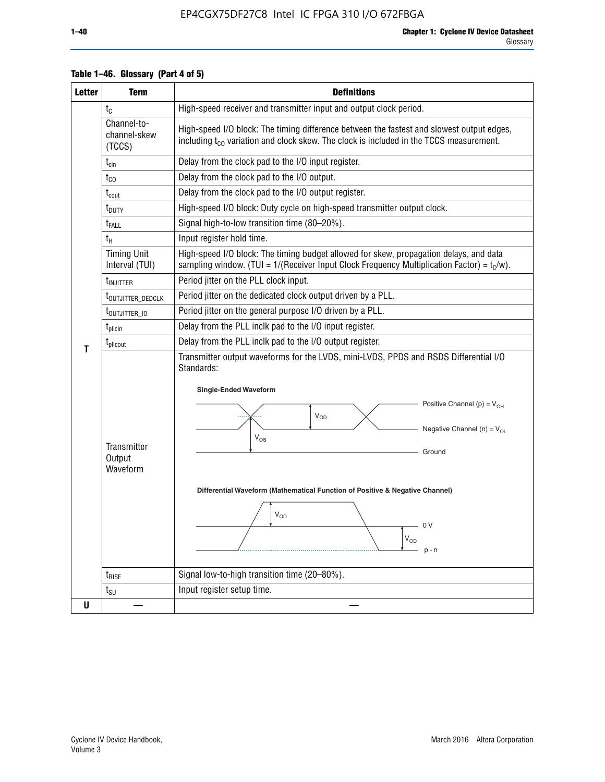| <b>Letter</b> | <b>Term</b>                           | <b>Definitions</b>                                                                                                                                                                                                                                                                                                                                                                                    |  |  |  |  |  |  |  |
|---------------|---------------------------------------|-------------------------------------------------------------------------------------------------------------------------------------------------------------------------------------------------------------------------------------------------------------------------------------------------------------------------------------------------------------------------------------------------------|--|--|--|--|--|--|--|
|               | $t_{\rm C}$                           | High-speed receiver and transmitter input and output clock period.                                                                                                                                                                                                                                                                                                                                    |  |  |  |  |  |  |  |
|               | Channel-to-<br>channel-skew<br>(TCCS) | High-speed I/O block: The timing difference between the fastest and slowest output edges,<br>including t <sub>co</sub> variation and clock skew. The clock is included in the TCCS measurement.                                                                                                                                                                                                       |  |  |  |  |  |  |  |
|               | $t_{\text{cin}}$                      | Delay from the clock pad to the I/O input register.                                                                                                                                                                                                                                                                                                                                                   |  |  |  |  |  |  |  |
|               | $t_{CO}$                              | Delay from the clock pad to the I/O output.                                                                                                                                                                                                                                                                                                                                                           |  |  |  |  |  |  |  |
|               | $t_{\rm{cout}}$                       | Delay from the clock pad to the I/O output register.                                                                                                                                                                                                                                                                                                                                                  |  |  |  |  |  |  |  |
|               | t <sub>DUTY</sub>                     | High-speed I/O block: Duty cycle on high-speed transmitter output clock.                                                                                                                                                                                                                                                                                                                              |  |  |  |  |  |  |  |
|               | t <sub>FALL</sub>                     | Signal high-to-low transition time (80-20%).                                                                                                                                                                                                                                                                                                                                                          |  |  |  |  |  |  |  |
|               | $t_{\rm H}$                           | Input register hold time.                                                                                                                                                                                                                                                                                                                                                                             |  |  |  |  |  |  |  |
|               | <b>Timing Unit</b><br>Interval (TUI)  | High-speed I/O block: The timing budget allowed for skew, propagation delays, and data<br>sampling window. (TUI = $1/($ Receiver Input Clock Frequency Multiplication Factor) = $tC/w$ ).                                                                                                                                                                                                             |  |  |  |  |  |  |  |
|               | <b>t</b> <sub>INJITTER</sub>          | Period jitter on the PLL clock input.                                                                                                                                                                                                                                                                                                                                                                 |  |  |  |  |  |  |  |
|               | t <sub>outjitter_dedclk</sub>         | Period jitter on the dedicated clock output driven by a PLL.                                                                                                                                                                                                                                                                                                                                          |  |  |  |  |  |  |  |
|               | t <sub>outjitter_io</sub>             | Period jitter on the general purpose I/O driven by a PLL.                                                                                                                                                                                                                                                                                                                                             |  |  |  |  |  |  |  |
|               | $t_{\text{pllcin}}$                   | Delay from the PLL inclk pad to the I/O input register.                                                                                                                                                                                                                                                                                                                                               |  |  |  |  |  |  |  |
| Т             | t <sub>plicout</sub>                  | Delay from the PLL inclk pad to the I/O output register.                                                                                                                                                                                                                                                                                                                                              |  |  |  |  |  |  |  |
|               | Transmitter<br>Output<br>Waveform     | Transmitter output waveforms for the LVDS, mini-LVDS, PPDS and RSDS Differential I/O<br>Standards:<br><b>Single-Ended Waveform</b><br>Positive Channel (p) = $V_{OH}$<br><b>V<sub>OD</sub></b><br>Negative Channel (n) = $V_{OL}$<br>$V_{OS}$<br>Ground<br>Differential Waveform (Mathematical Function of Positive & Negative Channel)<br>$\mathsf{V}_{\mathsf{OD}}$<br>- 0 V<br>$V_{OD}$<br>$p - n$ |  |  |  |  |  |  |  |
|               | $t_{\text{RISE}}$                     | Signal low-to-high transition time (20-80%).                                                                                                                                                                                                                                                                                                                                                          |  |  |  |  |  |  |  |
|               | $t_{\text{SU}}$                       | Input register setup time.                                                                                                                                                                                                                                                                                                                                                                            |  |  |  |  |  |  |  |
| U             |                                       |                                                                                                                                                                                                                                                                                                                                                                                                       |  |  |  |  |  |  |  |

### **Table 1–46. Glossary (Part 4 of 5)**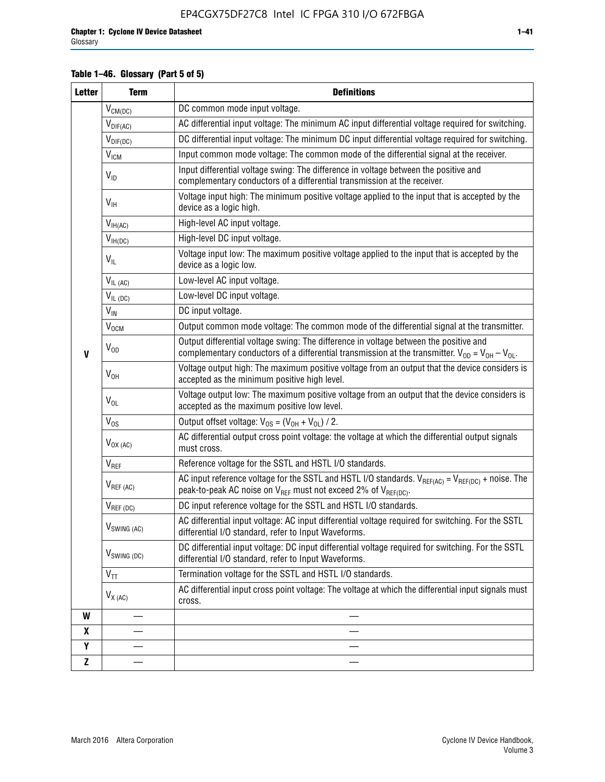### **Table 1–46. Glossary (Part 5 of 5)**

| <b>Letter</b> | <b>Term</b>             | <b>Definitions</b>                                                                                                                                                                                |
|---------------|-------------------------|---------------------------------------------------------------------------------------------------------------------------------------------------------------------------------------------------|
|               | $V_{CM(DC)}$            | DC common mode input voltage.                                                                                                                                                                     |
|               | $V_{DIF(AC)}$           | AC differential input voltage: The minimum AC input differential voltage required for switching.                                                                                                  |
|               | $V_{DIF(DC)}$           | DC differential input voltage: The minimum DC input differential voltage required for switching.                                                                                                  |
|               | V <sub>ICM</sub>        | Input common mode voltage: The common mode of the differential signal at the receiver.                                                                                                            |
|               | $V_{ID}$                | Input differential voltage swing: The difference in voltage between the positive and<br>complementary conductors of a differential transmission at the receiver.                                  |
|               | $V_{\text{IH}}$         | Voltage input high: The minimum positive voltage applied to the input that is accepted by the<br>device as a logic high.                                                                          |
|               | $V_{IH(AC)}$            | High-level AC input voltage.                                                                                                                                                                      |
|               | $V_{IH(DC)}$            | High-level DC input voltage.                                                                                                                                                                      |
|               | $V_{IL}$                | Voltage input low: The maximum positive voltage applied to the input that is accepted by the<br>device as a logic low.                                                                            |
|               | $V_{IL(AC)}$            | Low-level AC input voltage.                                                                                                                                                                       |
|               | $V_{IL(DC)}$            | Low-level DC input voltage.                                                                                                                                                                       |
|               | $V_{\text{IN}}$         | DC input voltage.                                                                                                                                                                                 |
|               | $\rm V_{\rm OCM}$       | Output common mode voltage: The common mode of the differential signal at the transmitter.                                                                                                        |
| $\mathbf{V}$  | $V_{OD}$                | Output differential voltage swing: The difference in voltage between the positive and<br>complementary conductors of a differential transmission at the transmitter. $V_{OD} = V_{OH} - V_{OL}$ . |
|               | $V_{OH}$                | Voltage output high: The maximum positive voltage from an output that the device considers is<br>accepted as the minimum positive high level.                                                     |
|               | $V_{OL}$                | Voltage output low: The maximum positive voltage from an output that the device considers is<br>accepted as the maximum positive low level.                                                       |
|               | $V_{OS}$                | Output offset voltage: $V_{OS} = (V_{OH} + V_{OL}) / 2$ .                                                                                                                                         |
|               | $V_{OX (AC)}$           | AC differential output cross point voltage: the voltage at which the differential output signals<br>must cross.                                                                                   |
|               | V <sub>REF</sub>        | Reference voltage for the SSTL and HSTL I/O standards.                                                                                                                                            |
|               | $V_{REF\,(AC)}$         | AC input reference voltage for the SSTL and HSTL I/O standards. $V_{REF(AC)} = V_{REF(DC)} +$ noise. The<br>peak-to-peak AC noise on $V_{REF}$ must not exceed 2% of $V_{REF(DC)}$ .              |
|               | $V_{REF(DC)}$           | DC input reference voltage for the SSTL and HSTL I/O standards.                                                                                                                                   |
|               | $V_{\text{SWING (AC)}}$ | AC differential input voltage: AC input differential voltage required for switching. For the SSTL<br>differential I/O standard, refer to Input Waveforms.                                         |
|               | $V_{SWING (DC)}$        | DC differential input voltage: DC input differential voltage required for switching. For the SSTL<br>differential I/O standard, refer to Input Waveforms.                                         |
|               | $\text{V}_{\text{TT}}$  | Termination voltage for the SSTL and HSTL I/O standards.                                                                                                                                          |
|               | $V_{X(AC)}$             | AC differential input cross point voltage: The voltage at which the differential input signals must<br>cross.                                                                                     |
| W             |                         |                                                                                                                                                                                                   |
| X             |                         |                                                                                                                                                                                                   |
| Y             |                         |                                                                                                                                                                                                   |
| $\mathbf{Z}$  |                         |                                                                                                                                                                                                   |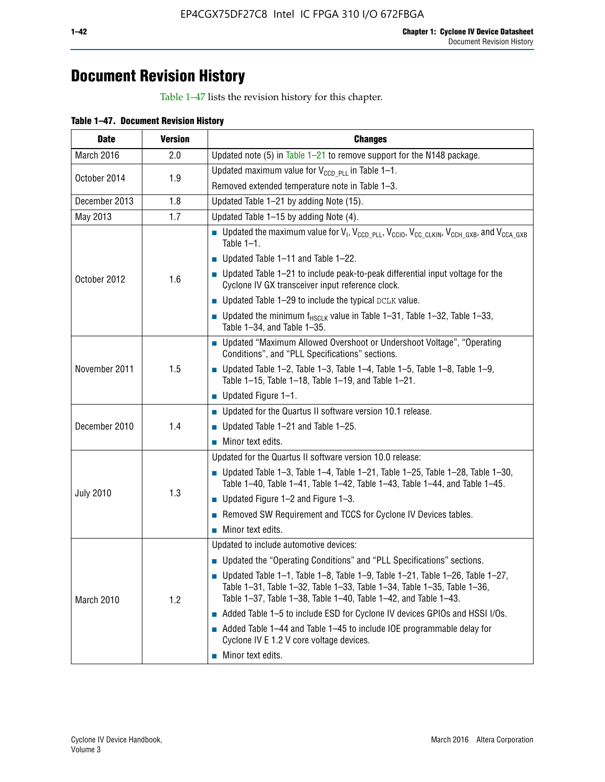## **Document Revision History**

Table 1–47 lists the revision history for this chapter.

| <b>Date</b>      | <b>Version</b> | <b>Changes</b>                                                                                                                                                                                                                            |
|------------------|----------------|-------------------------------------------------------------------------------------------------------------------------------------------------------------------------------------------------------------------------------------------|
| March 2016       | 2.0            | Updated note (5) in Table $1-21$ to remove support for the N148 package.                                                                                                                                                                  |
| October 2014     | 1.9            | Updated maximum value for $V_{CCD, PL}$ in Table 1-1.                                                                                                                                                                                     |
|                  |                | Removed extended temperature note in Table 1-3.                                                                                                                                                                                           |
| December 2013    | 1.8            | Updated Table 1-21 by adding Note (15).                                                                                                                                                                                                   |
| May 2013         | 1.7            | Updated Table 1-15 by adding Note (4).                                                                                                                                                                                                    |
|                  |                | <b>D</b> Updated the maximum value for $V_1$ , $V_{CCD}$ <sub>PLL</sub> , $V_{CC10}$ , $V_{CC_1CLKIN}$ , $V_{CCH_GXB}$ , and $V_{CCA_GXB}$<br>Table $1-1$ .                                                                               |
|                  |                | $\blacksquare$ Updated Table 1-11 and Table 1-22.                                                                                                                                                                                         |
| October 2012     | 1.6            | $\blacksquare$ Updated Table 1-21 to include peak-to-peak differential input voltage for the<br>Cyclone IV GX transceiver input reference clock.                                                                                          |
|                  |                | $\blacksquare$ Updated Table 1-29 to include the typical DCLK value.                                                                                                                                                                      |
|                  |                | <b>Updated the minimum f<sub>HSCLK</sub></b> value in Table 1-31, Table 1-32, Table 1-33,<br>Table 1-34, and Table 1-35.                                                                                                                  |
| November 2011    |                | ■ Updated "Maximum Allowed Overshoot or Undershoot Voltage", "Operating<br>Conditions", and "PLL Specifications" sections.                                                                                                                |
|                  | 1.5            | Updated Table 1-2, Table 1-3, Table 1-4, Table 1-5, Table 1-8, Table 1-9,<br>Table 1-15, Table 1-18, Table 1-19, and Table 1-21.                                                                                                          |
|                  |                | ■ Updated Figure $1-1$ .                                                                                                                                                                                                                  |
|                  |                | • Updated for the Quartus II software version 10.1 release.                                                                                                                                                                               |
| December 2010    | 1.4            | $\blacksquare$ Updated Table 1-21 and Table 1-25.                                                                                                                                                                                         |
|                  |                | $\blacksquare$ Minor text edits.                                                                                                                                                                                                          |
|                  |                | Updated for the Quartus II software version 10.0 release:                                                                                                                                                                                 |
|                  |                | Updated Table 1-3, Table 1-4, Table 1-21, Table 1-25, Table 1-28, Table 1-30,<br>Table 1-40, Table 1-41, Table 1-42, Table 1-43, Table 1-44, and Table 1-45.                                                                              |
| <b>July 2010</b> | 1.3            | ■ Updated Figure $1-2$ and Figure $1-3$ .                                                                                                                                                                                                 |
|                  |                | Removed SW Requirement and TCCS for Cyclone IV Devices tables.                                                                                                                                                                            |
|                  |                | $\blacksquare$ Minor text edits.                                                                                                                                                                                                          |
|                  |                | Updated to include automotive devices:                                                                                                                                                                                                    |
|                  |                | • Updated the "Operating Conditions" and "PLL Specifications" sections.                                                                                                                                                                   |
| March 2010       | 1.2            | $\blacksquare$ Updated Table 1-1, Table 1-8, Table 1-9, Table 1-21, Table 1-26, Table 1-27,<br>Table 1-31, Table 1-32, Table 1-33, Table 1-34, Table 1-35, Table 1-36,<br>Table 1-37, Table 1-38, Table 1-40, Table 1-42, and Table 1-43. |
|                  |                | Added Table 1-5 to include ESD for Cyclone IV devices GPIOs and HSSI I/Os.                                                                                                                                                                |
|                  |                | Added Table 1-44 and Table 1-45 to include IOE programmable delay for<br>Cyclone IV E 1.2 V core voltage devices.                                                                                                                         |
|                  |                | Minor text edits.                                                                                                                                                                                                                         |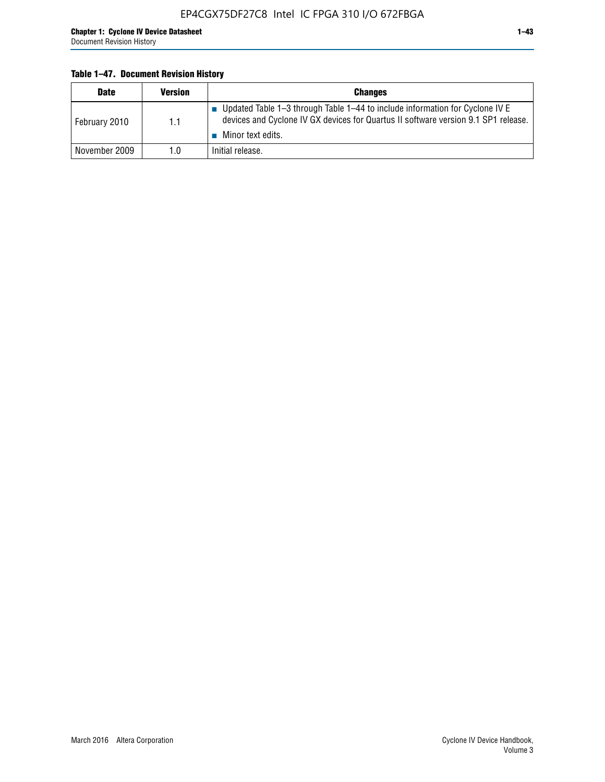#### **Table 1–47. Document Revision History**

| <b>Date</b>   | <b>Version</b> | <b>Changes</b>                                                                                                                                                                          |
|---------------|----------------|-----------------------------------------------------------------------------------------------------------------------------------------------------------------------------------------|
| February 2010 | 1.1            | Updated Table 1-3 through Table 1-44 to include information for Cyclone IV E<br>devices and Cyclone IV GX devices for Quartus II software version 9.1 SP1 release.<br>Minor text edits. |
| November 2009 | 1.0            | Initial release.                                                                                                                                                                        |